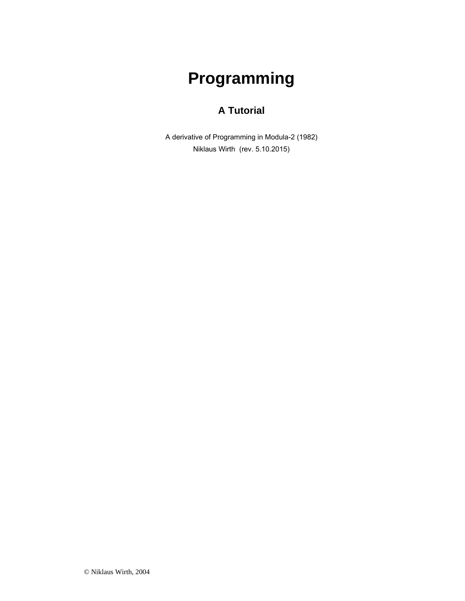# **Programming**

## **A Tutorial**

A derivative of Programming in Modula-2 (1982) Niklaus Wirth (rev. 5.10.2015)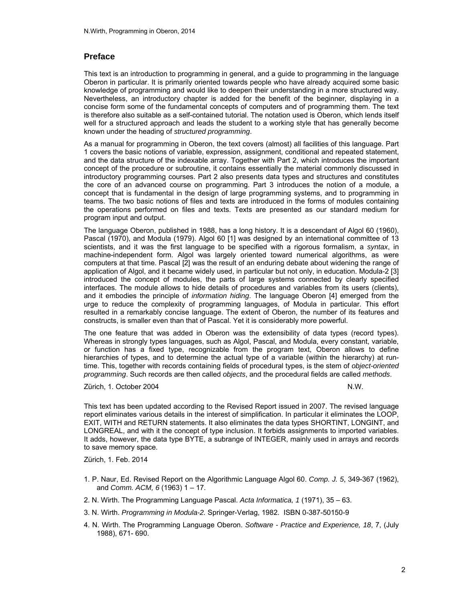### **Preface**

This text is an introduction to programming in general, and a guide to programming in the language Oberon in particular. It is primarily oriented towards people who have already acquired some basic knowledge of programming and would like to deepen their understanding in a more structured way. Nevertheless, an introductory chapter is added for the benefit of the beginner, displaying in a concise form some of the fundamental concepts of computers and of programming them. The text is therefore also suitable as a self-contained tutorial. The notation used is Oberon, which lends itself well for a structured approach and leads the student to a working style that has generally become known under the heading of *structured programming*.

As a manual for programming in Oberon, the text covers (almost) all facilities of this language. Part 1 covers the basic notions of variable, expression, assignment, conditional and repeated statement, and the data structure of the indexable array. Together with Part 2, which introduces the important concept of the procedure or subroutine, it contains essentially the material commonly discussed in introductory programming courses. Part 2 also presents data types and structures and constitutes the core of an advanced course on programming. Part 3 introduces the notion of a module, a concept that is fundamental in the design of large programming systems, and to programming in teams. The two basic notions of files and texts are introduced in the forms of modules containing the operations performed on files and texts. Texts are presented as our standard medium for program input and output.

The language Oberon, published in 1988, has a long history. It is a descendant of Algol 60 (1960), Pascal (1970), and Modula (1979). Algol 60 [1] was designed by an international committee of 13 scientists, and it was the first language to be specified with a rigorous formalism, a *syntax*, in machine-independent form. Algol was largely oriented toward numerical algorithms, as were computers at that time. Pascal [2] was the result of an enduring debate about widening the range of application of Algol, and it became widely used, in particular but not only, in education. Modula-2 [3] introduced the concept of modules, the parts of large systems connected by clearly specified interfaces. The module allows to hide details of procedures and variables from its users (clients), and it embodies the principle of *information hiding*. The language Oberon [4] emerged from the urge to reduce the complexity of programming languages, of Modula in particular. This effort resulted in a remarkably concise language. The extent of Oberon, the number of its features and constructs, is smaller even than that of Pascal. Yet it is considerably more powerful.

The one feature that was added in Oberon was the extensibility of data types (record types). Whereas in strongly types languages, such as Algol, Pascal, and Modula, every constant, variable, or function has a fixed type, recognizable from the program text, Oberon allows to define hierarchies of types, and to determine the actual type of a variable (within the hierarchy) at runtime. This, together with records containing fields of procedural types, is the stem of *object-oriented programming*. Such records are then called *objects*, and the procedural fields are called *methods*.

Zürich, 1. October 2004 N.W.

This text has been updated according to the Revised Report issued in 2007. The revised language report eliminates various details in the interest of simplification. In particular it eliminates the LOOP, EXIT, WITH and RETURN statements. It also eliminates the data types SHORTINT, LONGINT, and LONGREAL, and with it the concept of type inclusion. It forbids assignments to imported variables. It adds, however, the data type BYTE, a subrange of INTEGER, mainly used in arrays and records to save memory space.

Zürich, 1. Feb. 2014

- 1. P. Naur, Ed. Revised Report on the Algorithmic Language Algol 60. *Comp. J. 5*, 349-367 (1962), and *Comm. ACM, 6* (1963) 1 – 17.
- 2. N. Wirth. The Programming Language Pascal. *Acta Informatica, 1* (1971), 35 63.
- 3. N. Wirth. *Programming in Modula-2.* Springer-Verlag, 1982. ISBN 0-387-50150-9
- 4. N. Wirth. The Programming Language Oberon. *Software Practice and Experience, 18*, 7, (July 1988), 671- 690.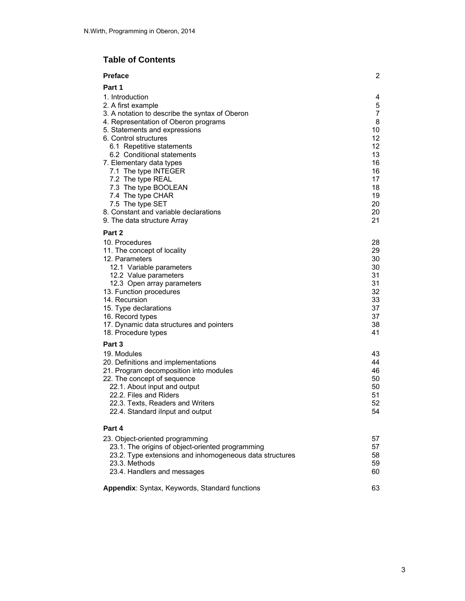### **Table of Contents**

| <b>Preface</b>                                                                                                                                                                                                                                                                                                                                                                                                                                                         | 2                                                                                        |
|------------------------------------------------------------------------------------------------------------------------------------------------------------------------------------------------------------------------------------------------------------------------------------------------------------------------------------------------------------------------------------------------------------------------------------------------------------------------|------------------------------------------------------------------------------------------|
| Part 1                                                                                                                                                                                                                                                                                                                                                                                                                                                                 |                                                                                          |
| 1. Introduction<br>2. A first example<br>3. A notation to describe the syntax of Oberon<br>4. Representation of Oberon programs<br>5. Statements and expressions<br>6. Control structures<br>6.1 Repetitive statements<br>6.2 Conditional statements<br>7. Elementary data types<br>7.1 The type INTEGER<br>7.2 The type REAL<br>7.3 The type BOOLEAN<br>7.4 The type CHAR<br>7.5 The type SET<br>8. Constant and variable declarations<br>9. The data structure Array | 4<br>5<br>7<br>8<br>10<br>12<br>12<br>13<br>16<br>16<br>17<br>18<br>19<br>20<br>20<br>21 |
| Part 2                                                                                                                                                                                                                                                                                                                                                                                                                                                                 |                                                                                          |
| 10. Procedures<br>11. The concept of locality<br>12. Parameters<br>12.1 Variable parameters<br>12.2 Value parameters<br>12.3 Open array parameters<br>13. Function procedures<br>14. Recursion<br>15. Type declarations<br>16. Record types<br>17. Dynamic data structures and pointers<br>18. Procedure types                                                                                                                                                         | 28<br>29<br>30<br>30<br>31<br>31<br>32<br>33<br>37<br>37<br>38<br>41                     |
| Part 3<br>19. Modules<br>20. Definitions and implementations<br>21. Program decomposition into modules<br>22. The concept of sequence<br>22.1. About input and output<br>22.2. Files and Riders<br>22.3. Texts, Readers and Writers<br>22.4. Standard ilnput and output                                                                                                                                                                                                | 43<br>44<br>46<br>50<br>50<br>51<br>52<br>54                                             |
| Part 4<br>23. Object-oriented programming<br>23.1. The origins of object-oriented programming<br>23.2. Type extensions and inhomogeneous data structures<br>23.3. Methods<br>23.4. Handlers and messages                                                                                                                                                                                                                                                               | 57<br>57<br>58<br>59<br>60                                                               |
| Appendix: Syntax, Keywords, Standard functions                                                                                                                                                                                                                                                                                                                                                                                                                         | 63                                                                                       |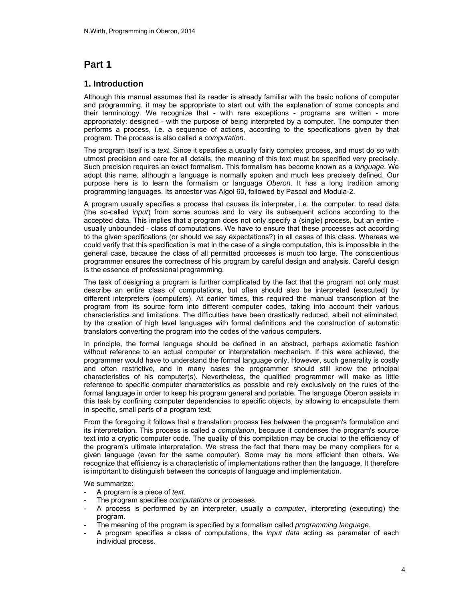## **Part 1**

### **1. Introduction**

Although this manual assumes that its reader is already familiar with the basic notions of computer and programming, it may be appropriate to start out with the explanation of some concepts and their terminology. We recognize that - with rare exceptions - programs are written - more appropriately: designed - with the purpose of being interpreted by a computer. The computer then performs a process, i.e. a sequence of actions, according to the specifications given by that program. The process is also called a *computation*.

The program itself is a *text*. Since it specifies a usually fairly complex process, and must do so with utmost precision and care for all details, the meaning of this text must be specified very precisely. Such precision requires an exact formalism. This formalism has become known as a *language*. We adopt this name, although a language is normally spoken and much less precisely defined. Our purpose here is to learn the formalism or language *Oberon*. It has a long tradition among programming languages. Its ancestor was Algol 60, followed by Pascal and Modula-2.

A program usually specifies a process that causes its interpreter, i.e. the computer, to read data (the so-called *input*) from some sources and to vary its subsequent actions according to the accepted data. This implies that a program does not only specify a (single) process, but an entire usually unbounded - class of computations. We have to ensure that these processes act according to the given specifications (or should we say expectations?) in all cases of this class. Whereas we could verify that this specification is met in the case of a single computation, this is impossible in the general case, because the class of all permitted processes is much too large. The conscientious programmer ensures the correctness of his program by careful design and analysis. Careful design is the essence of professional programming.

The task of designing a program is further complicated by the fact that the program not only must describe an entire class of computations, but often should also be interpreted (executed) by different interpreters (computers). At earlier times, this required the manual transcription of the program from its source form into different computer codes, taking into account their various characteristics and limitations. The difficulties have been drastically reduced, albeit not eliminated, by the creation of high level languages with formal definitions and the construction of automatic translators converting the program into the codes of the various computers.

In principle, the formal language should be defined in an abstract, perhaps axiomatic fashion without reference to an actual computer or interpretation mechanism. If this were achieved, the programmer would have to understand the formal language only. However, such generality is costly and often restrictive, and in many cases the programmer should still know the principal characteristics of his computer(s). Nevertheless, the qualified programmer will make as little reference to specific computer characteristics as possible and rely exclusively on the rules of the formal language in order to keep his program general and portable. The language Oberon assists in this task by confining computer dependencies to specific objects, by allowing to encapsulate them in specific, small parts of a program text.

From the foregoing it follows that a translation process lies between the program's formulation and its interpretation. This process is called a *compilation*, because it condenses the program's source text into a cryptic computer code. The quality of this compilation may be crucial to the efficiency of the program's ultimate interpretation. We stress the fact that there may be many compilers for a given language (even for the same computer). Some may be more efficient than others. We recognize that efficiency is a characteristic of implementations rather than the language. It therefore is important to distinguish between the concepts of language and implementation.

We summarize:

- A program is a piece of *text*.
- The program specifies *computations* or processes.
- A process is performed by an interpreter, usually a *computer*, interpreting (executing) the program.
- The meaning of the program is specified by a formalism called *programming language*.
- A program specifies a class of computations, the *input data* acting as parameter of each individual process.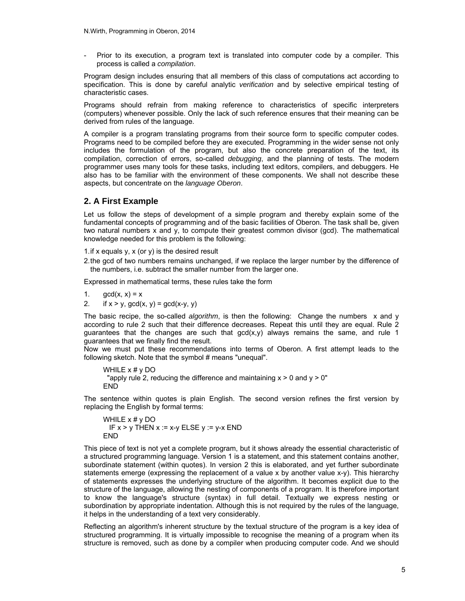Prior to its execution, a program text is translated into computer code by a compiler. This process is called a *compilation*.

Program design includes ensuring that all members of this class of computations act according to specification. This is done by careful analytic *verification* and by selective empirical testing of characteristic cases.

Programs should refrain from making reference to characteristics of specific interpreters (computers) whenever possible. Only the lack of such reference ensures that their meaning can be derived from rules of the language.

A compiler is a program translating programs from their source form to specific computer codes. Programs need to be compiled before they are executed. Programming in the wider sense not only includes the formulation of the program, but also the concrete preparation of the text, its compilation, correction of errors, so-called *debugging*, and the planning of tests. The modern programmer uses many tools for these tasks, including text editors, compilers, and debuggers. He also has to be familiar with the environment of these components. We shall not describe these aspects, but concentrate on the *language Oberon*.

### **2. A First Example**

Let us follow the steps of development of a simple program and thereby explain some of the fundamental concepts of programming and of the basic facilities of Oberon. The task shall be, given two natural numbers x and y, to compute their greatest common divisor (gcd). The mathematical knowledge needed for this problem is the following:

1. if x equals  $y$ , x (or  $y$ ) is the desired result

2. the gcd of two numbers remains unchanged, if we replace the larger number by the difference of the numbers, i.e. subtract the smaller number from the larger one.

Expressed in mathematical terms, these rules take the form

- 1.  $qcd(x, x) = x$
- 2. if  $x > y$ , gcd $(x, y) = \gcd(x-y, y)$

The basic recipe, the so-called *algorithm*, is then the following: Change the numbers x and y according to rule 2 such that their difference decreases. Repeat this until they are equal. Rule 2 guarantees that the changes are such that  $gcd(x, y)$  always remains the same, and rule 1 guarantees that we finally find the result.

Now we must put these recommendations into terms of Oberon. A first attempt leads to the following sketch. Note that the symbol # means "unequal".

WHILE x # y DO "apply rule 2, reducing the difference and maintaining  $x > 0$  and  $y > 0$ " END

The sentence within quotes is plain English. The second version refines the first version by replacing the English by formal terms:

WHILE x # y DO IF  $x > y$  THEN  $x := x-y$  ELSE  $y := y-x$  END END

This piece of text is not yet a complete program, but it shows already the essential characteristic of a structured programming language. Version 1 is a statement, and this statement contains another, subordinate statement (within quotes). In version 2 this is elaborated, and yet further subordinate statements emerge (expressing the replacement of a value x by another value x-y). This hierarchy of statements expresses the underlying structure of the algorithm. It becomes explicit due to the structure of the language, allowing the nesting of components of a program. It is therefore important to know the language's structure (syntax) in full detail. Textually we express nesting or subordination by appropriate indentation. Although this is not required by the rules of the language, it helps in the understanding of a text very considerably.

Reflecting an algorithm's inherent structure by the textual structure of the program is a key idea of structured programming. It is virtually impossible to recognise the meaning of a program when its structure is removed, such as done by a compiler when producing computer code. And we should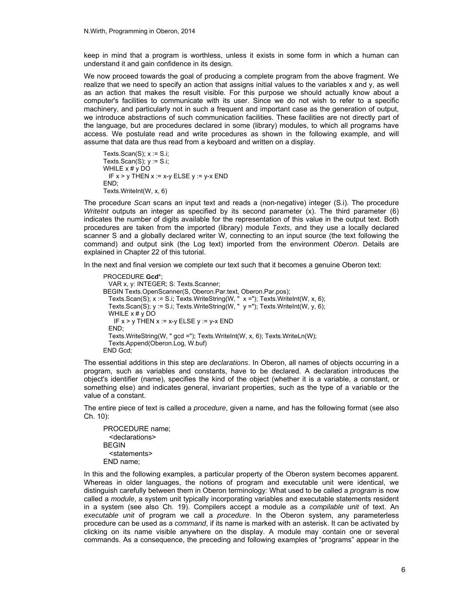keep in mind that a program is worthless, unless it exists in some form in which a human can understand it and gain confidence in its design.

We now proceed towards the goal of producing a complete program from the above fragment. We realize that we need to specify an action that assigns initial values to the variables x and y, as well as an action that makes the result visible. For this purpose we should actually know about a computer's facilities to communicate with its user. Since we do not wish to refer to a specific machinery, and particularly not in such a frequent and important case as the generation of output, we introduce abstractions of such communication facilities. These facilities are not directly part of the language, but are procedures declared in some (library) modules, to which all programs have access. We postulate read and write procedures as shown in the following example, and will assume that data are thus read from a keyboard and written on a display.

```
Texts.Scan(S); x := S.i;
Texts.Scan(S); y := S.i; 
WHILE x # y DO
  IF x > y THEN x := x-y ELSE y := y-x END
END; 
Texts.WriteInt(W, x, 6)
```
The procedure *Scan* scans an input text and reads a (non-negative) integer (S.i). The procedure *WriteInt* outputs an integer as specified by its second parameter (x). The third parameter (6) indicates the number of digits available for the representation of this value in the output text. Both procedures are taken from the imported (library) module *Texts*, and they use a locally declared scanner S and a globally declared writer W, connecting to an input source (the text following the command) and output sink (the Log text) imported from the environment *Oberon*. Details are explained in Chapter 22 of this tutorial.

In the next and final version we complete our text such that it becomes a genuine Oberon text:

```
PROCEDURE Gcd*; 
  VAR x, y: INTEGER; S: Texts.Scanner; 
BEGIN Texts.OpenScanner(S, Oberon.Par.text, Oberon.Par.pos); 
 Texts.Scan(S); x := S.i; Texts.WriteString(W, " x ="); Texts.WriteInt(W, x, 6);
 Texts.Scan(S); y := S.i; Texts.WriteString(W, " y ="); Texts.WriteInt(W, y, 6);
 WHILE x # y DO
   IF x > y THEN x := x-y ELSE y := y-x END
  END; 
  Texts.WriteString(W, " gcd ="); Texts.WriteInt(W, x, 6); Texts.WriteLn(W); 
  Texts.Append(Oberon.Log, W.buf) 
END Gcd;
```
The essential additions in this step are *declarations*. In Oberon, all names of objects occurring in a program, such as variables and constants, have to be declared. A declaration introduces the object's identifier (name), specifies the kind of the object (whether it is a variable, a constant, or something else) and indicates general, invariant properties, such as the type of a variable or the value of a constant.

The entire piece of text is called a *procedure*, given a name, and has the following format (see also Ch. 10):

PROCEDURE name; <declarations> BEGIN <statements> END name;

In this and the following examples, a particular property of the Oberon system becomes apparent. Whereas in older languages, the notions of program and executable unit were identical, we distinguish carefully between them in Oberon terminology: What used to be called a *program* is now called a *module*, a system unit typically incorporating variables and executable statements resident in a system (see also Ch. 19). Compilers accept a module as a *compilable unit* of text. An *executable unit* of program we call a *procedure*. In the Oberon system, any parameterless procedure can be used as a *command*, if its name is marked with an asterisk. It can be activated by clicking on its name visible anywhere on the display. A module may contain one or several commands. As a consequence, the preceding and following examples of "programs" appear in the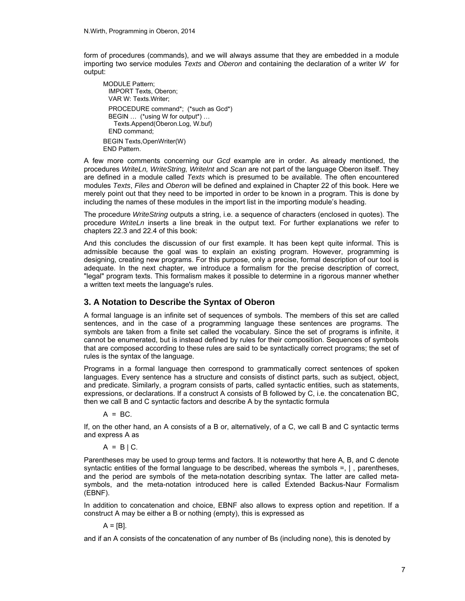form of procedures (commands), and we will always assume that they are embedded in a module importing two service modules *Texts* and *Oberon* and containing the declaration of a writer *W* for output:

MODULE Pattern; IMPORT Texts, Oberon; VAR W: Texts.Writer; PROCEDURE command\*; (\*such as Gcd\*) BEGIN … (\*using W for output\*) … Texts.Append(Oberon.Log, W.buf) END command; BEGIN Texts,OpenWriter(W) END Pattern.

A few more comments concerning our *Gcd* example are in order. As already mentioned, the procedures *WriteLn, WriteString, WriteInt* and *Scan* are not part of the language Oberon itself. They are defined in a module called *Texts* which is presumed to be available. The often encountered modules *Texts*, *Files* and *Oberon* will be defined and explained in Chapter 22 of this book. Here we merely point out that they need to be imported in order to be known in a program. This is done by including the names of these modules in the import list in the importing module's heading.

The procedure *WriteString* outputs a string, i.e. a sequence of characters (enclosed in quotes). The procedure *WriteLn* inserts a line break in the output text. For further explanations we refer to chapters 22.3 and 22.4 of this book:

And this concludes the discussion of our first example. It has been kept quite informal. This is admissible because the goal was to explain an existing program. However, programming is designing, creating new programs. For this purpose, only a precise, formal description of our tool is adequate. In the next chapter, we introduce a formalism for the precise description of correct, "legal" program texts. This formalism makes it possible to determine in a rigorous manner whether a written text meets the language's rules.

### **3. A Notation to Describe the Syntax of Oberon**

A formal language is an infinite set of sequences of symbols. The members of this set are called sentences, and in the case of a programming language these sentences are programs. The symbols are taken from a finite set called the vocabulary. Since the set of programs is infinite, it cannot be enumerated, but is instead defined by rules for their composition. Sequences of symbols that are composed according to these rules are said to be syntactically correct programs; the set of rules is the syntax of the language.

Programs in a formal language then correspond to grammatically correct sentences of spoken languages. Every sentence has a structure and consists of distinct parts, such as subject, object, and predicate. Similarly, a program consists of parts, called syntactic entities, such as statements, expressions, or declarations. If a construct A consists of B followed by C, i.e. the concatenation BC, then we call B and C syntactic factors and describe A by the syntactic formula

 $A = BC$ .

If, on the other hand, an A consists of a B or, alternatively, of a C, we call B and C syntactic terms and express A as

 $A = B | C$ .

Parentheses may be used to group terms and factors. It is noteworthy that here A, B, and C denote syntactic entities of the formal language to be described, whereas the symbols =, | , parentheses, and the period are symbols of the meta-notation describing syntax. The latter are called metasymbols, and the meta-notation introduced here is called Extended Backus-Naur Formalism (EBNF).

In addition to concatenation and choice, EBNF also allows to express option and repetition. If a construct A may be either a B or nothing (empty), this is expressed as

 $A = [B]$ .

and if an A consists of the concatenation of any number of Bs (including none), this is denoted by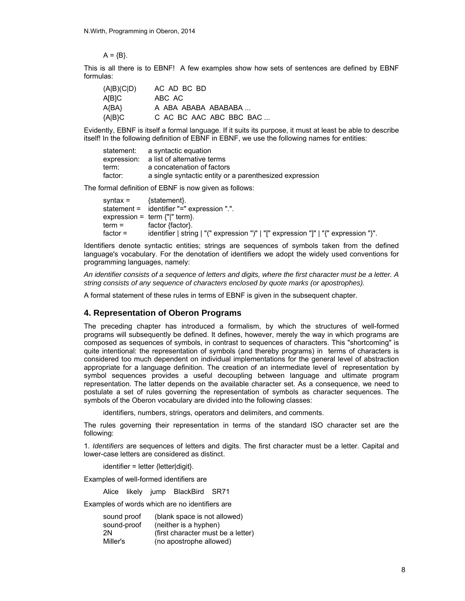#### $A = {B}.$

This is all there is to EBNF! A few examples show how sets of sentences are defined by EBNF formulas:

| (A B)(C D) | AC AD BC BD             |
|------------|-------------------------|
| A[B]C      | ABC AC                  |
| $A\{BA\}$  | A ABA ABABA ABABABA     |
| {A B}C     | C AC BC AAC ABC BBC BAC |

Evidently, EBNF is itself a formal language. If it suits its purpose, it must at least be able to describe itself! In the following definition of EBNF in EBNF, we use the following names for entities:

| statement:  | a syntactic equation                                    |
|-------------|---------------------------------------------------------|
| expression: | a list of alternative terms                             |
| term:       | a concatenation of factors                              |
| factor:     | a single syntactic entity or a parenthesized expression |

The formal definition of EBNF is now given as follows:

| syntax = | {statement}.                                                                        |
|----------|-------------------------------------------------------------------------------------|
|          | statement = identifier "=" expression ".".                                          |
|          | expression = $term$ {" " term}.                                                     |
| term =   | factor {factor}.                                                                    |
| factor = | identifier   string   "(" expression ")"   "[" expression "]"   "{" expression "}". |

Identifiers denote syntactic entities; strings are sequences of symbols taken from the defined language's vocabulary. For the denotation of identifiers we adopt the widely used conventions for programming languages, namely:

*An identifier consists of a sequence of letters and digits, where the first character must be a letter. A string consists of any sequence of characters enclosed by quote marks (or apostrophes).* 

A formal statement of these rules in terms of EBNF is given in the subsequent chapter.

### **4. Representation of Oberon Programs**

The preceding chapter has introduced a formalism, by which the structures of well-formed programs will subsequently be defined. It defines, however, merely the way in which programs are composed as sequences of symbols, in contrast to sequences of characters. This "shortcoming" is quite intentional: the representation of symbols (and thereby programs) in terms of characters is considered too much dependent on individual implementations for the general level of abstraction appropriate for a language definition. The creation of an intermediate level of representation by symbol sequences provides a useful decoupling between language and ultimate program representation. The latter depends on the available character set. As a consequence, we need to postulate a set of rules governing the representation of symbols as character sequences. The symbols of the Oberon vocabulary are divided into the following classes:

identifiers, numbers, strings, operators and delimiters, and comments.

The rules governing their representation in terms of the standard ISO character set are the following:

1. *Identifiers* are sequences of letters and digits. The first character must be a letter. Capital and lower-case letters are considered as distinct.

identifier = letter {letter|digit}.

Examples of well-formed identifiers are

Alice likely jump BlackBird SR71

Examples of words which are no identifiers are

| sound proof | (blank space is not allowed)       |
|-------------|------------------------------------|
| sound-proof | (neither is a hyphen)              |
| 2N          | (first character must be a letter) |
| Miller's    | (no apostrophe allowed)            |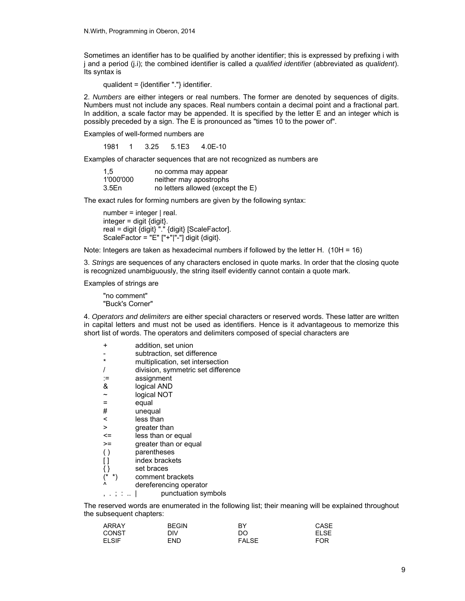Sometimes an identifier has to be qualified by another identifier; this is expressed by prefixing i with j and a period (j.i); the combined identifier is called a *qualified identifier* (abbreviated as *qualident*). Its syntax is

qualident =  $\{$ identifier "." $\}$  identifier.

2. *Numbers* are either integers or real numbers. The former are denoted by sequences of digits. Numbers must not include any spaces. Real numbers contain a decimal point and a fractional part. In addition, a scale factor may be appended. It is specified by the letter E and an integer which is possibly preceded by a sign. The E is pronounced as "times 10 to the power of".

Examples of well-formed numbers are

1981 1 3.25 5.1E3 4.0E-10

Examples of character sequences that are not recognized as numbers are

| 1.5       | no comma may appear               |
|-----------|-----------------------------------|
| 1'000'000 | neither may apostrophs            |
| 3.5En     | no letters allowed (except the E) |

The exact rules for forming numbers are given by the following syntax:

 $number = integer | real.$  $integer = digit$  {digit}. real = digit {digit} "." {digit} [ScaleFactor]. ScaleFactor = "E"  $["+"]$ -"] digit {digit}.

Note: Integers are taken as hexadecimal numbers if followed by the letter H. (10H = 16)

3. *Strings* are sequences of any characters enclosed in quote marks. In order that the closing quote is recognized unambiguously, the string itself evidently cannot contain a quote mark.

Examples of strings are

"no comment" "Buck's Corner"

4. *Operators and delimiters* are either special characters or reserved words. These latter are written in capital letters and must not be used as identifiers. Hence is it advantageous to memorize this short list of words. The operators and delimiters composed of special characters are

| +                     | addition, set union                |
|-----------------------|------------------------------------|
|                       | subtraction, set difference        |
| $\star$               | multiplication, set intersection   |
|                       | division, symmetric set difference |
| :=                    | assignment                         |
| &                     | logical AND                        |
| $\tilde{\phantom{a}}$ | logical NOT                        |
| $=$                   | equal                              |
| #                     | unequal                            |
| <                     | less than                          |
| ⋗                     | greater than                       |
| <=                    | less than or equal                 |
| $>=$                  | greater than or equal              |
| ( )                   | parentheses                        |
| I l                   | index brackets                     |
| {}                    | set braces                         |
| *)                    | comment brackets                   |
| ۸                     | dereferencing operator             |
|                       | punctuation symbols                |

The reserved words are enumerated in the following list; their meaning will be explained throughout the subsequent chapters:

| <b>ARRAY</b> | <b>BEGIN</b> | BY           | CASE        |
|--------------|--------------|--------------|-------------|
| <b>CONST</b> | DIV          | DO           | <b>ELSE</b> |
| <b>ELSIF</b> | FND          | <b>FALSE</b> | FOR         |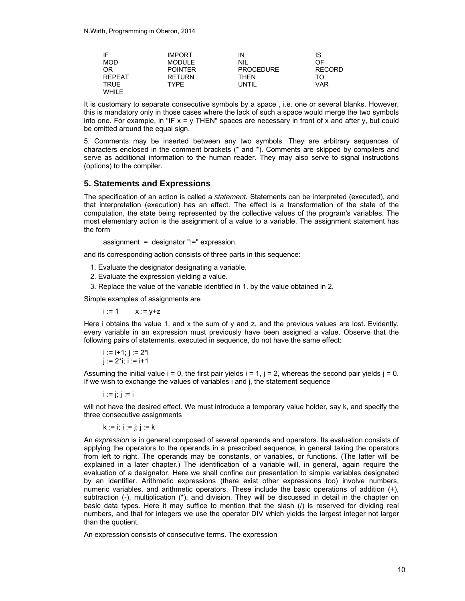| IF            | <b>IMPORT</b>  | ΙN               | IS            |
|---------------|----------------|------------------|---------------|
| <b>MOD</b>    | MODULE         | NII              | OF.           |
| 0R            | <b>POINTER</b> | <b>PROCEDURE</b> | <b>RECORD</b> |
| <b>REPEAT</b> | <b>RETURN</b>  | <b>THEN</b>      | TΩ            |
| <b>TRUE</b>   | TYPF           | UNTIL            | VAR           |
| <b>WHILE</b>  |                |                  |               |

It is customary to separate consecutive symbols by a space, i.e. one or several blanks. However, this is mandatory only in those cases where the lack of such a space would merge the two symbols into one. For example, in "IF  $x = y$  THEN" spaces are necessary in front of  $x$  and after  $y$ , but could be omitted around the equal sign.

5. Comments may be inserted between any two symbols. They are arbitrary sequences of characters enclosed in the comment brackets (\* and \*). Comments are skipped by compilers and serve as additional information to the human reader. They may also serve to signal instructions (options) to the compiler.

### **5. Statements and Expressions**

The specification of an action is called a *statement.* Statements can be interpreted (executed), and that interpretation (execution) has an effect. The effect is a transformation of the state of the computation, the state being represented by the collective values of the program's variables. The most elementary action is the assignment of a value to a variable. The assignment statement has the form

assignment = designator ":=" expression.

and its corresponding action consists of three parts in this sequence:

- 1. Evaluate the designator designating a variable.
- 2. Evaluate the expression yielding a value.

3. Replace the value of the variable identified in 1. by the value obtained in 2.

Simple examples of assignments are

 $i := 1$   $x := y + z$ 

Here i obtains the value 1, and x the sum of y and z, and the previous values are lost. Evidently, every variable in an expression must previously have been assigned a value. Observe that the following pairs of statements, executed in sequence, do not have the same effect:

$$
i := i+1; j := 2^*i
$$
  

$$
j := 2^*i; i := i+1
$$

Assuming the initial value  $i = 0$ , the first pair yields  $i = 1$ ,  $j = 2$ , whereas the second pair yields  $j = 0$ . If we wish to exchange the values of variables i and j, the statement sequence

 $i := j$ ;  $j := i$ 

will not have the desired effect. We must introduce a temporary value holder, say k, and specify the three consecutive assignments

 $k := i; i := j; j := k$ 

An *expression* is in general composed of several operands and operators. Its evaluation consists of applying the operators to the operands in a prescribed sequence, in general taking the operators from left to right. The operands may be constants, or variables, or functions. (The latter will be explained in a later chapter.) The identification of a variable will, in general, again require the evaluation of a designator. Here we shall confine our presentation to simple variables designated by an identifier. Arithmetic expressions (there exist other expressions too) involve numbers, numeric variables, and arithmetic operators. These include the basic operations of addition (+), subtraction (-), multiplication (\*), and division. They will be discussed in detail in the chapter on basic data types. Here it may suffice to mention that the slash (/) is reserved for dividing real numbers, and that for integers we use the operator DIV which yields the largest integer not larger than the quotient.

An expression consists of consecutive terms. The expression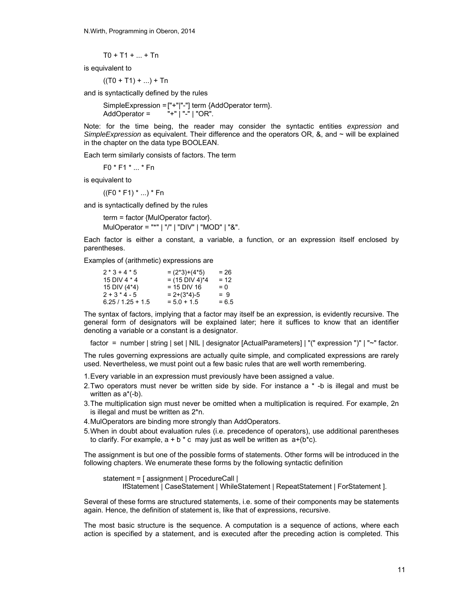$T0 + T1 + ... + Tn$ 

is equivalent to

 $((T0 + T1) + ...) + Tn$ 

and is syntactically defined by the rules

SimpleExpression = ["+"|"-"] term {AddOperator term}.<br>AddOperator = "+" | "-" | "OR". AddOperator =

Note: for the time being, the reader may consider the syntactic entities *expression* and *SimpleExpression* as equivalent. Their difference and the operators OR, &, and ~ will be explained in the chapter on the data type BOOLEAN.

Each term similarly consists of factors. The term

F0 \* F1 \* ... \* Fn

is equivalent to

 $((F0 * F1) * ...) * Fn$ 

and is syntactically defined by the rules

term = factor {MulOperator factor}. MulOperator = "\*" | "/" | "DIV" | "MOD" | "&".

Each factor is either a constant, a variable, a function, or an expression itself enclosed by parentheses.

Examples of (arithmetic) expressions are

| $= (2*3)+(4*5)$            | $= 26$  |
|----------------------------|---------|
| $= (15 \text{ DIV } 4)^*4$ | $= 12$  |
| $= 15$ DIV 16              | $= 0$   |
| $= 2 + (3*4) - 5$          | $= 9$   |
| $= 5.0 + 1.5$              | $= 6.5$ |
|                            |         |

The syntax of factors, implying that a factor may itself be an expression, is evidently recursive. The general form of designators will be explained later; here it suffices to know that an identifier denoting a variable or a constant is a designator.

factor = number | string | set | NIL | designator [ActualParameters] | "(" expression ")" | "~" factor.

The rules governing expressions are actually quite simple, and complicated expressions are rarely used. Nevertheless, we must point out a few basic rules that are well worth remembering.

- 1. Every variable in an expression must previously have been assigned a value.
- 2. Two operators must never be written side by side. For instance a \* -b is illegal and must be written as a\*(-b).
- 3. The multiplication sign must never be omitted when a multiplication is required. For example, 2n is illegal and must be written as 2\*n.
- 4. MulOperators are binding more strongly than AddOperators.
- 5. When in doubt about evaluation rules (i.e. precedence of operators), use additional parentheses to clarify. For example,  $a + b * c$  may just as well be written as  $a+(b * c)$ .

The assignment is but one of the possible forms of statements. Other forms will be introduced in the following chapters. We enumerate these forms by the following syntactic definition

statement = [ assignment | ProcedureCall | IfStatement | CaseStatement | WhileStatement | RepeatStatement | ForStatement ].

Several of these forms are structured statements, i.e. some of their components may be statements again. Hence, the definition of statement is, like that of expressions, recursive.

The most basic structure is the sequence. A computation is a sequence of actions, where each action is specified by a statement, and is executed after the preceding action is completed. This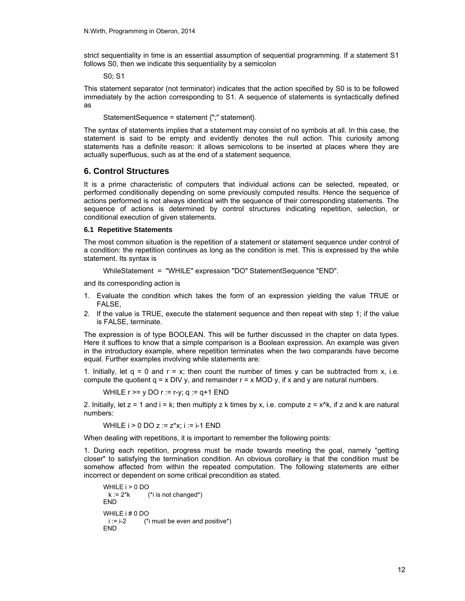strict sequentiality in time is an essential assumption of sequential programming. If a statement S1 follows S0, then we indicate this sequentiality by a semicolon

S0; S1

This statement separator (not terminator) indicates that the action specified by S0 is to be followed immediately by the action corresponding to S1. A sequence of statements is syntactically defined as

StatementSequence = statement {";" statement}.

The syntax of statements implies that a statement may consist of no symbols at all. In this case, the statement is said to be empty and evidently denotes the null action. This curiosity among statements has a definite reason: it allows semicolons to be inserted at places where they are actually superfluous, such as at the end of a statement sequence.

### **6. Control Structures**

It is a prime characteristic of computers that individual actions can be selected, repeated, or performed conditionally depending on some previously computed results. Hence the sequence of actions performed is not always identical with the sequence of their corresponding statements. The sequence of actions is determined by control structures indicating repetition, selection, or conditional execution of given statements.

#### **6.1 Repetitive Statements**

The most common situation is the repetition of a statement or statement sequence under control of a condition: the repetition continues as long as the condition is met. This is expressed by the while statement. Its syntax is

WhileStatement = "WHILE" expression "DO" StatementSequence "END".

and its corresponding action is

- 1. Evaluate the condition which takes the form of an expression yielding the value TRUE or FALSE,
- 2. If the value is TRUE, execute the statement sequence and then repeat with step 1; if the value is FALSE, terminate.

The expression is of type BOOLEAN. This will be further discussed in the chapter on data types. Here it suffices to know that a simple comparison is a Boolean expression. An example was given in the introductory example, where repetition terminates when the two comparands have become equal. Further examples involving while statements are:

1. Initially, let  $q = 0$  and  $r = x$ ; then count the number of times y can be subtracted from x, i.e. compute the quotient  $q = x$  DIV y, and remainder  $r = x$  MOD y, if x and y are natural numbers.

WHILE  $r > = y$  DO  $r := r-y$ ;  $q := q+1$  END

2. Initially, let  $z = 1$  and  $i = k$ ; then multiply z k times by x, i.e. compute  $z = x^k$ , if z and k are natural numbers:

WHILE  $i > 0$  DO  $z := z^*x$ ;  $i := i-1$  END

When dealing with repetitions, it is important to remember the following points:

1. During each repetition, progress must be made towards meeting the goal, namely "getting closer" to satisfying the termination condition. An obvious corollary is that the condition must be somehow affected from within the repeated computation. The following statements are either incorrect or dependent on some critical precondition as stated.

```
WHILE i > 0 DO 
 k := 2^k (*i is not changed*)
END 
WHILE i # 0 DO 
i := i-2 (*i must be even and positive*)
END
```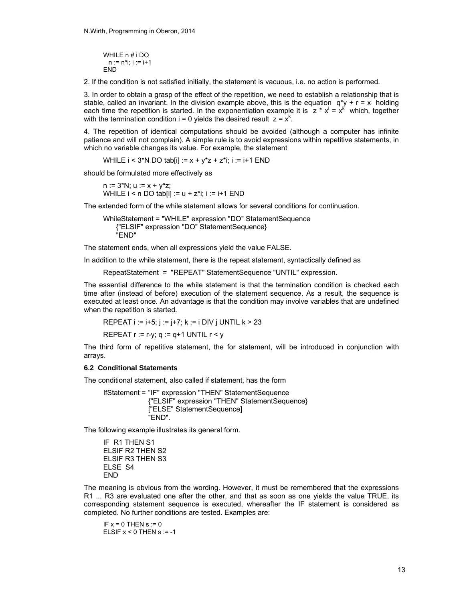WHILE n # i DO  $n := n^*i$ ; i := i+1 END

2. If the condition is not satisfied initially, the statement is vacuous, i.e. no action is performed.

3. In order to obtain a grasp of the effect of the repetition, we need to establish a relationship that is stable, called an invariant. In the division example above, this is the equation  $q^*y + r = x$  holding each time the repetition is started. In the exponentiation example it is  $z * x^i = x^k$  which, together with the termination condition  $i = 0$  yields the desired result  $z = x<sup>k</sup>$ .

4. The repetition of identical computations should be avoided (although a computer has infinite patience and will not complain). A simple rule is to avoid expressions within repetitive statements, in which no variable changes its value. For example, the statement

WHILE  $i < 3^{\ast}N$  DO tablil :=  $x + y^{\ast}z + z^{\ast}i$ ;  $i := i + 1$  END

should be formulated more effectively as

 $n := 3*N$ ;  $u := x + y^*z$ ; WHILE  $i < n$  DO tab[i] :=  $u + z^*i$ ;  $i := i + 1$  END

The extended form of the while statement allows for several conditions for continuation.

WhileStatement = "WHILE" expression "DO" StatementSequence {"ELSIF" expression "DO" StatementSequence} "END"

The statement ends, when all expressions yield the value FALSE.

In addition to the while statement, there is the repeat statement, syntactically defined as

RepeatStatement = "REPEAT" StatementSequence "UNTIL" expression.

The essential difference to the while statement is that the termination condition is checked each time after (instead of before) execution of the statement sequence. As a result, the sequence is executed at least once. An advantage is that the condition may involve variables that are undefined when the repetition is started.

REPEAT i := i+5; j := j+7; k := i DIV j UNTIL k > 23

REPEAT  $r := r-y$ ;  $q := q+1$  UNTIL  $r < y$ 

The third form of repetitive statement, the for statement, will be introduced in conjunction with arrays.

#### **6.2 Conditional Statements**

The conditional statement, also called if statement, has the form

IfStatement = "IF" expression "THEN" StatementSequence {"ELSIF" expression "THEN" StatementSequence} ["ELSE" StatementSequence] "END".

The following example illustrates its general form.

IF R1 THEN S1 ELSIF R2 THEN S2 ELSIF R3 THEN S3 ELSE S4 END

The meaning is obvious from the wording. However, it must be remembered that the expressions R1 ... R3 are evaluated one after the other, and that as soon as one yields the value TRUE, its corresponding statement sequence is executed, whereafter the IF statement is considered as completed. No further conditions are tested. Examples are:

IF  $x = 0$  THEN  $s := 0$ ELSIF  $x < 0$  THEN  $s = -1$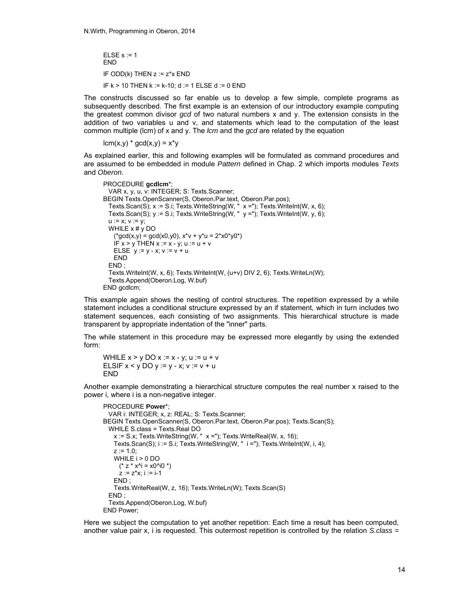```
ELSE s := 1END 
IF ODD(k) THEN z := z^*x END
IF k > 10 THEN k := k-10; d := 1 ELSE d := 0 END
```
The constructs discussed so far enable us to develop a few simple, complete programs as subsequently described. The first example is an extension of our introductory example computing the greatest common divisor *gcd* of two natural numbers x and y. The extension consists in the addition of two variables u and v, and statements which lead to the computation of the least common multiple (lcm) of x and y. The *lcm* and the *gcd* are related by the equation

 $lcm(x,y)$  \* gcd(x,y) =  $x^*y$ 

As explained earlier, this and following examples will be formulated as command procedures and are assumed to be embedded in module *Pattern* defined in Chap. 2 which imports modules *Texts* and *Oberon*.

```
PROCEDURE gcdlcm*; 
   VAR x, y, u, v: INTEGER; S: Texts.Scanner; 
BEGIN Texts.OpenScanner(S, Oberon.Par.text, Oberon.Par.pos); 
 Texts.Scan(S); x = S.i; Texts.WriteString(W, " x ="); Texts.WriteInt(W, x, 6);
  Texts.Scan(S); y := S.i; Texts.WriteString(W, " y ="); Texts.WriteInt(W, y, 6);
 u := x; v := y;
   WHILE x # y DO 
   (*gcd(x,y) = gcd(x0,y0), x^*v + y^*u = 2^*x0^*y0^*)IF x > y THEN x := x - y; u := u + vELSE y := y - x; v := v + u END 
  END ; 
   Texts.WriteInt(W, x, 6); Texts.WriteInt(W, (u+v) DIV 2, 6); Texts.WriteLn(W); 
   Texts.Append(Oberon.Log, W.buf) 
END gcdlcm;
```
This example again shows the nesting of control structures. The repetition expressed by a while statement includes a conditional structure expressed by an if statement, which in turn includes two statement sequences, each consisting of two assignments. This hierarchical structure is made transparent by appropriate indentation of the "inner" parts.

The while statement in this procedure may be expressed more elegantly by using the extended form:

WHILE  $x > y$  DO  $x := x - y$ ;  $u := u + v$ ELSIF  $x < y$  DO  $y := y - x$ ;  $v := v + u$ END

Another example demonstrating a hierarchical structure computes the real number x raised to the power i, where i is a non-negative integer.

```
PROCEDURE Power*; 
   VAR i: INTEGER; x, z: REAL; S: Texts.Scanner; 
BEGIN Texts.OpenScanner(S, Oberon.Par.text, Oberon.Par.pos); Texts.Scan(S); 
   WHILE S.class = Texts.Real DO 
   x := S.x; Texts. WriteString(W, "x ="); Texts. WriteReal(W, x, 16);
    Texts.Scan(S); i := S.i; Texts.WriteString(W, " i ="); Texts.WriteInt(W, i, 4); 
   z := 1.0;
    WHILE i > 0 DO 
     (* z * x^i = x0^i0^*)z := z^*x; i := i-1
    END ; 
    Texts.WriteReal(W, z, 16); Texts.WriteLn(W); Texts.Scan(S) 
   END ; 
   Texts.Append(Oberon.Log, W.buf) 
END Power;
```
Here we subject the computation to yet another repetition: Each time a result has been computed, another value pair x, i is requested. This outermost repetition is controlled by the relation *S.class =*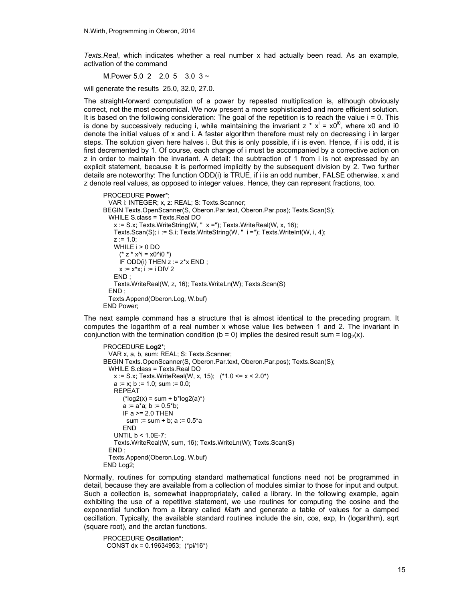*Texts.Real*, which indicates whether a real number x had actually been read. As an example, activation of the command

M. Power 5.0 2 2.0 5 3.0 3 ~

will generate the results 25.0, 32.0, 27.0.

The straight-forward computation of a power by repeated multiplication is, although obviously correct, not the most economical. We now present a more sophisticated and more efficient solution. It is based on the following consideration: The goal of the repetition is to reach the value i = 0. This is done by successively reducing i, while maintaining the invariant  $z * x^{i} = x0^{i0}$ , where x0 and i0 denote the initial values of x and i. A faster algorithm therefore must rely on decreasing i in larger steps. The solution given here halves i. But this is only possible, if i is even. Hence, if i is odd, it is first decremented by 1. Of course, each change of i must be accompanied by a corrective action on z in order to maintain the invariant. A detail: the subtraction of 1 from i is not expressed by an explicit statement, because it is performed implicitly by the subsequent division by 2. Two further details are noteworthy: The function ODD(i) is TRUE, if i is an odd number, FALSE otherwise. x and z denote real values, as opposed to integer values. Hence, they can represent fractions, too.

```
PROCEDURE Power*; 
   VAR i: INTEGER; x, z: REAL; S: Texts.Scanner; 
BEGIN Texts.OpenScanner(S, Oberon.Par.text, Oberon.Par.pos); Texts.Scan(S); 
   WHILE S.class = Texts.Real DO 
   x := S.x; Texts. WriteString(W, " x ="); Texts. WriteReal(W, x, 16);
    Texts.Scan(S); i := S.i; Texts.WriteString(W, " i ="); Texts.WriteInt(W, i, 4); 
   z := 1.0;
    WHILE i > 0 DO 
     (* z * x^i = x0^i0^*)IF ODD(i) THEN z := z^*x END;
     x := x^*x; i := i DIV 2
    END ; 
    Texts.WriteReal(W, z, 16); Texts.WriteLn(W); Texts.Scan(S) 
   END ; 
   Texts.Append(Oberon.Log, W.buf) 
END Power;
```
The next sample command has a structure that is almost identical to the preceding program. It computes the logarithm of a real number x whose value lies between 1 and 2. The invariant in conjunction with the termination condition ( $b = 0$ ) implies the desired result sum =  $log<sub>2</sub>(x)$ .

```
PROCEDURE Log2*; 
   VAR x, a, b, sum: REAL; S: Texts.Scanner; 
BEGIN Texts.OpenScanner(S, Oberon.Par.text, Oberon.Par.pos); Texts.Scan(S); 
   WHILE S.class = Texts.Real DO 
   x := S.x; Texts. WriteReal(W, x, 15); (*1.0 <= x < 2.0*)
   a := x; b := 1.0; sum := 0.0;
    REPEAT 
      (*log2(x) = sum + b*log2(a)*)a := a^*a; b := 0.5^*b;
       IF a >= 2.0 THEN 
       sum := sum + b; a = 0.5<sup>*</sup>a END 
    UNTIL b < 1.0E-7; 
    Texts.WriteReal(W, sum, 16); Texts.WriteLn(W); Texts.Scan(S) 
   END ; 
   Texts.Append(Oberon.Log, W.buf) 
END Log2;
```
Normally, routines for computing standard mathematical functions need not be programmed in detail, because they are available from a collection of modules similar to those for input and output. Such a collection is, somewhat inappropriately, called a library. In the following example, again exhibiting the use of a repetitive statement, we use routines for computing the cosine and the exponential function from a library called *Math* and generate a table of values for a damped oscillation. Typically, the available standard routines include the sin, cos, exp, ln (logarithm), sqrt (square root), and the arctan functions.

PROCEDURE **Oscillation**\*; CONST dx = 0.19634953; (\*pi/16\*)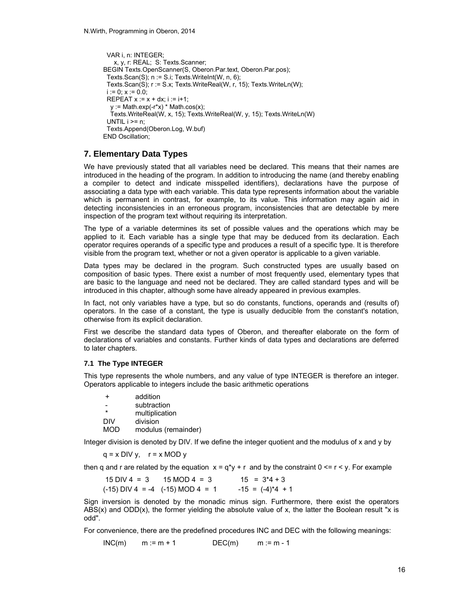```
 VAR i, n: INTEGER; 
    x, y, r: REAL; S: Texts.Scanner; 
BEGIN Texts.OpenScanner(S, Oberon.Par.text, Oberon.Par.pos); 
 Texts.Scan(S); n := S.i; Texts.WriteInt(W, n, 6);
  Texts.Scan(S); r := S.x; Texts.WriteReal(W, r, 15); Texts.WriteLn(W); 
 i := 0; x := 0.0;REPEAT x := x + dx; i := i+1;
  y := \text{Math}.\text{exp}(-r^*x) * \text{Math}.\text{cos}(x); Texts.WriteReal(W, x, 15); Texts.WriteReal(W, y, 15); Texts.WriteLn(W) 
 UNTIL i \geq n;
  Texts.Append(Oberon.Log, W.buf) 
END Oscillation;
```
### **7. Elementary Data Types**

We have previously stated that all variables need be declared. This means that their names are introduced in the heading of the program. In addition to introducing the name (and thereby enabling a compiler to detect and indicate misspelled identifiers), declarations have the purpose of associating a data type with each variable. This data type represents information about the variable which is permanent in contrast, for example, to its value. This information may again aid in detecting inconsistencies in an erroneous program, inconsistencies that are detectable by mere inspection of the program text without requiring its interpretation.

The type of a variable determines its set of possible values and the operations which may be applied to it. Each variable has a single type that may be deduced from its declaration. Each operator requires operands of a specific type and produces a result of a specific type. It is therefore visible from the program text, whether or not a given operator is applicable to a given variable.

Data types may be declared in the program. Such constructed types are usually based on composition of basic types. There exist a number of most frequently used, elementary types that are basic to the language and need not be declared. They are called standard types and will be introduced in this chapter, although some have already appeared in previous examples.

In fact, not only variables have a type, but so do constants, functions, operands and (results of) operators. In the case of a constant, the type is usually deducible from the constant's notation, otherwise from its explicit declaration.

First we describe the standard data types of Oberon, and thereafter elaborate on the form of declarations of variables and constants. Further kinds of data types and declarations are deferred to later chapters.

### **7.1 The Type INTEGER**

This type represents the whole numbers, and any value of type INTEGER is therefore an integer. Operators applicable to integers include the basic arithmetic operations

| +   | addition            |
|-----|---------------------|
|     | subtraction         |
| ÷   | multiplication      |
| DIV | division            |
| MOD | modulus (remainder) |

Integer division is denoted by DIV. If we define the integer quotient and the modulus of x and y by

 $q = x$  DIV y,  $r = x$  MOD y

then q and r are related by the equation  $x = q^2y + r$  and by the constraint  $0 \le r \le y$ . For example

 $15 \text{ DIV } 4 = 3$   $15 \text{ MOD } 4 = 3$   $15 = 3*4+3$  $(-15)$  DIV 4 = -4  $(-15)$  MOD 4 = 1  $-15 = (-4)^{4} + 1$ 

Sign inversion is denoted by the monadic minus sign. Furthermore, there exist the operators  $ABS(x)$  and  $ODD(x)$ , the former yielding the absolute value of x, the latter the Boolean result "x is odd".

For convenience, there are the predefined procedures INC and DEC with the following meanings:

 $INC(m)$  m := m + 1 DEC(m) m := m - 1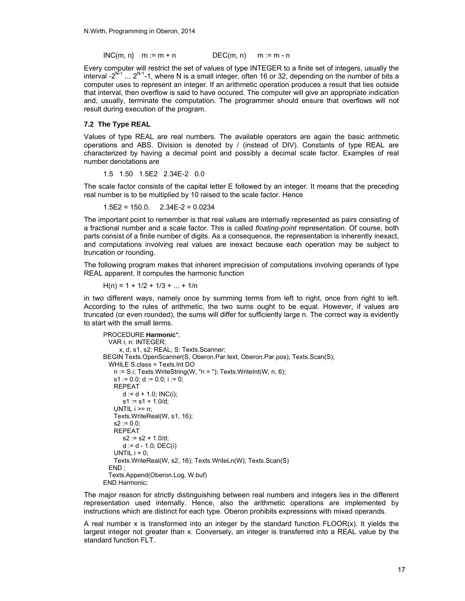$INC(m, n)$  m := m + n DEC(m, n) m := m - n

Every computer will restrict the set of values of type INTEGER to a finite set of integers, usually the interval -2<sup>N-1</sup> ... 2<sup>N-1</sup>-1, where N is a small integer, often 16 or 32, depending on the number of bits a computer uses to represent an integer. If an arithmetic operation produces a result that lies outside that interval, then overflow is said to have occured. The computer will give an appropriate indication and, usually, terminate the computation. The programmer should ensure that overflows will not result during execution of the program.

#### **7.2 The Type REAL**

Values of type REAL are real numbers. The available operators are again the basic arithmetic operations and ABS. Division is denoted by / (instead of DIV). Constants of type REAL are characterized by having a decimal point and possibly a decimal scale factor. Examples of real number denotations are

1.5 1.50 1.5E2 2.34E-2 0.0

The scale factor consists of the capital letter E followed by an integer. It means that the preceding real number is to be multiplied by 10 raised to the scale factor. Hence

 $1.5E2 = 150.0$ ,  $2.34E-2 = 0.0234$ 

The important point to remember is that real values are internally represented as pairs consisting of a fractional number and a scale factor. This is called *floating-point* representation. Of course, both parts consist of a finite number of digits. As a consequence, the representation is inherently inexact, and computations involving real values are inexact because each operation may be subject to truncation or rounding.

The following program makes that inherent imprecision of computations involving operands of type REAL apparent. It computes the harmonic function

 $H(n) = 1 + 1/2 + 1/3 + ... + 1/n$ 

in two different ways, namely once by summing terms from left to right, once from right to left. According to the rules of arithmetic, the two sums ought to be equal. However, if values are truncated (or even rounded), the sums will differ for sufficiently large n. The correct way is evidently to start with the small terms.

```
PROCEDURE Harmonic*; 
   VAR i, n: INTEGER; 
      x, d, s1, s2: REAL; S: Texts.Scanner; 
BEGIN Texts.OpenScanner(S, Oberon.Par.text, Oberon.Par.pos); Texts.Scan(S); 
   WHILE S.class = Texts.Int DO 
    n := S.i; Texts.WriteString(W, "n = "); Texts.WriteInt(W, n, 6); 
   s1 := 0.0; d := 0.0; i := 0;
    REPEAT 
       d := d + 1.0; INC(i);
      s1 := s1 + 1.0/d;
    UNTIL i >= n; 
    Texts.WriteReal(W, s1, 16); 
   s2 := 0.0;
    REPEAT 
      s2 := s2 + 1.0/d;d := d - 1.0; DEC(i)
   UNTIL i = 0:
    Texts.WriteReal(W, s2, 16); Texts.WriteLn(W); Texts.Scan(S) 
   END ; 
   Texts.Append(Oberon.Log, W.buf) 
END Harmonic;
```
The major reason for strictly distinguishing between real numbers and integers lies in the different representation used internally. Hence, also the arithmetic operations are implemented by instructions which are distinct for each type. Oberon prohibits expressions with mixed operands.

A real number x is transformed into an integer by the standard function  $FLOOR(x)$ . It yields the largest integer not greater than x. Conversely, an integer is transferred into a REAL value by the standard function FLT.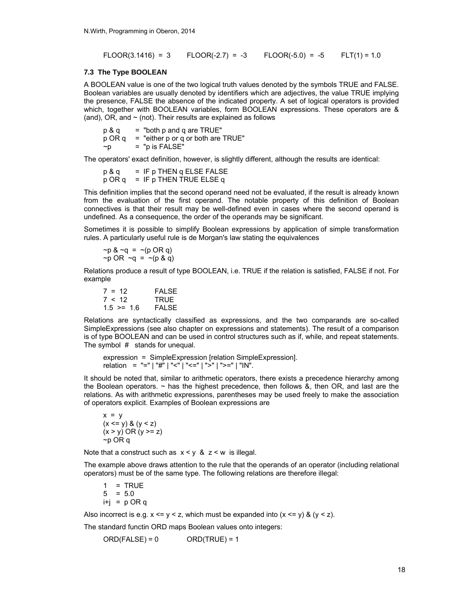$FLOOR(3.1416) = 3$   $FLOOR(-2.7) = -3$   $FLOOR(-5.0) = -5$   $FLT(1) = 1.0$ 

#### **7.3 The Type BOOLEAN**

A BOOLEAN value is one of the two logical truth values denoted by the symbols TRUE and FALSE. Boolean variables are usually denoted by identifiers which are adjectives, the value TRUE implying the presence, FALSE the absence of the indicated property. A set of logical operators is provided which, together with BOOLEAN variables, form BOOLEAN expressions. These operators are & (and), OR, and  $\sim$  (not). Their results are explained as follows

 $p & q$  = "both p and q are TRUE"  $p$  OR  $q =$  "either p or q or both are TRUE"  $~\sim$ p = "p is FALSE"

The operators' exact definition, however, is slightly different, although the results are identical:

 $p & q =$  IF  $p$  THEN  $q$  ELSE FALSE  $p$  OR  $q =$  IF  $p$  THEN TRUE ELSE  $q$ 

This definition implies that the second operand need not be evaluated, if the result is already known from the evaluation of the first operand. The notable property of this definition of Boolean connectives is that their result may be well-defined even in cases where the second operand is undefined. As a consequence, the order of the operands may be significant.

Sometimes it is possible to simplify Boolean expressions by application of simple transformation rules. A particularly useful rule is de Morgan's law stating the equivalences

 $\neg p \& \neg q = \neg (p \text{ OR } q)$  $\neg p$  OR  $\neg q = \neg (p \& q)$ 

Relations produce a result of type BOOLEAN, i.e. TRUE if the relation is satisfied, FALSE if not. For example

7 = 12 FALSE 7 < 12 TRUE 1.5 >= 1.6 FALSE

Relations are syntactically classified as expressions, and the two comparands are so-called SimpleExpressions (see also chapter on expressions and statements). The result of a comparison is of type BOOLEAN and can be used in control structures such as if, while, and repeat statements. The symbol # stands for unequal.

```
expression = SimpleExpression [relation SimpleExpression]. 
relation = "=" | "#" | "<" | "<=" | ">" | ">=" | "|N".
```
It should be noted that, similar to arithmetic operators, there exists a precedence hierarchy among the Boolean operators.  $\sim$  has the highest precedence, then follows &, then OR, and last are the relations. As with arithmetic expressions, parentheses may be used freely to make the association of operators explicit. Examples of Boolean expressions are

 $x = y$  $(x \le y)$  &  $(y \le z)$  $(x > y)$  OR  $(y > = z)$ ~p OR q

Note that a construct such as  $x < y$  &  $z < w$  is illegal.

The example above draws attention to the rule that the operands of an operator (including relational operators) must be of the same type. The following relations are therefore illegal:

```
1 = TRUE5 = 5.0i+j = p OR q
```
Also incorrect is e.g.  $x \le y \le z$ , which must be expanded into  $(x \le y)$  &  $(y \le z)$ .

The standard functin ORD maps Boolean values onto integers:

 $ORD(FALSE) = 0$   $ORD(TRUE) = 1$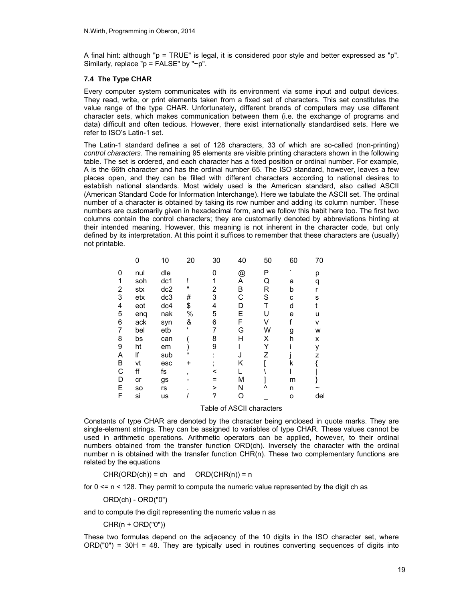A final hint: although "p = TRUE" is legal, it is considered poor style and better expressed as "p". Similarly, replace "p = FALSE" by "~p".

### **7.4 The Type CHAR**

Every computer system communicates with its environment via some input and output devices. They read, write, or print elements taken from a fixed set of characters. This set constitutes the value range of the type CHAR. Unfortunately, different brands of computers may use different character sets, which makes communication between them (i.e. the exchange of programs and data) difficult and often tedious. However, there exist internationally standardised sets. Here we refer to ISO's Latin-1 set.

The Latin-1 standard defines a set of 128 characters, 33 of which are so-called (non-printing) *control characters*. The remaining 95 elements are visible printing characters shown in the following table. The set is ordered, and each character has a fixed position or ordinal number. For example, A is the 66th character and has the ordinal number 65. The ISO standard, however, leaves a few places open, and they can be filled with different characters according to national desires to establish national standards. Most widely used is the American standard, also called ASCII (American Standard Code for Information Interchange). Here we tabulate the ASCII set. The ordinal number of a character is obtained by taking its row number and adding its column number. These numbers are customarily given in hexadecimal form, and we follow this habit here too. The first two columns contain the control characters; they are customarily denoted by abbreviations hinting at their intended meaning. However, this meaning is not inherent in the character code, but only defined by its interpretation. At this point it suffices to remember that these characters are (usually) not printable.

|   | 0   | 10              | 20      | 30 | 40 | 50 | 60 | 70  |
|---|-----|-----------------|---------|----|----|----|----|-----|
| 0 | nul | dle             |         | 0  | @  | P  | ۰  | р   |
| 1 | soh | dc <sub>1</sub> |         | 1  | Α  | Q  | а  | q   |
| 2 | stx | dc2             |         | 2  | В  | R  | b  | r   |
| 3 | etx | dc3             | #       | 3  | С  | S  | C  | S   |
| 4 | eot | dc4             | \$      | 4  | D  | Τ  | d  |     |
| 5 | eng | nak             | $\%$    | 5  | E  | U  | e  | u   |
| 6 | ack | syn             | &       | 6  | F  | V  | f  | ٧   |
| 7 | bel | etb             |         | 7  | G  | W  | g  | W   |
| 8 | bs  | can             |         | 8  | Н  | Х  | h  | x   |
| 9 | ht  | em              |         | 9  |    | Y  |    | у   |
| Α | lf  | sub             | $\star$ |    | J  | Z  |    | Z   |
| В | vt  | esc             | +       |    | Κ  |    | k  |     |
| C | ff  | fs              |         | <  |    |    |    |     |
| D | cr  | gs              |         |    | М  |    | m  |     |
| E | SO  | rs              |         | >  | Ν  | Λ  | n  |     |
| F | si  | us              |         | ?  | O  |    | o  | del |
|   |     |                 |         |    |    |    |    |     |

Table of ASCII characters

Constants of type CHAR are denoted by the character being enclosed in quote marks. They are single-element strings. They can be assigned to variables of type CHAR. These values cannot be used in arithmetic operations. Arithmetic operators can be applied, however, to their ordinal numbers obtained from the transfer function ORD(ch). Inversely the character with the ordinal number n is obtained with the transfer function CHR(n). These two complementary functions are related by the equations

 $CHR(ORD(ch)) = ch$  and  $ORD(CHR(n)) = n$ 

for  $0 \leq n \leq 128$ . They permit to compute the numeric value represented by the digit ch as

ORD(ch) - ORD("0")

and to compute the digit representing the numeric value n as

CHR(n + ORD("0"))

These two formulas depend on the adiacency of the 10 digits in the ISO character set, where  $ORD("0") = 30H = 48$ . They are typically used in routines converting sequences of digits into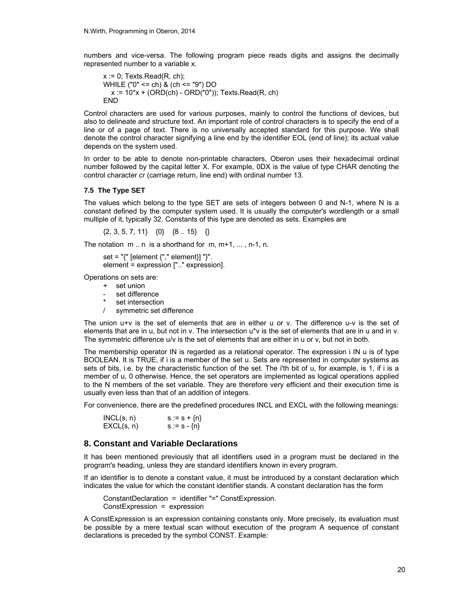numbers and vice-versa. The following program piece reads digits and assigns the decimally represented number to a variable x.

```
x := 0; Texts. Read(R, ch);
WHILE ("0" <= ch) & (ch <= "9") DO 
  x := 10^*x + (ORD(ch) - ORD("0")); Texts.Read(R, ch)
END
```
Control characters are used for various purposes, mainly to control the functions of devices, but also to delineate and structure text. An important role of control characters is to specify the end of a line or of a page of text. There is no universally accepted standard for this purpose. We shall denote the control character signifying a line end by the identifier EOL (end of line); its actual value depends on the system used.

In order to be able to denote non-printable characters, Oberon uses their hexadecimal ordinal number followed by the capital letter X. For example, 0DX is the value of type CHAR denoting the control character *cr* (carriage return, line end) with ordinal number 13.

#### **7.5 The Type SET**

The values which belong to the type SET are sets of integers between 0 and N-1, where N is a constant defined by the computer system used. It is usually the computer's wordlength or a small multiple of it, typically 32. Constants of this type are denoted as sets. Examples are

 $\{2, 3, 5, 7, 11\}$   $\{0\}$   $\{8..15\}$   $\{\}$ 

The notation  $m \dots n$  is a shorthand for  $m \dots m+1, \dots n-1, n$ .

set = "{" [element {"," element}] "}". element = expression [".." expression].

Operations on sets are:

- + set union
- set difference
- set intersection
- / symmetric set difference

The union u+v is the set of elements that are in either u or v. The difference u-v is the set of elements that are in u, but not in v. The intersection u\*v is the set of elements that are in u and in v. The symmetric difference u/v is the set of elements that are either in u or v, but not in both.

The membership operator IN is regarded as a relational operator. The expression i IN u is of type BOOLEAN. It is TRUE, if i is a member of the set u. Sets are represented in computer systems as sets of bits, i.e. by the characteristic function of the set. The i'th bit of u, for example, is 1, if i is a member of u, 0 otherwise. Hence, the set operators are implemented as logical operations applied to the N members of the set variable. They are therefore very efficient and their execution time is usually even less than that of an addition of integers.

For convenience, there are the predefined procedures INCL and EXCL with the following meanings:

 $INCL(s, n)$   $s := s + {n}$  $EXCL(s, n)$   $s := s - {n}$ 

### **8. Constant and Variable Declarations**

It has been mentioned previously that all identifiers used in a program must be declared in the program's heading, unless they are standard identifiers known in every program.

If an identifier is to denote a constant value, it must be introduced by a constant declaration which indicates the value for which the constant identifier stands. A constant declaration has the form

ConstantDeclaration = identifier "=" ConstExpression. ConstExpression = expression

A ConstExpression is an expression containing constants only. More precisely, its evaluation must be possible by a mere textual scan without execution of the program A sequence of constant declarations is preceded by the symbol CONST. Example: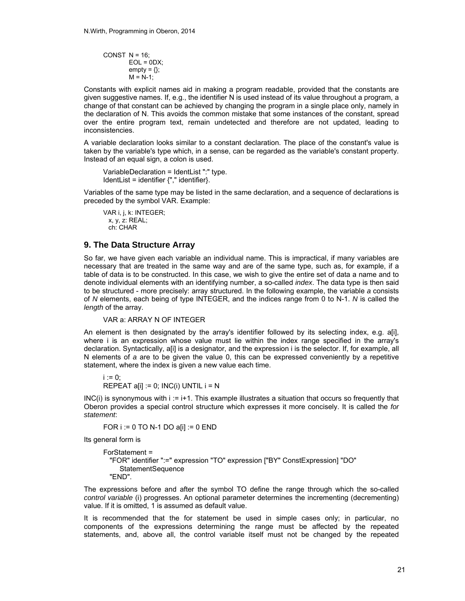CONST  $N = 16$ ;  $EOL = 0DX$ : empty =  $\{\}$ ;  $M = N-1$ ;

Constants with explicit names aid in making a program readable, provided that the constants are given suggestive names. If, e.g., the identifier N is used instead of its value throughout a program, a change of that constant can be achieved by changing the program in a single place only, namely in the declaration of N. This avoids the common mistake that some instances of the constant, spread over the entire program text, remain undetected and therefore are not updated, leading to inconsistencies.

A variable declaration looks similar to a constant declaration. The place of the constant's value is taken by the variable's type which, in a sense, can be regarded as the variable's constant property. Instead of an equal sign, a colon is used.

VariableDeclaration = IdentList ":" type. IdentList = identifier {"," identifier}.

Variables of the same type may be listed in the same declaration, and a sequence of declarations is preceded by the symbol VAR. Example:

VAR i, j, k: INTEGER; x, y, z: REAL; ch: CHAR

#### **9. The Data Structure Array**

So far, we have given each variable an individual name. This is impractical, if many variables are necessary that are treated in the same way and are of the same type, such as, for example, if a table of data is to be constructed. In this case, we wish to give the entire set of data a name and to denote individual elements with an identifying number, a so-called *index*. The data type is then said to be structured - more precisely: array structured. In the following example, the variable *a* consists of *N* elements, each being of type INTEGER, and the indices range from 0 to N-1. *N* is called the *length* of the array.

VAR a: ARRAY N OF INTEGER

An element is then designated by the array's identifier followed by its selecting index, e.g. a[i], where i is an expression whose value must lie within the index range specified in the array's declaration. Syntactically, a[i] is a designator, and the expression i is the selector. If, for example, all N elements of *a* are to be given the value 0, this can be expressed conveniently by a repetitive statement, where the index is given a new value each time.

 $i := 0$ : REPEAT  $a[i] := 0$ ; INC(i) UNTIL  $i = N$ 

 $INC(i)$  is synonymous with  $i := i+1$ . This example illustrates a situation that occurs so frequently that Oberon provides a special control structure which expresses it more concisely. It is called the *for statement*:

FOR i := 0 TO N-1 DO a[i] := 0 END

Its general form is

```
ForStatement = 
   "FOR" identifier ":=" expression "TO" expression ["BY" ConstExpression] "DO" 
     StatementSequence
  "END".
```
The expressions before and after the symbol TO define the range through which the so-called *control variable* (i) progresses. An optional parameter determines the incrementing (decrementing) value. If it is omitted, 1 is assumed as default value.

It is recommended that the for statement be used in simple cases only; in particular, no components of the expressions determining the range must be affected by the repeated statements, and, above all, the control variable itself must not be changed by the repeated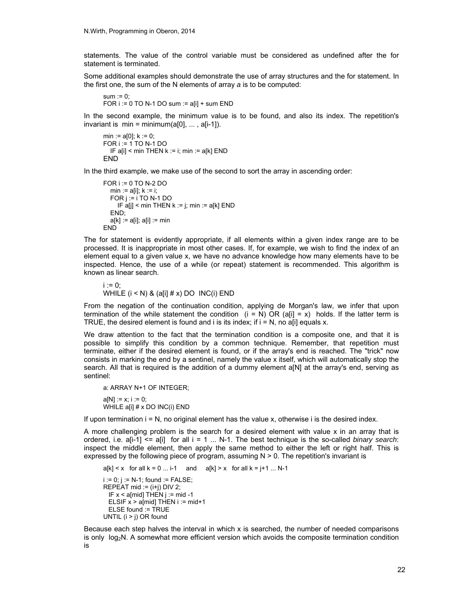statements. The value of the control variable must be considered as undefined after the for statement is terminated.

Some additional examples should demonstrate the use of array structures and the for statement. In the first one, the sum of the N elements of array *a* is to be computed:

```
sum = 0;
FOR i = 0 TO N-1 DO sum := a[i] + sum END
```
In the second example, the minimum value is to be found, and also its index. The repetition's invariant is  $min = minimum(a[0], ..., a[i-1]).$ 

min :=  $a[0]$ ;  $k := 0$ ; FOR  $i = 1$  TO N-1 DO IF a[i] < min THEN k := i; min := a[k] END END

In the third example, we make use of the second to sort the array in ascending order:

```
FOR i := 0 TO N-2 DO
  min := a[i]; k := i;
  FOR j := i TO N-1 DO
     IF a[i] < min THEN k = j; min := a[k] END
   END; 
  a[k] := a[i]; a[i] := minFND
```
The for statement is evidently appropriate, if all elements within a given index range are to be processed. It is inappropriate in most other cases. If, for example, we wish to find the index of an element equal to a given value x, we have no advance knowledge how many elements have to be inspected. Hence, the use of a while (or repeat) statement is recommended. This algorithm is known as linear search.

```
i := 0WHILE (i < N) & (a[i] # x) DO INC(i) END
```
From the negation of the continuation condition, applying de Morgan's law, we infer that upon termination of the while statement the condition  $(i = N)$  OR (a[i] = x) holds. If the latter term is TRUE, the desired element is found and i is its index; if  $i = N$ , no a[i] equals x.

We draw attention to the fact that the termination condition is a composite one, and that it is possible to simplify this condition by a common technique. Remember, that repetition must terminate, either if the desired element is found, or if the array's end is reached. The "trick" now consists in marking the end by a sentinel, namely the value x itself, which will automatically stop the search. All that is required is the addition of a dummy element a[N] at the array's end, serving as sentinel:

a: ARRAY N+1 OF INTEGER;  $a[N] := x; i := 0:$ WHILE a[i] # x DO INC(i) END

If upon termination  $i = N$ , no original element has the value x, otherwise i is the desired index.

A more challenging problem is the search for a desired element with value x in an array that is ordered, i.e. a[i-1] <= a[i] for all i = 1 ... N-1. The best technique is the so-called *binary search*: inspect the middle element, then apply the same method to either the left or right half. This is expressed by the following piece of program, assuming  $N > 0$ . The repetition's invariant is

```
a[k] < x for all k = 0 ... i-1 and a[k] > x for all k = i+1 ... N-1i := 0; j = N-1; found := FALSE;
REPEAT mid := (i+i) DIV 2:
  IF x < a[mid] THEN i := mid -1ELSIF x > a[mid] THEN i := mid+1
   ELSE found := TRUE 
UNTIL (i > j) OR found
```
Because each step halves the interval in which x is searched, the number of needed comparisons is only  $log_2 N$ . A somewhat more efficient version which avoids the composite termination condition is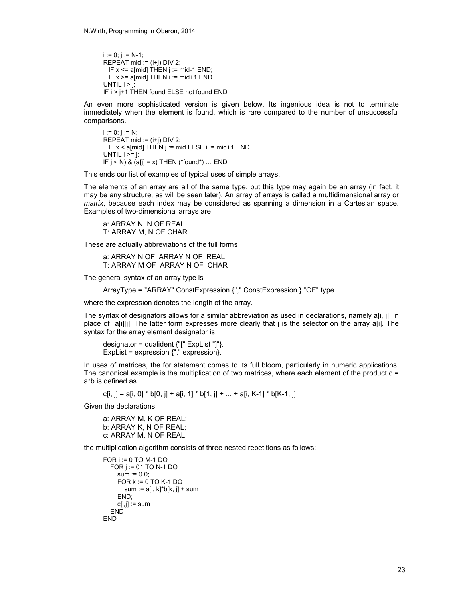```
i = 0; j = N-1;
REPEAT mid := (i+j) DIV 2;
  IF x \leq a[mid] THEN j := mid-1 END;
  IF x \ge a[mid] THEN i := mid+1 END
UNTIL i > j; 
IF i > j+1 THEN found ELSE not found END
```
An even more sophisticated version is given below. Its ingenious idea is not to terminate immediately when the element is found, which is rare compared to the number of unsuccessful comparisons.

 $i := 0$ ;  $i := N$ ; REPEAT mid :=  $(i+j)$  DIV 2; IF  $x < a$ [mid] THEN  $j := mid$  ELSE  $i := mid + 1$  END UNTIL  $i \ge i$ ; IF  $j < N$ ) & (a[j] = x) THEN (\*found\*) ... END

This ends our list of examples of typical uses of simple arrays.

The elements of an array are all of the same type, but this type may again be an array (in fact, it may be any structure, as will be seen later). An array of arrays is called a multidimensional array or *matrix*, because each index may be considered as spanning a dimension in a Cartesian space. Examples of two-dimensional arrays are

a: ARRAY N, N OF REAL T: ARRAY M, N OF CHAR

These are actually abbreviations of the full forms

a: ARRAY N OF ARRAY N OF REAL T: ARRAY M OF ARRAY N OF CHAR

The general syntax of an array type is

ArrayType = "ARRAY" ConstExpression {"," ConstExpression } "OF" type.

where the expression denotes the length of the array.

The syntax of designators allows for a similar abbreviation as used in declarations, namely a[i, j] in place of a[i][j]. The latter form expresses more clearly that j is the selector on the array a[i]. The syntax for the array element designator is

```
designator = qualident {"[" ExpList "]"}. 
ExpList = expression {"," expression}.
```
In uses of matrices, the for statement comes to its full bloom, particularly in numeric applications. The canonical example is the multiplication of two matrices, where each element of the product  $c =$ a\*b is defined as

c[i, j] = a[i, 0] \* b[0, j] + a[i, 1] \* b[1, j] + ... + a[i, K-1] \* b[K-1, j]

Given the declarations

a: ARRAY M, K OF REAL; b: ARRAY K, N OF REAL; c: ARRAY M, N OF REAL

the multiplication algorithm consists of three nested repetitions as follows:

```
FOR i := 0 TO M-1 DO 
   FOR j := 01 TO N-1 DO 
     sum := 0.0;
      FOR k := 0 TO K-1 DO 
       sum := a[i, k]^*b[k, j] + sum END; 
     c[i,j] := sumEND
END
```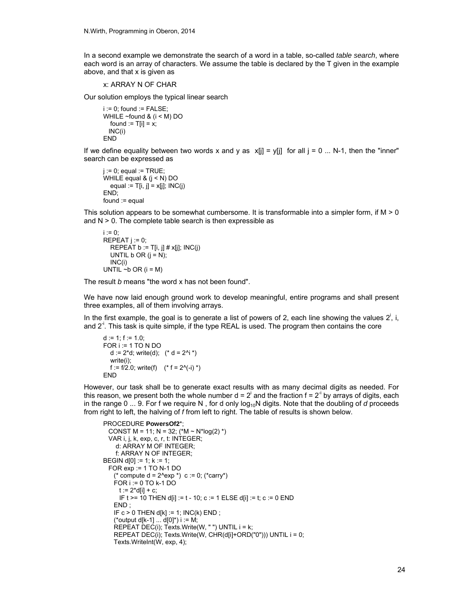In a second example we demonstrate the search of a word in a table, so-called *table search*, where each word is an array of characters. We assume the table is declared by the T given in the example above, and that x is given as

x: ARRAY N OF CHAR

Our solution employs the typical linear search

 $i := 0$ : found := FALSE: WHILE ~found & (i < M) DO found :=  $T[i] = x$ ; INC(i) END

If we define equality between two words x and y as  $x[j] = y[j]$  for all  $j = 0 ... N-1$ , then the "inner" search can be expressed as

```
i := 0; equal := TRUE;
WHILE equal & (j < N) DO 
  equal := T[i, j] = x[j]; INC(j)END; 
found := equal
```
This solution appears to be somewhat cumbersome. It is transformable into a simpler form, if  $M > 0$ and N > 0. The complete table search is then expressible as

```
i := 0:
REPEAT j := 0;
  REPEAT b := T[i, j] \# x[j]; INC(j)
  UNTIL b OR (j = N);
   INC(i) 
UNTIL ~b OR (i = M)
```
The result *b* means "the word x has not been found".

We have now laid enough ground work to develop meaningful, entire programs and shall present three examples, all of them involving arrays.

In the first example, the goal is to generate a list of powers of 2, each line showing the values  $2^i$ , i, and  $2<sup>-1</sup>$ . This task is quite simple, if the type REAL is used. The program then contains the core

```
d := 1; f := 1.0;
FOR i := 1 TO N DO 
  d := 2 * d; write(d); (* d = 2^i * ) write(i); 
  f := f/2.0; write(f) (* f = 2^(-i)")END
```
However, our task shall be to generate exact results with as many decimal digits as needed. For this reason, we present both the whole number  $d = 2<sup>i</sup>$  and the fraction  $f = 2<sup>i</sup>$  by arrays of digits, each in the range 0 ... 9. For f we require N, for d only log<sub>10</sub>N digits. Note that the doubling of *d* proceeds from right to left, the halving of *f* from left to right. The table of results is shown below.

```
PROCEDURE PowersOf2*; 
  CONST M = 11; N = 32; (*M \sim N^{*}log(2) * ) VAR i, j, k, exp, c, r, t: INTEGER; 
     d: ARRAY M OF INTEGER; 
     f: ARRAY N OF INTEGER; 
BEGIN d[0] := 1; k := 1;
   FOR exp := 1 TO N-1 DO 
   (* compute d = 2^{\circ}exp *) c := 0; (*carry*)
   FOR i = 0 TO k-1 DO
     t = 2 * d[i] + c; IF t >= 10 THEN d[i] := t - 10; c := 1 ELSE d[i] := t; c := 0 END 
    END ; 
   IF c > 0 THEN d[k] := 1; INC(k) END;
   (*output d[k-1] ... d[0]^*) i := M;
   REPEAT DEC(i); Texts. Write(W, " ") UNTIL i = k;
    REPEAT DEC(i); Texts.Write(W, CHR(d[i]+ORD("0"))) UNTIL i = 0; 
    Texts.WriteInt(W, exp, 4);
```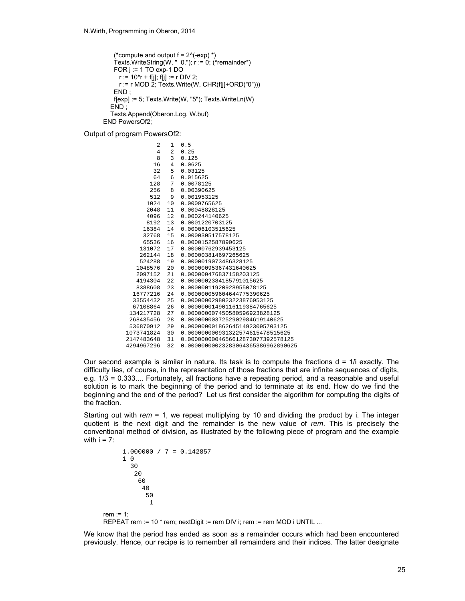```
(*compute and output f = 2(-exp) *)
   Texts.WriteString(W, " 0."); r = 0; (*remainder*)
   FOR j := 1 TO exp-1 DO
     r := 10^{*}r + ff[j]; ff[j] := r DIV 2;
     r := r MOD 2; Texts. Write (W, CHR(f[j]+ORD("0")))
    END ; 
    f[exp] := 5; Texts.Write(W, "5"); Texts.WriteLn(W) 
   END ; 
   Texts.Append(Oberon.Log, W.buf) 
END PowersOf2;
```
Output of program PowersOf2:

| 2          | 1              | 0.5                                |
|------------|----------------|------------------------------------|
| 4          | $\overline{a}$ | 0.25                               |
| 8          | 3              | 0.125                              |
| 16         | 4              | 0.0625                             |
| 32         | 5              | 0.03125                            |
| 64         | 6              | 0.015625                           |
| 128        | 7              | 0.0078125                          |
| 256        | 8              | 0.00390625                         |
| 512        | 9              | 0.001953125                        |
| 1024       | 10             | 0.0009765625                       |
| 2048       | 11             | 0.00048828125                      |
| 4096       | 12             | 0.000244140625                     |
| 8192       | 13             | 0.0001220703125                    |
| 16384      | 14             | 0.00006103515625                   |
| 32768      | 15             | 0.000030517578125                  |
| 65536      | 16             | 0.0000152587890625                 |
| 131072     | 17             | 0.00000762939453125                |
| 262144     | 18             | 0.000003814697265625               |
| 524288     | 19             | 0.0000019073486328125              |
| 1048576    | 20             | 0.00000095367431640625             |
| 2097152    | 21             | 0.000000476837158203125            |
| 4194304    | 22             | 0.0000002384185791015625           |
| 8388608    | 23             | 0.00000011920928955078125          |
| 16777216   | 24             | 0.000000059604644775390625         |
| 33554432   | 25             | 0.0000000298023223876953125        |
| 67108864   | 26             | 0.00000001490116119384765625       |
| 134217728  | 27             | 0.000000007450580596923828125      |
| 268435456  | 28             | 0.0000000037252902984619140625     |
| 536870912  | 29             | 0.00000000186264514923095703125    |
| 1073741824 | 30             | 0.000000000931322574615478515625   |
| 2147483648 | 31             | 0.0000000004656612873077392578125  |
| 4294967296 | 32             | 0.00000000023283064365386962890625 |

Our second example is similar in nature. Its task is to compute the fractions d = 1/i exactly. The difficulty lies, of course, in the representation of those fractions that are infinite sequences of digits, e.g. 1/3 = 0.333.... Fortunately, all fractions have a repeating period, and a reasonable and useful solution is to mark the beginning of the period and to terminate at its end. How do we find the beginning and the end of the period? Let us first consider the algorithm for computing the digits of the fraction.

Starting out with *rem* = 1, we repeat multiplying by 10 and dividing the product by i. The integer quotient is the next digit and the remainder is the new value of *rem*. This is precisely the conventional method of division, as illustrated by the following piece of program and the example with  $i = 7$ :

```
1.000000 / 7 = 0.1428571 0 
          30 
            20 
             60 
              40 
                50 
                 1 
rem := 1; 
REPEAT rem := 10 * rem; nextDigit := rem DIV i; rem := rem MOD i UNTIL ...
```
We know that the period has ended as soon as a remainder occurs which had been encountered previously. Hence, our recipe is to remember all remainders and their indices. The latter designate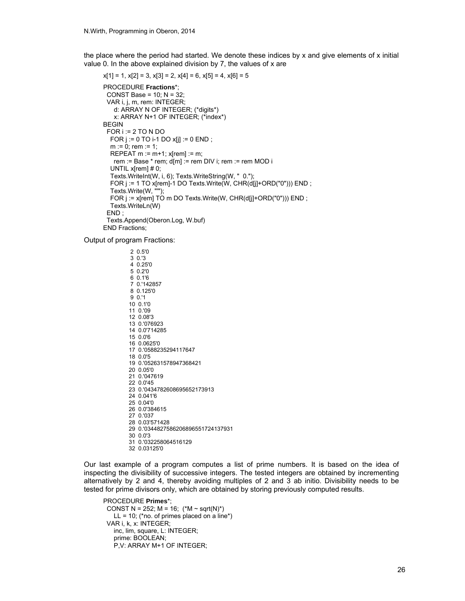the place where the period had started. We denote these indices by x and give elements of x initial value 0. In the above explained division by 7, the values of x are

```
x[1] = 1, x[2] = 3, x[3] = 2, x[4] = 6, x[5] = 4, x[6] = 5PROCEDURE Fractions*; 
 CONST Base = 10; N = 32;
  VAR i, j, m, rem: INTEGER; 
    d: ARRAY N OF INTEGER; (*digits*) 
    x: ARRAY N+1 OF INTEGER; (*index*) 
BEGIN 
  FOR i := 2 TO N DO 
  FOR j = 0 TO i-1 DO x[j] = 0 END;
  m := 0; rem := 1;
  REPEAT m := m+1; x[rem] := m;
   rem := Base * rem; d[m] := rem DIV i; rem := rem MOD i
   UNTIL x[rem] # 0; 
   Texts.WriteInt(W, i, 6); Texts.WriteString(W, " 0."); 
  FOR j = 1 TO x[rem]-1 DO Texts. Write(W, CHR(d[j]+ORD("0"))) END;
   Texts.Write(W, "'"); 
  FOR j := x[rem] TO m DO Texts. Write(W, CHR(d[i]+ORD("0"))) END;
   Texts.WriteLn(W) 
  END ; 
  Texts.Append(Oberon.Log, W.buf) 
END Fractions;
```
Output of program Fractions:

```
 2 0.5'0 
 3 0.'3 
 4 0.25'0 
 5 0.2'0 
 6 0.1'6 
 7 0.'142857 
 8 0.125'0 
 9 0.'1 
 10 0.1'0 
 11 0.'09 
 12 0.08'3 
 13 0.'076923 
 14 0.0'714285 
 15 0.0'6 
 16 0.0625'0 
 17 0.'0588235294117647 
 18 0.0'5 
 19 0.'052631578947368421 
 20 0.05'0 
 21 0.'047619 
 22 0.0'45 
 23 0.'0434782608695652173913 
 24 0.041'6 
 25 0.04'0 
 26 0.0'384615 
 27 0.'037 
 28 0.03'571428 
 29 0.'0344827586206896551724137931 
 30 0.0'3 
 31 0.'032258064516129 
 32 0.03125'0
```
Our last example of a program computes a list of prime numbers. It is based on the idea of inspecting the divisibility of successive integers. The tested integers are obtained by incrementing alternatively by 2 and 4, thereby avoiding multiples of 2 and 3 ab initio. Divisibility needs to be tested for prime divisors only, which are obtained by storing previously computed results.

```
PROCEDURE Primes*; 
 CONST N = 252; M = 16; (*M ~ sqrt(N)*)
   LL = 10; (*no. of primes placed on a line*)
  VAR i, k, x: INTEGER; 
    inc, lim, square, L: INTEGER; 
    prime: BOOLEAN; 
    P,V: ARRAY M+1 OF INTEGER;
```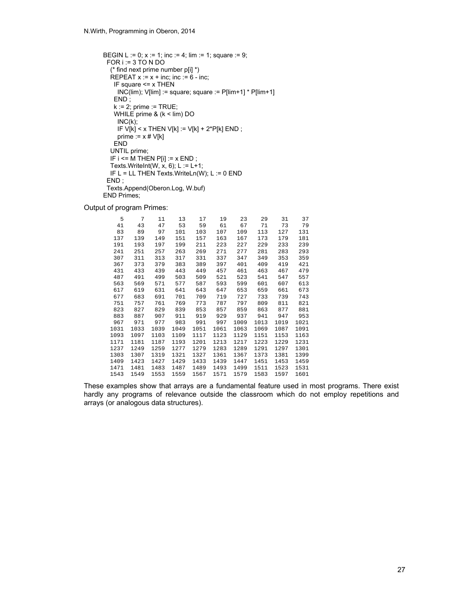```
BEGIN L := 0; x := 1; inc := 4; lim := 1; square := 9; 
  FOR i := 3 TO N DO 
   (* find next prime number p[i] *) 
  REPEAT x := x + inc; inc := 6 - inc;
    IF square <= x THEN 
    INC(lim); V[lim] := square; square := P[lim+1] * P[lim+1] END ; 
   k := 2; prime := TRUE;
   WHILE prime & (k < lim) DO
      INC(k); 
     IF V[k] < x THEN V[k] := V[k] + 2*P[k] END ;
     prime := x # V[k] END 
   UNTIL prime; 
  IF i \leq M THEN P[i] := x END ;
  Texts.WriteInt(W, x, 6); L := L + 1;
   IF L = LL THEN Texts.WriteLn(W); L := 0 END 
  END ; 
  Texts.Append(Oberon.Log, W.buf) 
END Primes;
```
Output of program Primes:

| 5    | 7    | 11   | 13   | 17   | 19   | 23   | 29   | 31   | 37   |
|------|------|------|------|------|------|------|------|------|------|
| 41   | 43   | 47   | 53   | 59   | 61   | 67   | 71   | 73   | 79   |
| 83   | 89   | 97   | 101  | 103  | 107  | 109  | 113  | 127  | 131  |
| 137  | 139  | 149  | 151  | 157  | 163  | 167  | 173  | 179  | 181  |
| 191  | 193  | 197  | 199  | 211  | 223  | 227  | 229  | 233  | 239  |
| 241  | 251  | 257  | 263  | 269  | 271  | 277  | 281  | 283  | 293  |
| 307  | 311  | 313  | 317  | 331  | 337  | 347  | 349  | 353  | 359  |
| 367  | 373  | 379  | 383  | 389  | 397  | 401  | 409  | 419  | 421  |
| 431  | 433  | 439  | 443  | 449  | 457  | 461  | 463  | 467  | 479  |
| 487  | 491  | 499  | 503  | 509  | 521  | 523  | 541  | 547  | 557  |
| 563  | 569  | 571  | 577  | 587  | 593  | 599  | 601  | 607  | 613  |
| 617  | 619  | 631  | 641  | 643  | 647  | 653  | 659  | 661  | 673  |
| 677  | 683  | 691  | 701  | 709  | 719  | 727  | 733  | 739  | 743  |
| 751  | 757  | 761  | 769  | 773  | 787  | 797  | 809  | 811  | 821  |
| 823  | 827  | 829  | 839  | 853  | 857  | 859  | 863  | 877  | 881  |
| 883  | 887  | 907  | 911  | 919  | 929  | 937  | 941  | 947  | 953  |
| 967  | 971  | 977  | 983  | 991  | 997  | 1009 | 1013 | 1019 | 1021 |
| 1031 | 1033 | 1039 | 1049 | 1051 | 1061 | 1063 | 1069 | 1087 | 1091 |
| 1093 | 1097 | 1103 | 1109 | 1117 | 1123 | 1129 | 1151 | 1153 | 1163 |
| 1171 | 1181 | 1187 | 1193 | 1201 | 1213 | 1217 | 1223 | 1229 | 1231 |
| 1237 | 1249 | 1259 | 1277 | 1279 | 1283 | 1289 | 1291 | 1297 | 1301 |
| 1303 | 1307 | 1319 | 1321 | 1327 | 1361 | 1367 | 1373 | 1381 | 1399 |
| 1409 | 1423 | 1427 | 1429 | 1433 | 1439 | 1447 | 1451 | 1453 | 1459 |
| 1471 | 1481 | 1483 | 1487 | 1489 | 1493 | 1499 | 1511 | 1523 | 1531 |
| 1543 | 1549 | 1553 | 1559 | 1567 | 1571 | 1579 | 1583 | 1597 | 1601 |

These examples show that arrays are a fundamental feature used in most programs. There exist hardly any programs of relevance outside the classroom which do not employ repetitions and arrays (or analogous data structures).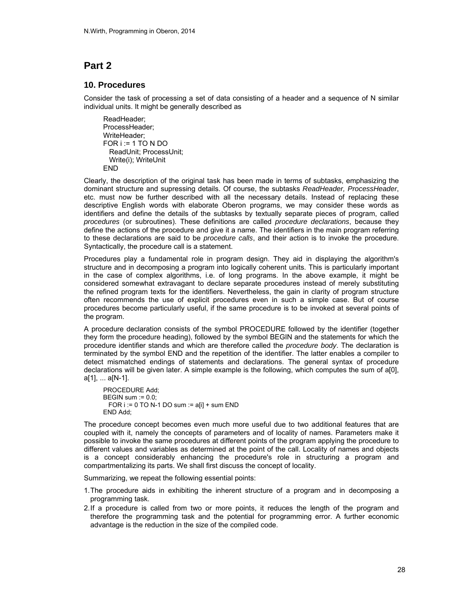## **Part 2**

### **10. Procedures**

Consider the task of processing a set of data consisting of a header and a sequence of N similar individual units. It might be generally described as

ReadHeader; ProcessHeader; WriteHeader: FOR i := 1 TO N DO ReadUnit; ProcessUnit; Write(i); WriteUnit END

Clearly, the description of the original task has been made in terms of subtasks, emphasizing the dominant structure and supressing details. Of course, the subtasks *ReadHeader, ProcessHeader*, etc. must now be further described with all the necessary details. Instead of replacing these descriptive English words with elaborate Oberon programs, we may consider these words as identifiers and define the details of the subtasks by textually separate pieces of program, called *procedures* (or subroutines). These definitions are called *procedure declarations*, because they define the actions of the procedure and give it a name. The identifiers in the main program referring to these declarations are said to be *procedure calls*, and their action is to invoke the procedure. Syntactically, the procedure call is a statement.

Procedures play a fundamental role in program design. They aid in displaying the algorithm's structure and in decomposing a program into logically coherent units. This is particularly important in the case of complex algorithms, i.e. of long programs. In the above example, it might be considered somewhat extravagant to declare separate procedures instead of merely substituting the refined program texts for the identifiers. Nevertheless, the gain in clarity of program structure often recommends the use of explicit procedures even in such a simple case. But of course procedures become particularly useful, if the same procedure is to be invoked at several points of the program.

A procedure declaration consists of the symbol PROCEDURE followed by the identifier (together they form the procedure heading), followed by the symbol BEGIN and the statements for which the procedure identifier stands and which are therefore called the *procedure body*. The declaration is terminated by the symbol END and the repetition of the identifier. The latter enables a compiler to detect mismatched endings of statements and declarations. The general syntax of procedure declarations will be given later. A simple example is the following, which computes the sum of a[0], a[1], ... a[N-1].

PROCEDURE Add; BEGIN sum :=  $0.0$ ; FOR  $i := 0$  TO N-1 DO sum :=  $a[i] +$  sum END END Add;

The procedure concept becomes even much more useful due to two additional features that are coupled with it, namely the concepts of parameters and of locality of names. Parameters make it possible to invoke the same procedures at different points of the program applying the procedure to different values and variables as determined at the point of the call. Locality of names and objects is a concept considerably enhancing the procedure's role in structuring a program and compartmentalizing its parts. We shall first discuss the concept of locality.

Summarizing, we repeat the following essential points:

- 1. The procedure aids in exhibiting the inherent structure of a program and in decomposing a programming task.
- 2. If a procedure is called from two or more points, it reduces the length of the program and therefore the programming task and the potential for programming error. A further economic advantage is the reduction in the size of the compiled code.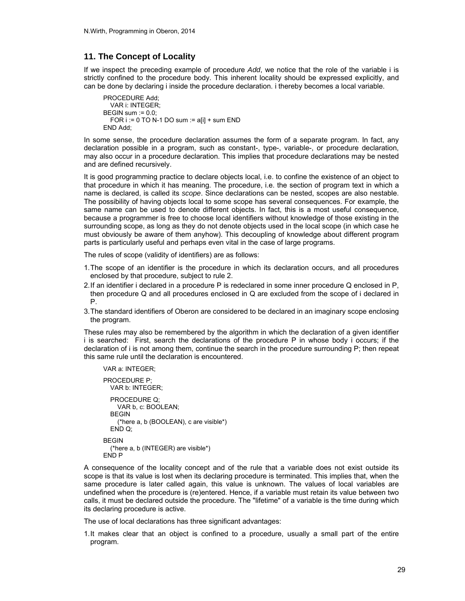### **11. The Concept of Locality**

If we inspect the preceding example of procedure *Add*, we notice that the role of the variable i is strictly confined to the procedure body. This inherent locality should be expressed explicitly, and can be done by declaring i inside the procedure declaration. i thereby becomes a local variable.

```
PROCEDURE Add; 
   VAR i: INTEGER; 
BEGIN sum := 0.0:
  FOR i = 0 TO N-1 DO sum := a[i] + sum END
END Add;
```
In some sense, the procedure declaration assumes the form of a separate program. In fact, any declaration possible in a program, such as constant-, type-, variable-, or procedure declaration, may also occur in a procedure declaration. This implies that procedure declarations may be nested and are defined recursively.

It is good programming practice to declare objects local, i.e. to confine the existence of an object to that procedure in which it has meaning. The procedure, i.e. the section of program text in which a name is declared, is called its *scope*. Since declarations can be nested, scopes are also nestable. The possibility of having objects local to some scope has several consequences. For example, the same name can be used to denote different objects. In fact, this is a most useful consequence, because a programmer is free to choose local identifiers without knowledge of those existing in the surrounding scope, as long as they do not denote objects used in the local scope (in which case he must obviously be aware of them anyhow). This decoupling of knowledge about different program parts is particularly useful and perhaps even vital in the case of large programs.

The rules of scope (validity of identifiers) are as follows:

- 1. The scope of an identifier is the procedure in which its declaration occurs, and all procedures enclosed by that procedure, subject to rule 2.
- 2. If an identifier i declared in a procedure P is redeclared in some inner procedure Q enclosed in P, then procedure Q and all procedures enclosed in Q are excluded from the scope of i declared in P.
- 3. The standard identifiers of Oberon are considered to be declared in an imaginary scope enclosing the program.

These rules may also be remembered by the algorithm in which the declaration of a given identifier i is searched: First, search the declarations of the procedure P in whose body i occurs; if the declaration of i is not among them, continue the search in the procedure surrounding P; then repeat this same rule until the declaration is encountered.

```
VAR a: INTEGER; 
PROCEDURE P; 
   VAR b: INTEGER; 
   PROCEDURE Q; 
     VAR b, c: BOOLEAN; 
   BEGIN 
      (*here a, b (BOOLEAN), c are visible*) 
   END Q; 
BEGIN 
   (*here a, b (INTEGER) are visible*) 
END P
```
A consequence of the locality concept and of the rule that a variable does not exist outside its scope is that its value is lost when its declaring procedure is terminated. This implies that, when the same procedure is later called again, this value is unknown. The values of local variables are undefined when the procedure is (re)entered. Hence, if a variable must retain its value between two calls, it must be declared outside the procedure. The "lifetime" of a variable is the time during which its declaring procedure is active.

The use of local declarations has three significant advantages:

1. It makes clear that an object is confined to a procedure, usually a small part of the entire program.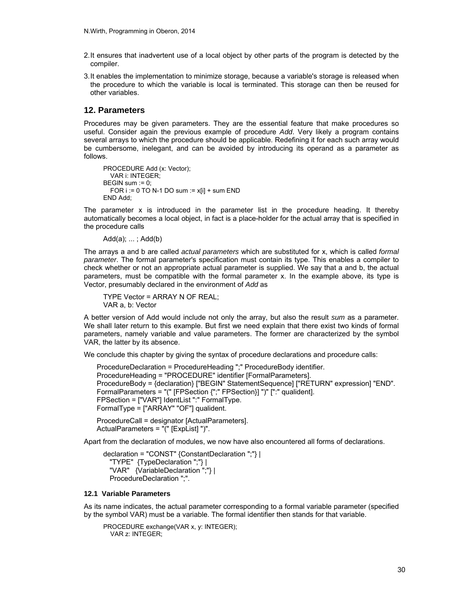- 2. It ensures that inadvertent use of a local object by other parts of the program is detected by the compiler.
- 3. It enables the implementation to minimize storage, because a variable's storage is released when the procedure to which the variable is local is terminated. This storage can then be reused for other variables.

### **12. Parameters**

Procedures may be given parameters. They are the essential feature that make procedures so useful. Consider again the previous example of procedure *Add*. Very likely a program contains several arrays to which the procedure should be applicable. Redefining it for each such array would be cumbersome, inelegant, and can be avoided by introducing its operand as a parameter as follows.

```
PROCEDURE Add (x: Vector); 
   VAR i: INTEGER; 
BEGIN sum := 0:
  FOR i = 0 TO N-1 DO sum := x[i] + sum END
END Add;
```
The parameter x is introduced in the parameter list in the procedure heading. It thereby automatically becomes a local object, in fact is a place-holder for the actual array that is specified in the procedure calls

Add(a); ... ; Add(b)

The arrays a and b are called *actual parameters* which are substituted for x, which is called *formal parameter*. The formal parameter's specification must contain its type. This enables a compiler to check whether or not an appropriate actual parameter is supplied. We say that a and b, the actual parameters, must be compatible with the formal parameter x. In the example above, its type is Vector, presumably declared in the environment of *Add* as

TYPE Vector = ARRAY N OF REAL; VAR a, b: Vector

A better version of Add would include not only the array, but also the result *sum* as a parameter. We shall later return to this example. But first we need explain that there exist two kinds of formal parameters, namely variable and value parameters. The former are characterized by the symbol VAR, the latter by its absence.

We conclude this chapter by giving the syntax of procedure declarations and procedure calls:

```
ProcedureDeclaration = ProcedureHeading ";" ProcedureBody identifier. 
ProcedureHeading = "PROCEDURE" identifier [FormalParameters]. 
ProcedureBody = {declaration} ["BEGIN" StatementSequence] ["RETURN" expression] "END". 
FormalParameters = "(" [FPSection {";" FPSection}] ")" [":" qualident]. 
FPSection = ["VAR"] IdentList ":" FormalType. 
FormalType = ["ARRAY" "OF"] qualident.
```
ProcedureCall = designator [ActualParameters]. ActualParameters = "(" [ExpList] ")".

Apart from the declaration of modules, we now have also encountered all forms of declarations.

```
declaration = "CONST" {ConstantDeclaration ";"} | 
   "TYPE" {TypeDeclaration ";"} | 
   "VAR" {VariableDeclaration ";"} | 
   ProcedureDeclaration ";".
```
#### **12.1 Variable Parameters**

As its name indicates, the actual parameter corresponding to a formal variable parameter (specified by the symbol VAR) must be a variable. The formal identifier then stands for that variable.

```
PROCEDURE exchange(VAR x, y: INTEGER); 
   VAR z: INTEGER;
```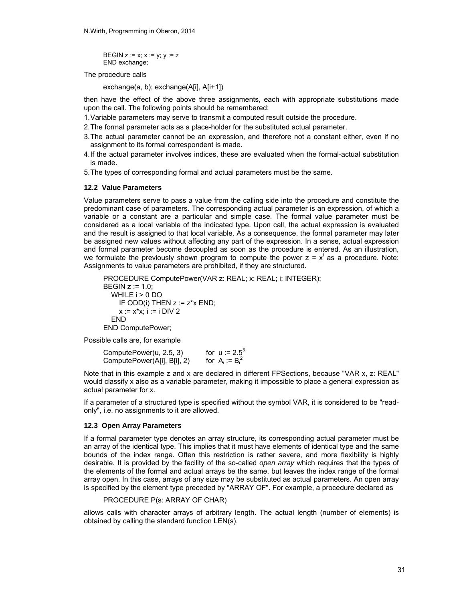BEGIN  $z := x$ ;  $x := y$ ;  $y := z$ END exchange;

The procedure calls

exchange(a, b); exchange(A[i], A[i+1])

then have the effect of the above three assignments, each with appropriate substitutions made upon the call. The following points should be remembered:

- 1. Variable parameters may serve to transmit a computed result outside the procedure.
- 2. The formal parameter acts as a place-holder for the substituted actual parameter.
- 3. The actual parameter cannot be an expression, and therefore not a constant either, even if no assignment to its formal correspondent is made.
- 4. If the actual parameter involves indices, these are evaluated when the formal-actual substitution is made.
- 5. The types of corresponding formal and actual parameters must be the same.

#### **12.2 Value Parameters**

Value parameters serve to pass a value from the calling side into the procedure and constitute the predominant case of parameters. The corresponding actual parameter is an expression, of which a variable or a constant are a particular and simple case. The formal value parameter must be considered as a local variable of the indicated type. Upon call, the actual expression is evaluated and the result is assigned to that local variable. As a consequence, the formal parameter may later be assigned new values without affecting any part of the expression. In a sense, actual expression and formal parameter become decoupled as soon as the procedure is entered. As an illustration, we formulate the previously shown program to compute the power  $z = x^{i}$  as a procedure. Note: Assignments to value parameters are prohibited, if they are structured.

PROCEDURE ComputePower(VAR z: REAL; x: REAL; i: INTEGER);  $BEGIN z := 1.0$ ; WHILE i > 0 DO IF ODD(i) THEN  $z := z^*x$  END;  $x := x^*x$ ; i := i DIV 2 END END ComputePower;

Possible calls are, for example

| ComputePower(u, 2.5, 3)     | for $u := 2.5^3$   |
|-----------------------------|--------------------|
| ComputePower(A[i], B[i], 2) | for $A_i := B_i^2$ |

Note that in this example z and x are declared in different FPSections, because "VAR x, z: REAL" would classify x also as a variable parameter, making it impossible to place a general expression as actual parameter for x.

If a parameter of a structured type is specified without the symbol VAR, it is considered to be "readonly", i.e. no assignments to it are allowed.

#### **12.3 Open Array Parameters**

If a formal parameter type denotes an array structure, its corresponding actual parameter must be an array of the identical type. This implies that it must have elements of identical type and the same bounds of the index range. Often this restriction is rather severe, and more flexibility is highly desirable. It is provided by the facility of the so-called *open array* which requires that the types of the elements of the formal and actual arrays be the same, but leaves the index range of the formal array open. In this case, arrays of any size may be substituted as actual parameters. An open array is specified by the element type preceded by "ARRAY OF". For example, a procedure declared as

PROCEDURE P(s: ARRAY OF CHAR)

allows calls with character arrays of arbitrary length. The actual length (number of elements) is obtained by calling the standard function LEN(s).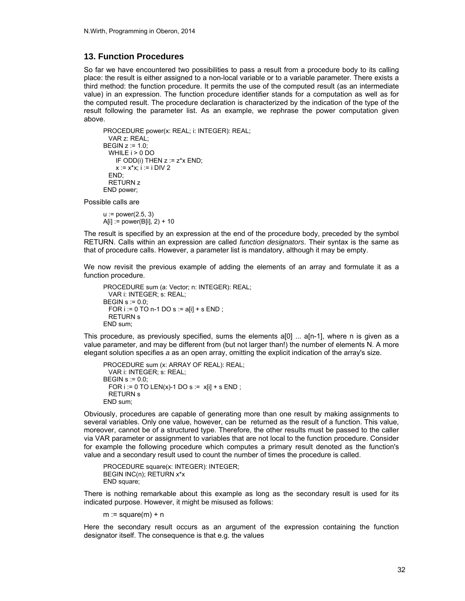### **13. Function Procedures**

So far we have encountered two possibilities to pass a result from a procedure body to its calling place: the result is either assigned to a non-local variable or to a variable parameter. There exists a third method: the function procedure. It permits the use of the computed result (as an intermediate value) in an expression. The function procedure identifier stands for a computation as well as for the computed result. The procedure declaration is characterized by the indication of the type of the result following the parameter list. As an example, we rephrase the power computation given above.

```
PROCEDURE power(x: REAL; i: INTEGER): REAL; 
  VAR z: REAL; 
BEGIN z = 1.0;
  WHILE i > 0 DO 
    IF ODD(i) THEN z := z^*x END:
    x := x^*x; i := i DIV 2
  END; 
  RETURN z 
END power;
```
Possible calls are

 $u := power(2.5, 3)$  $A[i] := power(B[i], 2) + 10$ 

The result is specified by an expression at the end of the procedure body, preceded by the symbol RETURN. Calls within an expression are called *function designators*. Their syntax is the same as that of procedure calls. However, a parameter list is mandatory, although it may be empty.

We now revisit the previous example of adding the elements of an array and formulate it as a function procedure.

```
PROCEDURE sum (a: Vector; n: INTEGER): REAL; 
  VAR i: INTEGER; s: REAL; 
BEGIN s = 0.0;
 FOR i = 0 TO n-1 DO s := a[i] + s END;
  RETURN s 
END sum;
```
This procedure, as previously specified, sums the elements a[0] ... a[n-1], where n is given as a value parameter, and may be different from (but not larger than!) the number of elements N. A more elegant solution specifies *a* as an open array, omitting the explicit indication of the array's size.

```
PROCEDURE sum (x: ARRAY OF REAL): REAL; 
  VAR i: INTEGER; s: REAL; 
BEGIN s = 0.0;
 FOR i = 0 TO LEN(x)-1 DO s := x[i] + s END;
  RETURN s 
END sum;
```
Obviously, procedures are capable of generating more than one result by making assignments to several variables. Only one value, however, can be returned as the result of a function. This value, moreover, cannot be of a structured type. Therefore, the other results must be passed to the caller via VAR parameter or assignment to variables that are not local to the function procedure. Consider for example the following procedure which computes a primary result denoted as the function's value and a secondary result used to count the number of times the procedure is called.

```
PROCEDURE square(x: INTEGER): INTEGER; 
BEGIN INC(n); RETURN x*x 
END square;
```
There is nothing remarkable about this example as long as the secondary result is used for its indicated purpose. However, it might be misused as follows:

 $m := square(m) + n$ 

Here the secondary result occurs as an argument of the expression containing the function designator itself. The consequence is that e.g. the values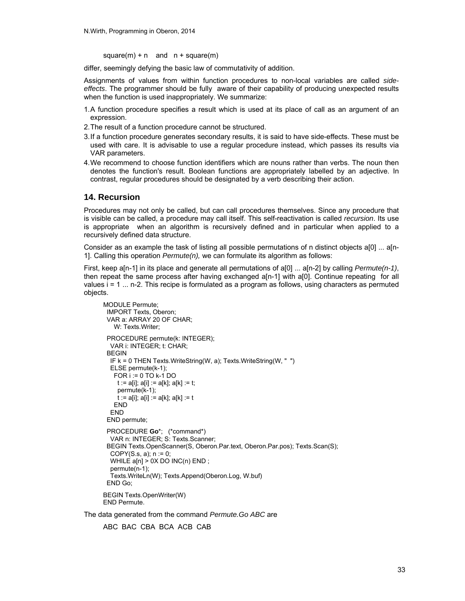square(m)  $+ n$  and  $n + square(m)$ 

differ, seemingly defying the basic law of commutativity of addition.

Assignments of values from within function procedures to non-local variables are called *sideeffects*. The programmer should be fully aware of their capability of producing unexpected results when the function is used inappropriately. We summarize:

- 1. A function procedure specifies a result which is used at its place of call as an argument of an expression.
- 2. The result of a function procedure cannot be structured.
- 3. If a function procedure generates secondary results, it is said to have side-effects. These must be used with care. It is advisable to use a regular procedure instead, which passes its results via VAR parameters.
- 4. We recommend to choose function identifiers which are nouns rather than verbs. The noun then denotes the function's result. Boolean functions are appropriately labelled by an adjective. In contrast, regular procedures should be designated by a verb describing their action.

### **14. Recursion**

Procedures may not only be called, but can call procedures themselves. Since any procedure that is visible can be called, a procedure may call itself. This self-reactivation is called *recursion*. Its use is appropriate when an algorithm is recursively defined and in particular when applied to a recursively defined data structure.

Consider as an example the task of listing all possible permutations of n distinct objects a[0] ... a[n-1]. Calling this operation *Permute(n),* we can formulate its algorithm as follows:

First, keep a[n-1] in its place and generate all permutations of a[0] ... a[n-2] by calling *Permute(n-1)*, then repeat the same process after having exchanged a[n-1] with a[0]. Continue repeating for all values i = 1 ... n-2. This recipe is formulated as a program as follows, using characters as permuted objects.

```
MODULE Permute; 
  IMPORT Texts, Oberon; 
  VAR a: ARRAY 20 OF CHAR; 
   W: Texts. Writer;
  PROCEDURE permute(k: INTEGER); 
   VAR i: INTEGER; t: CHAR; 
  BEGIN 
   IF k = 0 THEN Texts.WriteString(W, a); Texts.WriteString(W, " ") 
   ELSE permute(k-1); 
    FOR i := 0 TO k-1 DO 
    t := a[i]; a[i] := a[k]; a[k] := t; permute(k-1); 
     t := a[i]; a[i] := a[k]; a[k] := t 
    END 
   END 
  END permute; 
  PROCEDURE Go*; (*command*) 
   VAR n: INTEGER; S: Texts.Scanner; 
  BEGIN Texts.OpenScanner(S, Oberon.Par.text, Oberon.Par.pos); Texts.Scan(S); 
  COPY(S.s, a); n := 0;
  WHILE a[n] > 0X DO INC(n) END;
   permute(n-1); 
  Texts.WriteLn(W); Texts.Append(Oberon.Log, W.buf)
  END Go; 
BEGIN Texts.OpenWriter(W) 
END Permute.
```
The data generated from the command *Permute.Go ABC* are

ABC BAC CBA BCA ACB CAB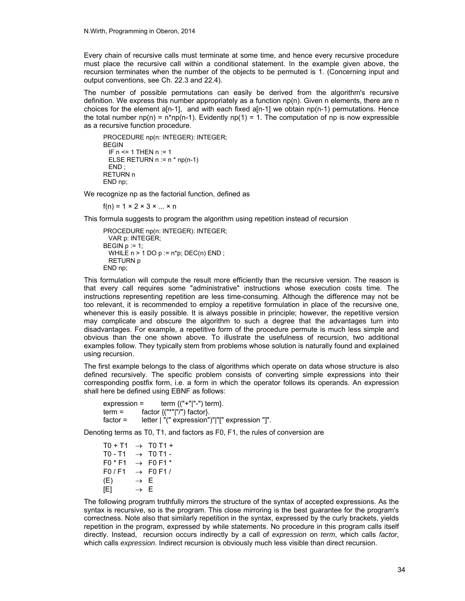Every chain of recursive calls must terminate at some time, and hence every recursive procedure must place the recursive call within a conditional statement. In the example given above, the recursion terminates when the number of the objects to be permuted is 1. (Concerning input and output conventions, see Ch. 22.3 and 22.4).

The number of possible permutations can easily be derived from the algorithm's recursive definition. We express this number appropriately as a function  $np(n)$ . Given n elements, there are n choices for the element  $a[n-1]$ , and with each fixed  $a[n-1]$  we obtain  $np(n-1)$  permutations. Hence the total number  $np(n) = n<sup>*</sup>np(n-1)$ . Evidently  $np(1) = 1$ . The computation of np is now expressible as a recursive function procedure.

```
PROCEDURE np(n: INTEGER): INTEGER; 
BEGIN 
 IF n \leq 1 THEN n := 1ELSE RETURN n := n * np(n-1) END ; 
RETURN n 
END np;
```
We recognize np as the factorial function, defined as

 $f(n) = 1 \times 2 \times 3 \times ... \times n$ 

This formula suggests to program the algorithm using repetition instead of recursion

```
PROCEDURE np(n: INTEGER): INTEGER; 
  VAR p: INTEGER; 
BEGIN p = 1;
 WHILE n > 1 DO p := n^*p; DEC(n) END;
  RETURN p 
END np;
```
This formulation will compute the result more efficiently than the recursive version. The reason is that every call requires some "administrative" instructions whose execution costs time. The instructions representing repetition are less time-consuming. Although the difference may not be too relevant, it is recommended to employ a repetitive formulation in place of the recursive one, whenever this is easily possible. It is always possible in principle; however, the repetitive version may complicate and obscure the algorithm to such a degree that the advantages turn into disadvantages. For example, a repetitive form of the procedure permute is much less simple and obvious than the one shown above. To illustrate the usefulness of recursion, two additional examples follow. They typically stem from problems whose solution is naturally found and explained using recursion.

The first example belongs to the class of algorithms which operate on data whose structure is also defined recursively. The specific problem consists of converting simple expressions into their corresponding postfix form, i.e. a form in which the operator follows its operands. An expression shall here be defined using EBNF as follows:

```
expression = term {("+'"|"-'" term}.
term = \qquad \qquad factor \{\left( \begin{array}{c} \text{````''''''''} \text{''} \end{array} \right) factor \}.
factor = letter | "(" expression")"|"[" expression "]".
```
Denoting terms as T0, T1, and factors as F0, F1, the rules of conversion are

```
TO + T1 \rightarrow TO T1 +TO - T1 \rightarrow TO T1 -FO * F1 \rightarrow FO F1 *FO/F1 \rightarrow FOF1/(E) \rightarrow E[El \rightarrow E
```
The following program truthfully mirrors the structure of the syntax of accepted expressions. As the syntax is recursive, so is the program. This close mirroring is the best guarantee for the program's correctness. Note also that similarly repetition in the syntax, expressed by the curly brackets, yields repetition in the program, expressed by while statements. No procedure in this program calls itself directly. Instead, recursion occurs indirectly by a call of *expression* on *term*, which calls *factor*, which calls *expression*. Indirect recursion is obviously much less visible than direct recursion.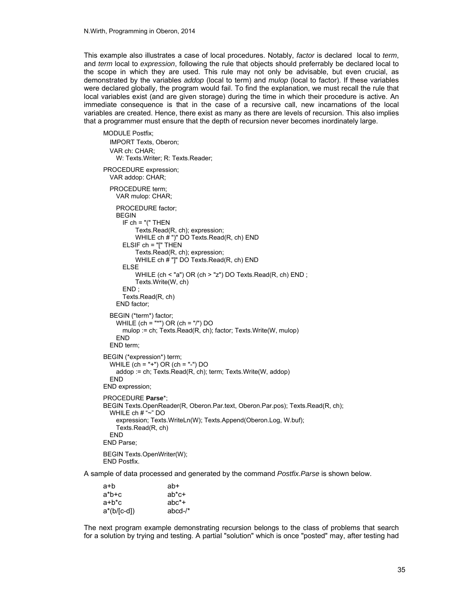This example also illustrates a case of local procedures. Notably, *factor* is declared local to *term*, and *term* local to *expression*, following the rule that objects should preferrably be declared local to the scope in which they are used. This rule may not only be advisable, but even crucial, as demonstrated by the variables *addop* (local to term) and *mulop* (local to factor). If these variables were declared globally, the program would fail. To find the explanation, we must recall the rule that local variables exist (and are given storage) during the time in which their procedure is active. An immediate consequence is that in the case of a recursive call, new incarnations of the local variables are created. Hence, there exist as many as there are levels of recursion. This also implies that a programmer must ensure that the depth of recursion never becomes inordinately large.

```
MODULE Postfix; 
   IMPORT Texts, Oberon; 
   VAR ch: CHAR; 
     W: Texts.Writer; R: Texts.Reader; 
PROCEDURE expression; 
  VAR addop: CHAR; 
  PROCEDURE term; 
    VAR mulop: CHAR; 
    PROCEDURE factor; 
    BEGIN 
       IF ch = "(" THEN 
           Texts.Read(R, ch); expression; 
           WHILE ch # ")" DO Texts.Read(R, ch) END 
       ELSIF ch = "[" THEN 
            Texts.Read(R, ch); expression; 
          WHILE ch \sharp "]" DO Texts.Read(R, ch) END
       ELSE 
           WHILE (ch < "a") OR (ch > "z") DO Texts.Read(R, ch) END ; 
           Texts.Write(W, ch) 
       END ; 
       Texts.Read(R, ch) 
    END factor; 
  BEGIN (*term*) factor; 
    WHILE (ch = """) OR (ch = "/") DOmulop := ch; Texts.Read(R, ch); factor; Texts.Write(W, mulop)
     END 
  END term; 
BEGIN (*expression*) term; 
  WHILE (ch = "+") OR (ch = "-") DO
     addop := ch; Texts.Read(R, ch); term; Texts.Write(W, addop) 
   END 
END expression; 
PROCEDURE Parse*; 
BEGIN Texts.OpenReader(R, Oberon.Par.text, Oberon.Par.pos); Texts.Read(R, ch); 
   WHILE ch # "~" DO 
     expression; Texts.WriteLn(W); Texts.Append(Oberon.Log, W.buf); 
     Texts.Read(R, ch) 
   END 
END Parse; 
BEGIN Texts.OpenWriter(W); 
END Postfix.
```
A sample of data processed and generated by the command *Postfix.Parse* is shown below.

| a+b            | ab+        |
|----------------|------------|
| a*b+c          | $ab^*c+$   |
| $a+b^*c$       | $abc^*$ +  |
| $a^*(b/[c-d])$ | abcd- $/*$ |

The next program example demonstrating recursion belongs to the class of problems that search for a solution by trying and testing. A partial "solution" which is once "posted" may, after testing had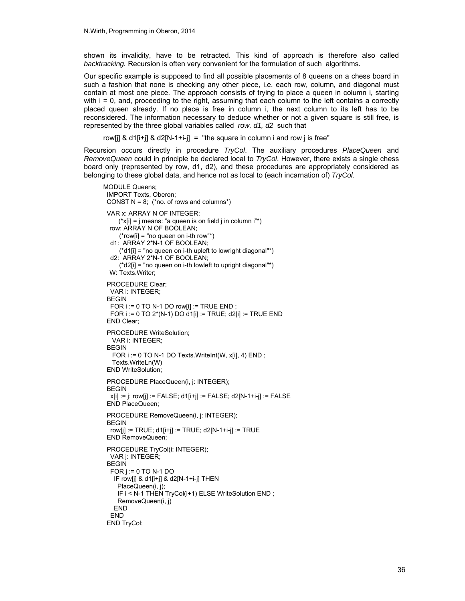shown its invalidity, have to be retracted. This kind of approach is therefore also called *backtracking.* Recursion is often very convenient for the formulation of such algorithms.

Our specific example is supposed to find all possible placements of 8 queens on a chess board in such a fashion that none is checking any other piece, i.e. each row, column, and diagonal must contain at most one piece. The approach consists of trying to place a queen in column i, starting with  $i = 0$ , and, proceeding to the right, assuming that each column to the left contains a correctly placed queen already. If no place is free in column i, the next column to its left has to be reconsidered. The information necessary to deduce whether or not a given square is still free, is represented by the three global variables called *row, d1, d2* such that

row[j] & d1[i+j] & d2[N-1+i-j] = "the square in column i and row j is free"

Recursion occurs directly in procedure *TryCol*. The auxiliary procedures *PlaceQueen* and *RemoveQueen* could in principle be declared local to *TryCol*. However, there exists a single chess board only (represented by row, d1, d2), and these procedures are appropriately considered as belonging to these global data, and hence not as local to (each incarnation of) *TryCol*.

```
MODULE Queens; 
  IMPORT Texts, Oberon; 
 CONST N = 8; (*no. of rows and columns*)
  VAR x: ARRAY N OF INTEGER; 
     (*x[i] = j means: "a queen is on field j in column i"*)
  row: ARRAY N OF BOOLEAN; 
      (*row[i] = "no queen on i-th row"*) 
   d1: ARRAY 2*N-1 OF BOOLEAN; 
      (*d1[i] = "no queen on i-th upleft to lowright diagonal"*) 
   d2: ARRAY 2*N-1 OF BOOLEAN; 
      (*d2[i] = "no queen on i-th lowleft to upright diagonal"*) 
  W: Texts.Writer; 
  PROCEDURE Clear; 
   VAR i: INTEGER; 
  BEGIN 
  FOR i = 0 TO N-1 DO row[i] := TRUE END ;
   FOR i := 0 TO 2*(N-1) DO d1[i] := TRUE; d2[i] := TRUE END 
  END Clear; 
  PROCEDURE WriteSolution; 
   VAR i: INTEGER; 
  BEGIN 
  FOR i := 0 TO N-1 DO Texts. WriteInt(W, x[i], 4) END;
    Texts.WriteLn(W) 
  END WriteSolution; 
  PROCEDURE PlaceQueen(i, j: INTEGER); 
  BEGIN 
   x[i] := j; row[j] := FALSE; d1[i+j] := FALSE; d2[N-1+i-j] := FALSE 
  END PlaceQueen; 
  PROCEDURE RemoveQueen(i, j: INTEGER); 
  BEGIN 
   row[j] := TRUE; d1[i+j] := TRUE; d2[N-1+i-j] := TRUE 
  END RemoveQueen; 
  PROCEDURE TryCol(i: INTEGER); 
   VAR j: INTEGER; 
 BEGIN
  FOR i = 0 TO N-1 DO
    IF row[j] & d1[i+j] & d2[N-1+i-j] THEN 
     PlaceQueen(i, j); 
      IF i < N-1 THEN TryCol(i+1) ELSE WriteSolution END ; 
     RemoveQueen(i, j) 
    END 
  FND
  END TryCol;
```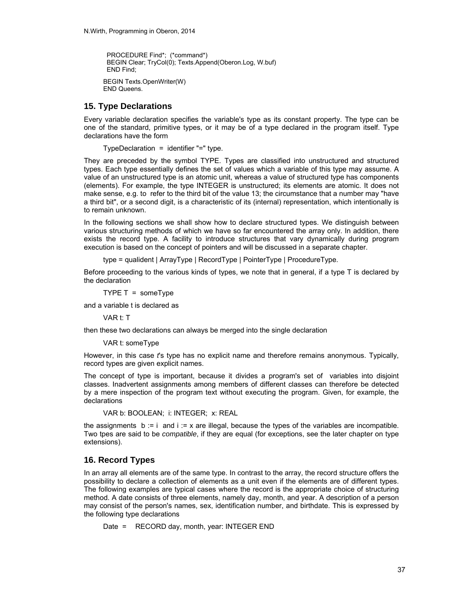PROCEDURE Find\*; (\*command\*) BEGIN Clear; TryCol(0); Texts.Append(Oberon.Log, W.buf) END Find; BEGIN Texts.OpenWriter(W) END Queens.

#### **15. Type Declarations**

Every variable declaration specifies the variable's type as its constant property. The type can be one of the standard, primitive types, or it may be of a type declared in the program itself. Type declarations have the form

 $TypeDeclaration = identifier "=" type.$ 

They are preceded by the symbol TYPE. Types are classified into unstructured and structured types. Each type essentially defines the set of values which a variable of this type may assume. A value of an unstructured type is an atomic unit, whereas a value of structured type has components (elements). For example, the type INTEGER is unstructured; its elements are atomic. It does not make sense, e.g. to refer to the third bit of the value 13; the circumstance that a number may "have a third bit", or a second digit, is a characteristic of its (internal) representation, which intentionally is to remain unknown.

In the following sections we shall show how to declare structured types. We distinguish between various structuring methods of which we have so far encountered the array only. In addition, there exists the record type. A facility to introduce structures that vary dynamically during program execution is based on the concept of pointers and will be discussed in a separate chapter.

type = qualident | ArrayType | RecordType | PointerType | ProcedureType.

Before proceeding to the various kinds of types, we note that in general, if a type T is declared by the declaration

 $TYPE T = someType$ 

and a variable t is declared as

VAR t: T

then these two declarations can always be merged into the single declaration

VAR t: someType

However, in this case *t*'s type has no explicit name and therefore remains anonymous. Typically, record types are given explicit names.

The concept of type is important, because it divides a program's set of variables into disjoint classes. Inadvertent assignments among members of different classes can therefore be detected by a mere inspection of the program text without executing the program. Given, for example, the declarations

VAR b: BOOLEAN; i: INTEGER; x: REAL

the assignments  $b := i$  and  $i := x$  are illegal, because the types of the variables are incompatible. Two tpes are said to be *compatible*, if they are equal (for exceptions, see the later chapter on type extensions).

### **16. Record Types**

In an array all elements are of the same type. In contrast to the array, the record structure offers the possibility to declare a collection of elements as a unit even if the elements are of different types. The following examples are typical cases where the record is the appropriate choice of structuring method. A date consists of three elements, namely day, month, and year. A description of a person may consist of the person's names, sex, identification number, and birthdate. This is expressed by the following type declarations

Date = RECORD day, month, year: INTEGER END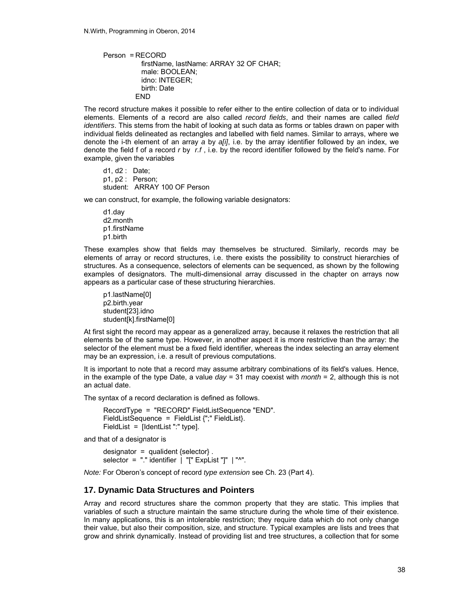```
Person = RECORD 
            firstName, lastName: ARRAY 32 OF CHAR; 
            male: BOOLEAN; 
            idno: INTEGER; 
            birth: Date 
          END
```
The record structure makes it possible to refer either to the entire collection of data or to individual elements. Elements of a record are also called *record fields*, and their names are called *field identifiers*. This stems from the habit of looking at such data as forms or tables drawn on paper with individual fields delineated as rectangles and labelled with field names. Similar to arrays, where we denote the i-th element of an array *a* by *a[i]*, i.e. by the array identifier followed by an index, we denote the field f of a record *r* by *r.f* , i.e. by the record identifier followed by the field's name. For example, given the variables

d1, d2 : Date; p1, p2 : Person; student: ARRAY 100 OF Person

we can construct, for example, the following variable designators:

d1.day d2.month p1.firstName p1.birth

These examples show that fields may themselves be structured. Similarly, records may be elements of array or record structures, i.e. there exists the possibility to construct hierarchies of structures. As a consequence, selectors of elements can be sequenced, as shown by the following examples of designators. The multi-dimensional array discussed in the chapter on arrays now appears as a particular case of these structuring hierarchies.

p1.lastName[0] p2.birth.year student[23].idno student[k].firstName[0]

At first sight the record may appear as a generalized array, because it relaxes the restriction that all elements be of the same type. However, in another aspect it is more restrictive than the array: the selector of the element must be a fixed field identifier, whereas the index selecting an array element may be an expression, i.e. a result of previous computations.

It is important to note that a record may assume arbitrary combinations of its field's values. Hence, in the example of the type Date, a value *day* = 31 may coexist with *month* = 2, although this is not an actual date.

The syntax of a record declaration is defined as follows.

RecordType = "RECORD" FieldListSequence "END". FieldListSequence = FieldList {";" FieldList}. FieldList = [IdentList ":" type].

and that of a designator is

designator = qualident  $\{selector\}$ . selector = "." identifier  $|$  "[" ExpList "]"  $|$  "^".

*Note:* For Oberon's concept of record *type extension* see Ch. 23 (Part 4).

### **17. Dynamic Data Structures and Pointers**

Array and record structures share the common property that they are static. This implies that variables of such a structure maintain the same structure during the whole time of their existence. In many applications, this is an intolerable restriction; they require data which do not only change their value, but also their composition, size, and structure. Typical examples are lists and trees that grow and shrink dynamically. Instead of providing list and tree structures, a collection that for some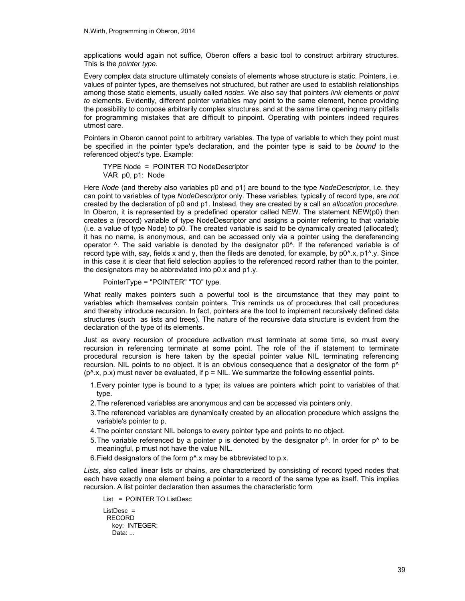applications would again not suffice, Oberon offers a basic tool to construct arbitrary structures. This is the *pointer type*.

Every complex data structure ultimately consists of elements whose structure is static. Pointers, i.e. values of pointer types, are themselves not structured, but rather are used to establish relationships among those static elements, usually called *nodes*. We also say that pointers *link* elements or *point to* elements. Evidently, different pointer variables may point to the same element, hence providing the possibility to compose arbitrarily complex structures, and at the same time opening many pitfalls for programming mistakes that are difficult to pinpoint. Operating with pointers indeed requires utmost care.

Pointers in Oberon cannot point to arbitrary variables. The type of variable to which they point must be specified in the pointer type's declaration, and the pointer type is said to be *bound* to the referenced object's type. Example:

TYPE Node = POINTER TO NodeDescriptor VAR p0, p1: Node

Here *Node* (and thereby also variables p0 and p1) are bound to the type *NodeDescriptor*, i.e. they can point to variables of type *NodeDescriptor* only. These variables, typically of record type, are *not* created by the declaration of p0 and p1. Instead, they are created by a call an *allocation procedure*. In Oberon, it is represented by a predefined operator called NEW. The statement NEW(p0) then creates a (record) variable of type NodeDescriptor and assigns a pointer referring to that variable (i.e. a value of type Node) to p0. The created variable is said to be dynamically created (allocated); it has no name, is anonymous, and can be accessed only via a pointer using the dereferencing operator  $\wedge$ . The said variable is denoted by the designator  $p0\wedge$ . If the referenced variable is of record type with, say, fields x and y, then the fileds are denoted, for example, by  $p0^{\wedge}$ .x,  $p1^{\wedge}$ .y. Since in this case it is clear that field selection applies to the referenced record rather than to the pointer, the designators may be abbreviated into p0.x and p1.y.

PointerType = "POINTER" "TO" type.

What really makes pointers such a powerful tool is the circumstance that they may point to variables which themselves contain pointers. This reminds us of procedures that call procedures and thereby introduce recursion. In fact, pointers are the tool to implement recursively defined data structures (such as lists and trees). The nature of the recursive data structure is evident from the declaration of the type of its elements.

Just as every recursion of procedure activation must terminate at some time, so must every recursion in referencing terminate at some point. The role of the if statement to terminate procedural recursion is here taken by the special pointer value NIL terminating referencing recursion. NIL points to no object. It is an obvious consequence that a designator of the form  $p^A$  $(p^{\wedge}.x, p.x)$  must never be evaluated, if  $p = \text{NIL}$ . We summarize the following essential points.

- 1. Every pointer type is bound to a type; its values are pointers which point to variables of that type.
- 2. The referenced variables are anonymous and can be accessed via pointers only.
- 3. The referenced variables are dynamically created by an allocation procedure which assigns the variable's pointer to p.
- 4. The pointer constant NIL belongs to every pointer type and points to no object.
- 5. The variable referenced by a pointer p is denoted by the designator  $p^{\wedge}$ . In order for  $p^{\wedge}$  to be meaningful, p must not have the value NIL.
- 6. Field designators of the form p^.x may be abbreviated to p.x.

*Lists*, also called linear lists or chains, are characterized by consisting of record typed nodes that each have exactly one element being a pointer to a record of the same type as itself. This implies recursion. A list pointer declaration then assumes the characteristic form

List = POINTER TO ListDesc

ListDesc = RECORD key: INTEGER; Data: ...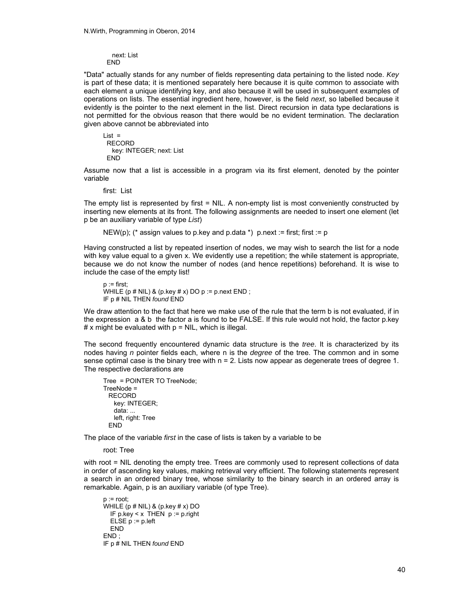next: List END

"Data" actually stands for any number of fields representing data pertaining to the listed node. *Key* is part of these data; it is mentioned separately here because it is quite common to associate with each element a unique identifying key, and also because it will be used in subsequent examples of operations on lists. The essential ingredient here, however, is the field *next*, so labelled because it evidently is the pointer to the next element in the list. Direct recursion in data type declarations is not permitted for the obvious reason that there would be no evident termination. The declaration given above cannot be abbreviated into

 $List =$  RECORD key: INTEGER; next: List END

Assume now that a list is accessible in a program via its first element, denoted by the pointer variable

first: List

The empty list is represented by first = NIL. A non-empty list is most conveniently constructed by inserting new elements at its front. The following assignments are needed to insert one element (let p be an auxiliary variable of type *List*)

NEW(p); (\* assign values to p.key and p.data \*) p.next := first; first := p

Having constructed a list by repeated insertion of nodes, we may wish to search the list for a node with key value equal to a given x. We evidently use a repetition; the while statement is appropriate, because we do not know the number of nodes (and hence repetitions) beforehand. It is wise to include the case of the empty list!

```
p := first;
WHILE (p \# \text{NIL}) & (p \text{.key } \# \text{ x}) DO p := p \text{.next } \text{END};
IF p # NIL THEN found END
```
We draw attention to the fact that here we make use of the rule that the term b is not evaluated, if in the expression a & b the factor a is found to be FALSE. If this rule would not hold, the factor p.key  $# x$  might be evaluated with  $p = N/L$ , which is illegal.

The second frequently encountered dynamic data structure is the *tree*. It is characterized by its nodes having *n* pointer fields each, where n is the *degree* of the tree. The common and in some sense optimal case is the binary tree with  $n = 2$ . Lists now appear as degenerate trees of degree 1. The respective declarations are

```
Tree = POINTER TO TreeNode; 
TreeNode = 
  RECORD 
    key: INTEGER; 
    data: ... 
    left, right: Tree 
 END
```
The place of the variable *first* in the case of lists is taken by a variable to be

root: Tree

with root = NIL denoting the empty tree. Trees are commonly used to represent collections of data in order of ascending key values, making retrieval very efficient. The following statements represent a search in an ordered binary tree, whose similarity to the binary search in an ordered array is remarkable. Again, p is an auxiliary variable (of type Tree).

```
p := root:
WHILE (p \# \text{NIL}) & (p \text{.key } \# \text{ x}) DO
   IF p \text{.} key < x THEN p := p \text{.} rightELSE p := p. left
    END 
END ; 
IF p # NIL THEN found END
```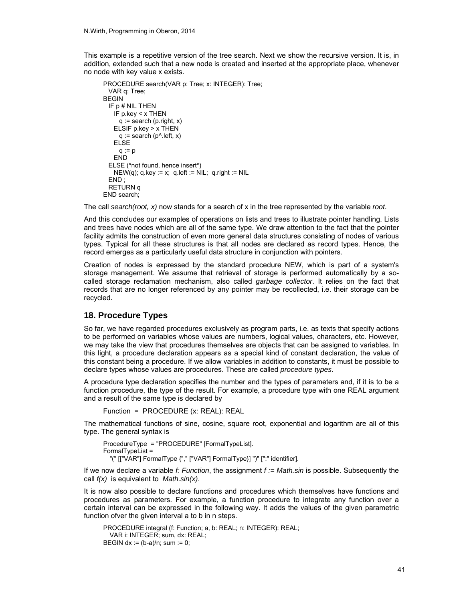This example is a repetitive version of the tree search. Next we show the recursive version. It is, in addition, extended such that a new node is created and inserted at the appropriate place, whenever no node with key value x exists.

```
PROCEDURE search(VAR p: Tree; x: INTEGER): Tree; 
   VAR q: Tree; 
BEGIN 
   IF p # NIL THEN 
    IF p.key < x THEN 
     q := search (p.right, x)
    ELSIF p.key > x THEN 
     q := search (p^{\wedge} left, x)
    ELSE 
     q := p END 
   ELSE (*not found, hence insert*) 
   NEW(q); q.key := x; q.left := NIL; q.right := NIL
   END ; 
  RETURN a
END search;
```
The call *search(root, x)* now stands for a search of x in the tree represented by the variable *root*.

And this concludes our examples of operations on lists and trees to illustrate pointer handling. Lists and trees have nodes which are all of the same type. We draw attention to the fact that the pointer facility admits the construction of even more general data structures consisting of nodes of various types. Typical for all these structures is that all nodes are declared as record types. Hence, the record emerges as a particularly useful data structure in conjunction with pointers.

Creation of nodes is expressed by the standard procedure NEW, which is part of a system's storage management. We assume that retrieval of storage is performed automatically by a socalled storage reclamation mechanism, also called *garbage collector*. It relies on the fact that records that are no longer referenced by any pointer may be recollected, i.e. their storage can be recycled.

### **18. Procedure Types**

So far, we have regarded procedures exclusively as program parts, i.e. as texts that specify actions to be performed on variables whose values are numbers, logical values, characters, etc. However, we may take the view that procedures themselves are objects that can be assigned to variables. In this light, a procedure declaration appears as a special kind of constant declaration, the value of this constant being a procedure. If we allow variables in addition to constants, it must be possible to declare types whose values are procedures. These are called *procedure types*.

A procedure type declaration specifies the number and the types of parameters and, if it is to be a function procedure, the type of the result. For example, a procedure type with one REAL argument and a result of the same type is declared by

Function = PROCEDURE (x: REAL): REAL

The mathematical functions of sine, cosine, square root, exponential and logarithm are all of this type. The general syntax is

ProcedureType = "PROCEDURE" [FormalTypeList]. FormalTypeList = "(" [["VAR"] FormalType {"," ["VAR"] FormalType}] ")" [":" identifier].

If we now declare a variable *f: Function*, the assignment *f := Math.sin* is possible. Subsequently the call *f(x)* is equivalent to *Math.sin(x)*.

It is now also possible to declare functions and procedures which themselves have functions and procedures as parameters. For example, a function procedure to integrate any function over a certain interval can be expressed in the following way. It adds the values of the given parametric function ofver the given interval a to b in n steps.

```
PROCEDURE integral (f: Function; a, b: REAL; n: INTEGER): REAL; 
  VAR i: INTEGER; sum, dx: REAL; 
BEGIN dx := (b-a)/n; sum := 0;
```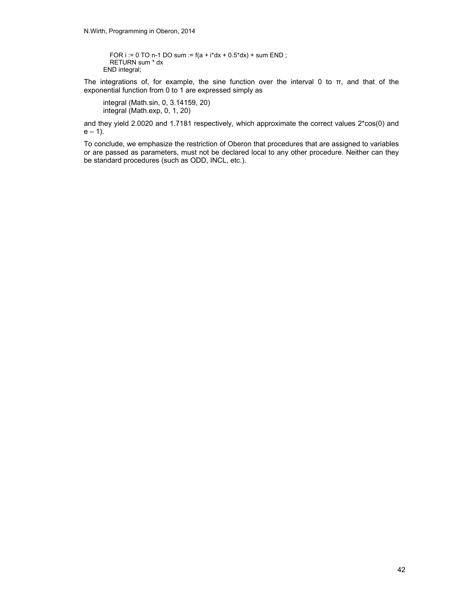FOR i := 0 TO n-1 DO sum :=  $f(a + i^{*}dx + 0.5^{*}dx) +$  sum END ; RETURN sum \* dx END integral;

The integrations of, for example, the sine function over the interval 0 to  $\pi$ , and that of the exponential function from 0 to 1 are expressed simply as

integral (Math.sin, 0, 3.14159, 20) integral (Math.exp, 0, 1, 20)

and they yield 2.0020 and 1.7181 respectively, which approximate the correct values 2\*cos(0) and  $e - 1$ ).

To conclude, we emphasize the restriction of Oberon that procedures that are assigned to variables or are passed as parameters, must not be declared local to any other procedure. Neither can they be standard procedures (such as ODD, INCL, etc.).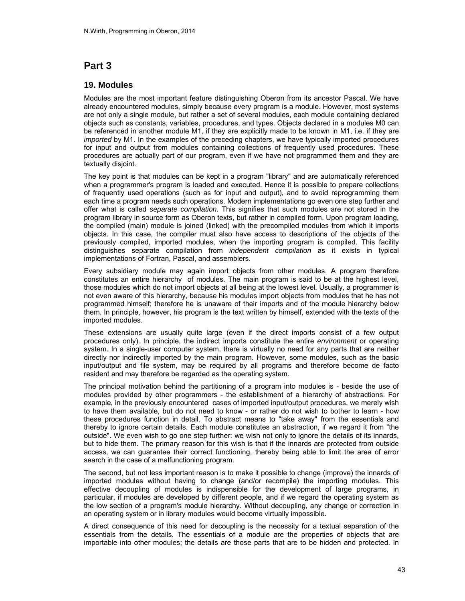## **Part 3**

### **19. Modules**

Modules are the most important feature distinguishing Oberon from its ancestor Pascal. We have already encountered modules, simply because every program is a module. However, most systems are not only a single module, but rather a set of several modules, each module containing declared objects such as constants, variables, procedures, and types. Objects declared in a modules M0 can be referenced in another module M1, if they are explicitly made to be known in M1, i.e. if they are *imported* by M1. In the examples of the preceding chapters, we have typically imported procedures for input and output from modules containing collections of frequently used procedures. These procedures are actually part of our program, even if we have not programmed them and they are textually disjoint.

The key point is that modules can be kept in a program "library" and are automatically referenced when a programmer's program is loaded and executed. Hence it is possible to prepare collections of frequently used operations (such as for input and output), and to avoid reprogramming them each time a program needs such operations. Modern implementations go even one step further and offer what is called *separate compilation*. This signifies that such modules are not stored in the program library in source form as Oberon texts, but rather in compiled form. Upon program loading, the compiled (main) module is joined (linked) with the precompiled modules from which it imports objects. In this case, the compiler must also have access to descriptions of the objects of the previously compiled, imported modules, when the importing program is compiled. This facility distinguishes separate compilation from *independent compilation* as it exists in typical implementations of Fortran, Pascal, and assemblers.

Every subsidiary module may again import objects from other modules. A program therefore constitutes an entire hierarchy of modules. The main program is said to be at the highest level, those modules which do not import objects at all being at the lowest level. Usually, a programmer is not even aware of this hierarchy, because his modules import objects from modules that he has not programmed himself; therefore he is unaware of their imports and of the module hierarchy below them. In principle, however, his program is the text written by himself, extended with the texts of the imported modules.

These extensions are usually quite large (even if the direct imports consist of a few output procedures only). In principle, the indirect imports constitute the entire *environment* or operating system. In a single-user computer system, there is virtually no need for any parts that are neither directly nor indirectly imported by the main program. However, some modules, such as the basic input/output and file system, may be required by all programs and therefore become de facto resident and may therefore be regarded as the operating system.

The principal motivation behind the partitioning of a program into modules is - beside the use of modules provided by other programmers - the establishment of a hierarchy of abstractions. For example, in the previously encountered cases of imported input/output procedures, we merely wish to have them available, but do not need to know - or rather do not wish to bother to learn - how these procedures function in detail. To abstract means to "take away" from the essentials and thereby to ignore certain details. Each module constitutes an abstraction, if we regard it from "the outside". We even wish to go one step further: we wish not only to ignore the details of its innards, but to hide them. The primary reason for this wish is that if the innards are protected from outside access, we can guarantee their correct functioning, thereby being able to limit the area of error search in the case of a malfunctioning program.

The second, but not less important reason is to make it possible to change (improve) the innards of imported modules without having to change (and/or recompile) the importing modules. This effective decoupling of modules is indispensible for the development of large programs, in particular, if modules are developed by different people, and if we regard the operating system as the low section of a program's module hierarchy. Without decoupling, any change or correction in an operating system or in library modules would become virtually impossible.

A direct consequence of this need for decoupling is the necessity for a textual separation of the essentials from the details. The essentials of a module are the properties of objects that are importable into other modules; the details are those parts that are to be hidden and protected. In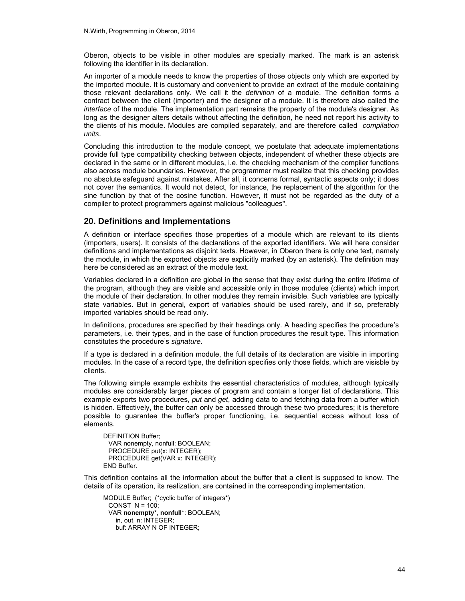Oberon, objects to be visible in other modules are specially marked. The mark is an asterisk following the identifier in its declaration.

An importer of a module needs to know the properties of those objects only which are exported by the imported module. It is customary and convenient to provide an extract of the module containing those relevant declarations only. We call it the *definition* of a module. The definition forms a contract between the client (importer) and the designer of a module. It is therefore also called the *interface* of the module. The implementation part remains the property of the module's designer. As long as the designer alters details without affecting the definition, he need not report his activity to the clients of his module. Modules are compiled separately, and are therefore called *compilation units*.

Concluding this introduction to the module concept, we postulate that adequate implementations provide full type compatibility checking between objects, independent of whether these objects are declared in the same or in different modules, i.e. the checking mechanism of the compiler functions also across module boundaries. However, the programmer must realize that this checking provides no absolute safeguard against mistakes. After all, it concerns formal, syntactic aspects only; it does not cover the semantics. It would not detect, for instance, the replacement of the algorithm for the sine function by that of the cosine function. However, it must not be regarded as the duty of a compiler to protect programmers against malicious "colleagues".

#### **20. Definitions and Implementations**

A definition or interface specifies those properties of a module which are relevant to its clients (importers, users). It consists of the declarations of the exported identifiers. We will here consider definitions and implementations as disjoint texts. However, in Oberon there is only one text, namely the module, in which the exported objects are explicitly marked (by an asterisk). The definition may here be considered as an extract of the module text.

Variables declared in a definition are global in the sense that they exist during the entire lifetime of the program, although they are visible and accessible only in those modules (clients) which import the module of their declaration. In other modules they remain invisible. Such variables are typically state variables. But in general, export of variables should be used rarely, and if so, preferably imported variables should be read only.

In definitions, procedures are specified by their headings only. A heading specifies the procedure's parameters, i.e. their types, and in the case of function procedures the result type. This information constitutes the procedure's *signature*.

If a type is declared in a definition module, the full details of its declaration are visible in importing modules. In the case of a record type, the definition specifies only those fields, which are visisble by clients.

The following simple example exhibits the essential characteristics of modules, although typically modules are considerably larger pieces of program and contain a longer list of declarations. This example exports two procedures, *put* and *get*, adding data to and fetching data from a buffer which is hidden. Effectively, the buffer can only be accessed through these two procedures; it is therefore possible to guarantee the buffer's proper functioning, i.e. sequential access without loss of elements.

DEFINITION Buffer; VAR nonempty, nonfull: BOOLEAN; PROCEDURE put(x: INTEGER); PROCEDURE get(VAR x: INTEGER); END Buffer.

This definition contains all the information about the buffer that a client is supposed to know. The details of its operation, its realization, are contained in the corresponding implementation.

MODULE Buffer; (\*cyclic buffer of integers\*) CONST  $N = 100$ : VAR **nonempty**\*, **nonfull**\*: BOOLEAN; in, out, n: INTEGER; buf: ARRAY N OF INTEGER;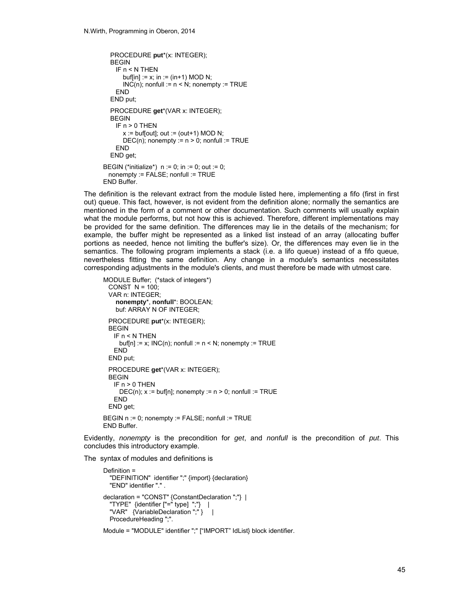```
 PROCEDURE put*(x: INTEGER); 
   BEGIN 
     IF n < N THEN 
       buf[in] := x; in := (in+1) MOD N;
       INC(n); nonfull := n < N; nonempty := TRUE
     END 
   END put; 
   PROCEDURE get*(VAR x: INTEGER); 
   BEGIN 
     IF n > 0 THEN 
       x := \text{buf}[\text{out}]; out := (out+1) MOD N;
       DEC(n); nonempty := n > 0; nonfull := TRUE
     END 
   END get; 
BEGIN (*initialize*) n := 0; in := 0; out := 0; 
   nonempty := FALSE; nonfull := TRUE 
END Buffer.
```
The definition is the relevant extract from the module listed here, implementing a fifo (first in first out) queue. This fact, however, is not evident from the definition alone; normally the semantics are mentioned in the form of a comment or other documentation. Such comments will usually explain what the module performs, but not how this is achieved. Therefore, different implementations may be provided for the same definition. The differences may lie in the details of the mechanism; for example, the buffer might be represented as a linked list instead of an array (allocating buffer portions as needed, hence not limiting the buffer's size). Or, the differences may even lie in the semantics. The following program implements a stack (i.e. a lifo queue) instead of a fifo queue, nevertheless fitting the same definition. Any change in a module's semantics necessitates corresponding adjustments in the module's clients, and must therefore be made with utmost care.

```
MODULE Buffer; (*stack of integers*) 
 CONST N = 100:
  VAR n: INTEGER; 
     nonempty*, nonfull*: BOOLEAN; 
     buf: ARRAY N OF INTEGER; 
  PROCEDURE put*(x: INTEGER); 
  BEGIN 
    IF n < N THEN 
     buf[n] := x; INC(n); nonfull := n < N; nonempty := TRUE
    END 
  END put; 
  PROCEDURE get*(VAR x: INTEGER); 
  BEGIN 
    IF n > 0 THEN 
     DEC(n); x := \text{buf}[n]; nonempty := n > 0; nonfull := TRUE
   FND
  END get; 
BEGIN n := 0; nonempty := FALSE; nonfull := TRUE
END Buffer.
```
Evidently, *nonempty* is the precondition for *get*, and *nonfull* is the precondition of *put*. This concludes this introductory example.

The syntax of modules and definitions is

```
Definition = 
   "DEFINITION" identifier ";" {import} {declaration} 
   "END" identifier "." . 
declaration = "CONST" {ConstantDeclaration ";"} | 
 "TYPE" {identifier ["=" type] ";"} | 
"VAR" {VariableDeclaration ";" } |
   ProcedureHeading ";".
```
Module = "MODULE" identifier ";" ["IMPORT" IdList} block identifier.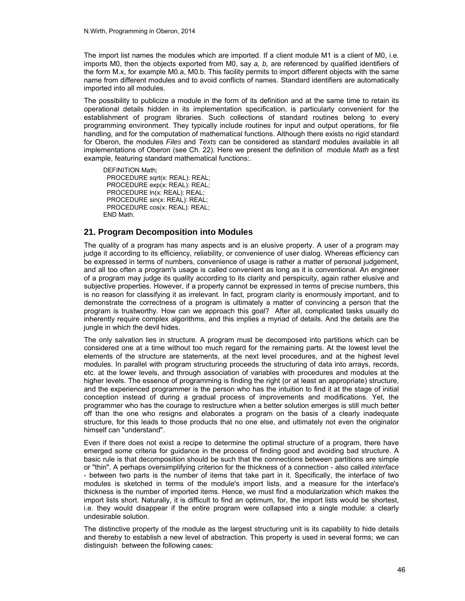The import list names the modules which are imported. If a client module M1 is a client of M0, i.e. imports M0, then the objects exported from M0, say *a, b,* are referenced by qualified identifiers of the form M.x, for example M0.a, M0.b. This facility permits to import different objects with the same name from different modules and to avoid conflicts of names. Standard identifiers are automatically imported into all modules.

The possibility to publicize a module in the form of its definition and at the same time to retain its operational details hidden in its implementation specification, is particularly convenient for the establishment of program libraries. Such collections of standard routines belong to every programming environment. They typically include routines for input and output operations, for file handling, and for the computation of mathematical functions. Although there exists no rigid standard for Oberon, the modules *Files* and *Texts* can be considered as standard modules available in all implementations of Oberon (see Ch. 22). Here we present the definition of module *Math* as a first example, featuring standard mathematical functions:.

DEFINITION Math; PROCEDURE sqrt(x: REAL): REAL; PROCEDURE exp(x: REAL): REAL; PROCEDURE ln(x: REAL): REAL; PROCEDURE sin(x: REAL): REAL; PROCEDURE cos(x: REAL): REAL; END Math.

### **21. Program Decomposition into Modules**

The quality of a program has many aspects and is an elusive property. A user of a program may judge it according to its efficiency, reliability, or convenience of user dialog. Whereas efficiency can be expressed in terms of numbers, convenience of usage is rather a matter of personal judgement, and all too often a program's usage is called convenient as long as it is conventional. An engineer of a program may judge its quality according to its clarity and perspicuity, again rather elusive and subjective properties. However, if a property cannot be expressed in terms of precise numbers, this is no reason for classifying it as irrelevant. In fact, program clarity is enormously important, and to demonstrate the correctness of a program is ultimately a matter of convincing a person that the program is trustworthy. How can we approach this goal? After all, complicated tasks usually do inherently require complex algorithms, and this implies a myriad of details. And the details are the jungle in which the devil hides.

The only salvation lies in structure. A program must be decomposed into partitions which can be considered one at a time without too much regard for the remaining parts. At the lowest level the elements of the structure are statements, at the next level procedures, and at the highest level modules. In parallel with program structuring proceeds the structuring of data into arrays, records, etc. at the lower levels, and through association of variables with procedures and modules at the higher levels. The essence of programming is finding the right (or at least an appropriate) structure, and the experienced programmer is the person who has the intuition to find it at the stage of initial conception instead of during a gradual process of improvements and modifications. Yet, the programmer who has the courage to restructure when a better solution emerges is still much better off than the one who resigns and elaborates a program on the basis of a clearly inadequate structure, for this leads to those products that no one else, and ultimately not even the originator himself can "understand".

Even if there does not exist a recipe to determine the optimal structure of a program, there have emerged some criteria for guidance in the process of finding good and avoiding bad structure. A basic rule is that decomposition should be such that the connections between partitions are simple or "thin". A perhaps oversimplifying criterion for the thickness of a connection - also called *interface* - between two parts is the number of items that take part in it. Specifically, the interface of two modules is sketched in terms of the module's import lists, and a measure for the interface's thickness is the number of imported items. Hence, we must find a modularization which makes the import lists short. Naturally, it is difficult to find an optimum, for, the import lists would be shortest, i.e. they would disappear if the entire program were collapsed into a single module: a clearly undesirable solution.

The distinctive property of the module as the largest structuring unit is its capability to hide details and thereby to establish a new level of abstraction. This property is used in several forms; we can distinguish between the following cases: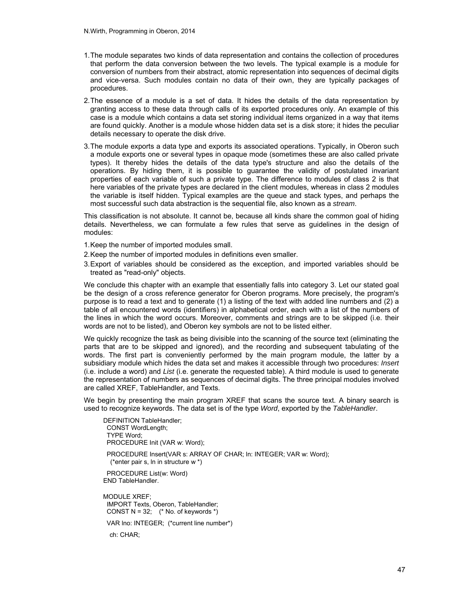- 1. The module separates two kinds of data representation and contains the collection of procedures that perform the data conversion between the two levels. The typical example is a module for conversion of numbers from their abstract, atomic representation into sequences of decimal digits and vice-versa. Such modules contain no data of their own, they are typically packages of procedures.
- 2. The essence of a module is a set of data. It hides the details of the data representation by granting access to these data through calls of its exported procedures only. An example of this case is a module which contains a data set storing individual items organized in a way that items are found quickly. Another is a module whose hidden data set is a disk store; it hides the peculiar details necessary to operate the disk drive.
- 3. The module exports a data type and exports its associated operations. Typically, in Oberon such a module exports one or several types in opaque mode (sometimes these are also called private types). It thereby hides the details of the data type's structure and also the details of the operations. By hiding them, it is possible to guarantee the validity of postulated invariant properties of each variable of such a private type. The difference to modules of class 2 is that here variables of the private types are declared in the client modules, whereas in class 2 modules the variable is itself hidden. Typical examples are the queue and stack types, and perhaps the most successful such data abstraction is the sequential file, also known as a *stream*.

This classification is not absolute. It cannot be, because all kinds share the common goal of hiding details. Nevertheless, we can formulate a few rules that serve as guidelines in the design of modules:

- 1. Keep the number of imported modules small.
- 2. Keep the number of imported modules in definitions even smaller.
- 3. Export of variables should be considered as the exception, and imported variables should be treated as "read-only" objects.

We conclude this chapter with an example that essentially falls into category 3. Let our stated goal be the design of a cross reference generator for Oberon programs. More precisely, the program's purpose is to read a text and to generate (1) a listing of the text with added line numbers and (2) a table of all encountered words (identifiers) in alphabetical order, each with a list of the numbers of the lines in which the word occurs. Moreover, comments and strings are to be skipped (i.e. their words are not to be listed), and Oberon key symbols are not to be listed either.

We quickly recognize the task as being divisible into the scanning of the source text (eliminating the parts that are to be skipped and ignored), and the recording and subsequent tabulating of the words. The first part is conveniently performed by the main program module, the latter by a subsidiary module which hides the data set and makes it accessible through two procedures: *Insert* (i.e. include a word) and *List* (i.e. generate the requested table). A third module is used to generate the representation of numbers as sequences of decimal digits. The three principal modules involved are called XREF, TableHandler, and Texts.

We begin by presenting the main program XREF that scans the source text. A binary search is used to recognize keywords. The data set is of the type *Word*, exported by the *TableHandler*.

DEFINITION TableHandler; CONST WordLength; TYPE Word; PROCEDURE Init (VAR w: Word); PROCEDURE Insert(VAR s: ARRAY OF CHAR; ln: INTEGER; VAR w: Word); (\*enter pair s, ln in structure w \*) PROCEDURE List(w: Word) END TableHandler. MODULE XREF; IMPORT Texts, Oberon, TableHandler;

CONST  $N = 32$ ; (\* No. of keywords \*)

VAR lno: INTEGER; (\*current line number\*)

ch: CHAR;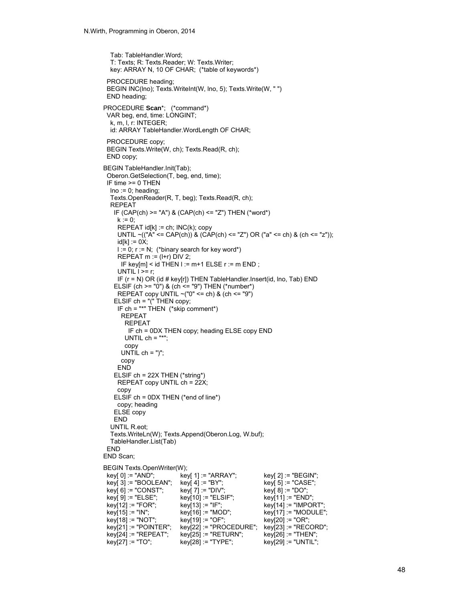```
 Tab: TableHandler.Word; 
   T: Texts; R: Texts.Reader; W: Texts.Writer; 
   key: ARRAY N, 10 OF CHAR; (*table of keywords*) 
  PROCEDURE heading; 
  BEGIN INC(lno); Texts.WriteInt(W, lno, 5); Texts.Write(W, " ") 
  END heading; 
PROCEDURE Scan*; (*command*) 
  VAR beg, end, time: LONGINT; 
   k, m, l, r: INTEGER; 
   id: ARRAY TableHandler.WordLength OF CHAR; 
  PROCEDURE copy; 
  BEGIN Texts.Write(W, ch); Texts.Read(R, ch); 
  END copy; 
BEGIN TableHandler.Init(Tab); 
  Oberon.GetSelection(T, beg, end, time); 
  IF time >= 0 THEN 
  lno := 0; heading;
   Texts.OpenReader(R, T, beg); Texts.Read(R, ch); 
   REPEAT 
     IF (CAP(ch) >= "A") & (CAP(ch) <= "Z") THEN (*word*) 
     k := 0:
     REPEAT id[k] := ch; INC(k); copy
     UNTIL ~(("A" <= CAP(ch)) & (CAP(ch) <= "Z") OR ("a" <= ch) & (ch <= "z"));
     id[k] := 0X;l := 0; r := N; (*binary search for key word*)
     REPEAT m := (l+r) DIV 2:
      IF key[m] < id THEN l := m+1 ELSE r := m END ;
     UNTIL l > r:
      IF (r = N) OR (id # key[r]) THEN TableHandler.Insert(id, lno, Tab) END 
     ELSIF (ch >= "0") & (ch <= "9") THEN (*number*) 
     REPEAT copy UNTIL ~("0" <= ch) & ich <= "9")
 ELSIF ch = "(" THEN copy; 
 IF ch = "*" THEN (*skip comment*) 
       REPEAT 
        REPEAT 
          IF ch = 0DX THEN copy; heading ELSE copy END 
       UNTIL ch = "";
        copy 
      UNTIL ch = "":
       copy 
      END 
     ELSIF ch = 22X THEN (*string*) 
      REPEAT copy UNTIL ch = 22X; 
      copy 
    ELSIF ch = 0DX THEN (*end of line*) 
      copy; heading 
    ELSE copy 
   FND
   UNTIL R.eot; 
   Texts.WriteLn(W); Texts.Append(Oberon.Log, W.buf); 
   TableHandler.List(Tab) 
  END 
END Scan; 
BEGIN Texts.OpenWriter(W);<br>key[ 0] := "AND"; key
                             key[ 1] := "ARRAY"; key[ 2] := "BEGIN";key[ 3] := "BOOLEAN";                            key[ 4] := "BY";          key[ 5] := "CASE";<br>key[ 6] := "CONST";      key[ 7] := "DIV";         key[ 8] := "DO";
  key[ 6] := "CONST"; key[ 7] := "DIV"; key[ 8] := "DO"; 
  key[ 9] := "ELSE"; key[10] := "ELSIF"; key[11] := "END"; 
                             key[13] := "IF";<br>
key[16] := "MOD";<br>
key[17] := "MODULE"key[15] := "IN";    key[16] := "MOD";     key[17] := "MODULE";<br>key[18] := "NOT";    key[19] := "OF";      key[20] := "OR";
  key[18] := "NOT"; key[19] := "OF"; key[20] := "OR"; 
 key[21] := "POINTER";  key[22] := "PROCEDURE"; key[23] := "RECOF<br>key[24] := "REPEAT";  key[25] := "RETURN";   key[26] := "THEN";
                             key[25] := "RETURN";<br>key[28] := "TYPE"; key[27] := "TO"; key[28] := "TYPE"; key[29] := "UNTIL";
```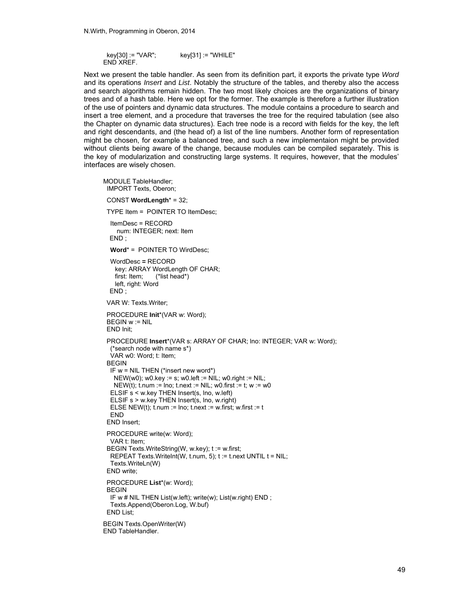MODULE TableHandler;

 $key[30] := "VAR";$   $key[31] := "WHILE"$ END XREF.

Next we present the table handler. As seen from its definition part, it exports the private type *Word* and its operations *Insert* and *List*. Notably the structure of the tables, and thereby also the access and search algorithms remain hidden. The two most likely choices are the organizations of binary trees and of a hash table. Here we opt for the former. The example is therefore a further illustration of the use of pointers and dynamic data structures. The module contains a procedure to search and insert a tree element, and a procedure that traverses the tree for the required tabulation (see also the Chapter on dynamic data structures). Each tree node is a record with fields for the key, the left and right descendants, and (the head of) a list of the line numbers. Another form of representation might be chosen, for example a balanced tree, and such a new implementaion might be provided without clients being aware of the change, because modules can be compiled separately. This is the key of modularization and constructing large systems. It requires, however, that the modules' interfaces are wisely chosen.

 IMPORT Texts, Oberon; CONST **WordLength**\* = 32; TYPE Item = POINTER TO ItemDesc; ItemDesc = RECORD num: INTEGER; next: Item END ; **Word**\* = POINTER TO WirdDesc; WordDesc **=** RECORD key: ARRAY WordLength OF CHAR;<br>first: Item; (\*list head\*) (\*list head\*) left, right: Word END ; VAR W: Texts.Writer; PROCEDURE **Init**\*(VAR w: Word); BEGIN w := NIL END Init; PROCEDURE **Insert**\*(VAR s: ARRAY OF CHAR; lno: INTEGER; VAR w: Word); (\*search node with name s\*) VAR w0: Word; t: Item; BEGIN IF w = NIL THEN (\*insert new word\*) NEW(w0); w0.key := s; w0.left := NIL; w0.right := NIL; NEW(t);  $t$ .num := lno;  $t$ .next := NIL; w0.first :=  $t$ ; w := w0 ELSIF s < w.key THEN Insert(s, Ino, w.left) ELSIF s > w.key THEN Insert(s, lno, w.right) ELSE NEW(t);  $t.num := Ino$ ;  $t.next := w$  first; w.first := t **FND**  END Insert; PROCEDURE write(w: Word); VAR t: Item; BEGIN Texts.WriteString(W, w.key); t := w.first; REPEAT Texts. WriteInt(W, t.num, 5);  $t = t$ .next UNTIL  $t = N/L$ ; Texts.WriteLn(W) END write; PROCEDURE **List**\*(w: Word); BEGIN IF w # NIL THEN List(w.left); write(w); List(w.right) END ; Texts.Append(Oberon.Log, W.buf) END List; BEGIN Texts.OpenWriter(W) END TableHandler.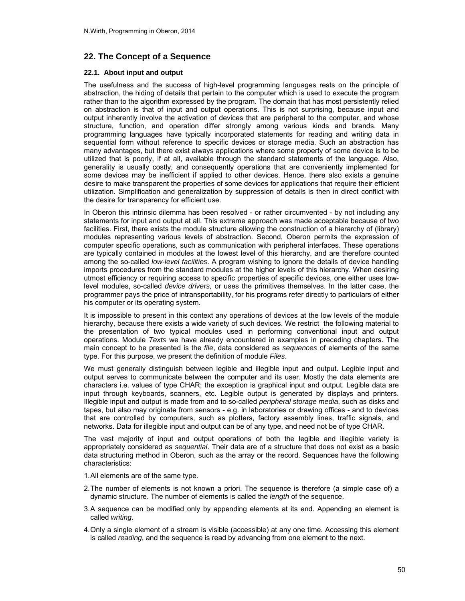### **22. The Concept of a Sequence**

#### **22.1. About input and output**

The usefulness and the success of high-level programming languages rests on the principle of abstraction, the hiding of details that pertain to the computer which is used to execute the program rather than to the algorithm expressed by the program. The domain that has most persistently relied on abstraction is that of input and output operations. This is not surprising, because input and output inherently involve the activation of devices that are peripheral to the computer, and whose structure, function, and operation differ strongly among various kinds and brands. Many programming languages have typically incorporated statements for reading and writing data in sequential form without reference to specific devices or storage media. Such an abstraction has many advantages, but there exist always applications where some property of some device is to be utilized that is poorly, if at all, available through the standard statements of the language. Also, generality is usually costly, and consequently operations that are conveniently implemented for some devices may be inefficient if applied to other devices. Hence, there also exists a genuine desire to make transparent the properties of some devices for applications that require their efficient utilization. Simplification and generalization by suppression of details is then in direct conflict with the desire for transparency for efficient use.

In Oberon this intrinsic dilemma has been resolved - or rather circumvented - by not including any statements for input and output at all. This extreme approach was made acceptable because of two facilities. First, there exists the module structure allowing the construction of a hierarchy of (library) modules representing various levels of abstraction. Second, Oberon permits the expression of computer specific operations, such as communication with peripheral interfaces. These operations are typically contained in modules at the lowest level of this hierarchy, and are therefore counted among the so-called *low-level facilities*. A program wishing to ignore the details of device handling imports procedures from the standard modules at the higher levels of this hierarchy. When desiring utmost efficiency or requiring access to specific properties of specific devices, one either uses lowlevel modules, so-called *device drivers,* or uses the primitives themselves. In the latter case, the programmer pays the price of intransportability, for his programs refer directly to particulars of either his computer or its operating system.

It is impossible to present in this context any operations of devices at the low levels of the module hierarchy, because there exists a wide variety of such devices. We restrict the following material to the presentation of two typical modules used in performing conventional input and output operations. Module *Texts* we have already encountered in examples in preceding chapters. The main concept to be presented is the *file*, data considered as *sequences* of elements of the same type. For this purpose, we present the definition of module *Files*.

We must generally distinguish between legible and illegible input and output. Legible input and output serves to communicate between the computer and its user. Mostly the data elements are characters i.e. values of type CHAR; the exception is graphical input and output. Legible data are input through keyboards, scanners, etc. Legible output is generated by displays and printers. Illegible input and output is made from and to so-called *peripheral storage media*, such as disks and tapes, but also may originate from sensors - e.g. in laboratories or drawing offices - and to devices that are controlled by computers, such as plotters, factory assembly lines, traffic signals, and networks. Data for illegible input and output can be of any type, and need not be of type CHAR.

The vast majority of input and output operations of both the legible and illegible variety is appropriately considered as *sequential*. Their data are of a structure that does not exist as a basic data structuring method in Oberon, such as the array or the record. Sequences have the following characteristics:

- 1. All elements are of the same type.
- 2. The number of elements is not known a priori. The sequence is therefore (a simple case of) a dynamic structure. The number of elements is called the *length* of the sequence.
- 3. A sequence can be modified only by appending elements at its end. Appending an element is called *writing*.
- 4. Only a single element of a stream is visible (accessible) at any one time. Accessing this element is called *reading*, and the sequence is read by advancing from one element to the next.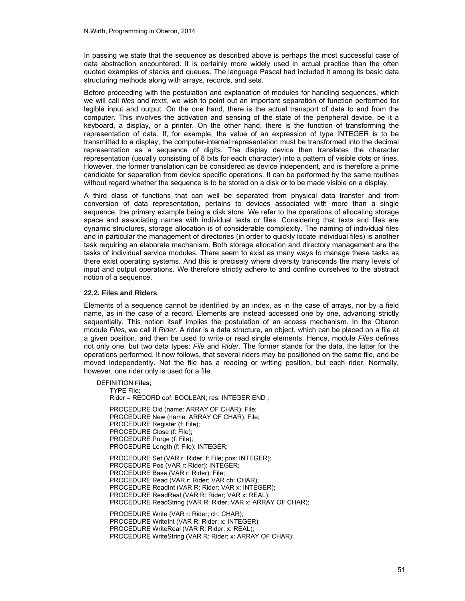In passing we state that the sequence as described above is perhaps the most successful case of data abstraction encountered. It is certainly more widely used in actual practice than the often quoted examples of stacks and queues. The language Pascal had included it among its basic data structuring methods along with arrays, records, and sets.

Before proceeding with the postulation and explanation of modules for handling sequences, which we will call *files* and *texts*, we wish to point out an important separation of function performed for legible input and output. On the one hand, there is the actual transport of data to and from the computer. This involves the activation and sensing of the state of the peripheral device, be it a keyboard, a display, or a printer. On the other hand, there is the function of transforming the representation of data. If, for example, the value of an expression of type INTEGER is to be transmitted to a display, the computer-internal representation must be transformed into the decimal representation as a sequence of digits. The display device then translates the character representation (usually consisting of 8 bits for each character) into a pattern of visible dots or lines. However, the former translation can be considered as device independent, and is therefore a prime candidate for separation from device specific operations. It can be performed by the same routines without regard whether the sequence is to be stored on a disk or to be made visible on a display.

A third class of functions that can well be separated from physical data transfer and from conversion of data representation, pertains to devices associated with more than a single sequence, the primary example being a disk store. We refer to the operations of allocating storage space and associating names with individual texts or files. Considering that texts and files are dynamic structures, storage allocation is of considerable complexity. The naming of individual files and in particular the management of directories (in order to quickly locate individual files) is another task requiring an elaborate mechanism. Both storage allocation and directory management are the tasks of individual service modules. There seem to exist as many ways to manage these tasks as there exist operating systems. And this is precisely where diversity transcends the many levels of input and output operations. We therefore strictly adhere to and confine ourselves to the abstract notion of a sequence.

#### **22.2. Files and Riders**

Elements of a sequence cannot be identified by an index, as in the case of arrays, nor by a field name, as in the case of a record. Elements are instead accessed one by one, advancing strictly sequentially. This notion itself implies the postulation of an access mechanism. In the Oberon module *Files*, we call it *Rider*. A rider is a data structure, an object, which can be placed on a file at a given position, and then be used to write or read single elements. Hence, module *Files* defines not only one, but two data types: *File* and *Rider*. The former stands for the data, the latter for the operations performed. It now follows, that several riders may be positioned on the same file, and be moved independently. Not the file has a reading or writing position, but each rider. Normally, however, one rider only is used for a file.

DEFINITION **Files**; TYPE File;

> Rider = RECORD eof: BOOLEAN; res: INTEGER END ; PROCEDURE Old (name: ARRAY OF CHAR): File; PROCEDURE New (name: ARRAY OF CHAR): File; PROCEDURE Register (f: File); PROCEDURE Close (f: File); PROCEDURE Purge (f: File); PROCEDURE Length (f: File): INTEGER;

 PROCEDURE Set (VAR r: Rider; f: File; pos: INTEGER); PROCEDURE Pos (VAR r: Rider): INTEGER; PROCEDURE Base (VAR r: Rider): File; PROCEDURE Read (VAR r: Rider; VAR ch: CHAR); PROCEDURE ReadInt (VAR R: Rider; VAR x: INTEGER); PROCEDURE ReadReal (VAR R: Rider; VAR x: REAL); PROCEDURE ReadString (VAR R: Rider; VAR x: ARRAY OF CHAR);

 PROCEDURE Write (VAR r: Rider; ch: CHAR); PROCEDURE WriteInt (VAR R: Rider; x: INTEGER); PROCEDURE WriteReal (VAR R: Rider; x: REAL); PROCEDURE WriteString (VAR R: Rider; x: ARRAY OF CHAR);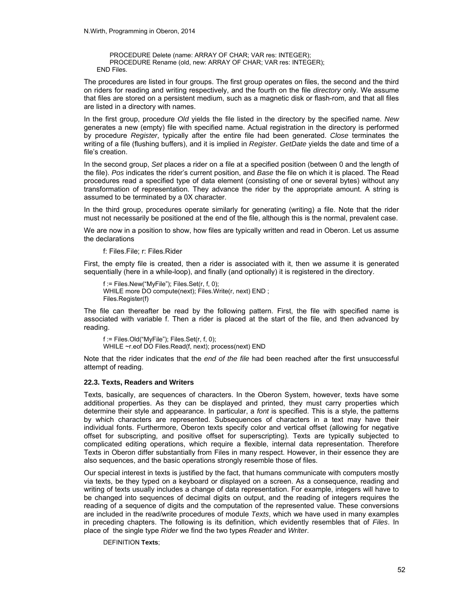PROCEDURE Delete (name: ARRAY OF CHAR; VAR res: INTEGER); PROCEDURE Rename (old, new: ARRAY OF CHAR; VAR res: INTEGER); END Files.

The procedures are listed in four groups. The first group operates on files, the second and the third on riders for reading and writing respectively, and the fourth on the file *directory* only. We assume that files are stored on a persistent medium, such as a magnetic disk or flash-rom, and that all files are listed in a directory with names.

In the first group, procedure *Old* yields the file listed in the directory by the specified name. *New* generates a new (empty) file with specified name. Actual registration in the directory is performed by procedure *Register*, typically after the entire file had been generated. *Close* terminates the writing of a file (flushing buffers), and it is implied in *Register*. *GetDate* yields the date and time of a file's creation.

In the second group, *Set* places a rider on a file at a specified position (between 0 and the length of the file). *Pos* indicates the rider's current position, and *Base* the file on which it is placed. The Read procedures read a specified type of data element (consisting of one or several bytes) without any transformation of representation. They advance the rider by the appropriate amount. A string is assumed to be terminated by a 0X character.

In the third group, procedures operate similarly for generating (writing) a file. Note that the rider must not necessarily be positioned at the end of the file, although this is the normal, prevalent case.

We are now in a position to show, how files are typically written and read in Oberon. Let us assume the declarations

f: Files.File; r: Files.Rider

First, the empty file is created, then a rider is associated with it, then we assume it is generated sequentially (here in a while-loop), and finally (and optionally) it is registered in the directory.

```
f := Files.New("MyFile"); Files.Set(r, f, 0); 
WHILE more DO compute(next); Files. Write(r, next) END;
Files.Register(f)
```
The file can thereafter be read by the following pattern. First, the file with specified name is associated with variable f. Then a rider is placed at the start of the file, and then advanced by reading.

```
f := Files.Old("MyFile"); Files.Set(r, f, 0); 
WHILE ~r.eof DO Files.Read(f, next); process(next) END
```
Note that the rider indicates that the *end of the file* had been reached after the first unsuccessful attempt of reading.

#### **22.3. Texts, Readers and Writers**

Texts, basically, are sequences of characters. In the Oberon System, however, texts have some additional properties. As they can be displayed and printed, they must carry properties which determine their style and appearance. In particular, a *font* is specified. This is a style, the patterns by which characters are represented. Subsequences of characters in a text may have their individual fonts. Furthermore, Oberon texts specify color and vertical offset (allowing for negative offset for subscripting, and positive offset for superscripting). Texts are typically subjected to complicated editing operations, which require a flexible, internal data representation. Therefore Texts in Oberon differ substantially from Files in many respect. However, in their essence they are also sequences, and the basic operations strongly resemble those of files.

Our special interest in texts is justified by the fact, that humans communicate with computers mostly via texts, be they typed on a keyboard or displayed on a screen. As a consequence, reading and writing of texts usually includes a change of data representation. For example, integers will have to be changed into sequences of decimal digits on output, and the reading of integers requires the reading of a sequence of digits and the computation of the represented value. These conversions are included in the read/write procedures of module *Texts*, which we have used in many examples in preceding chapters. The following is its definition, which evidently resembles that of *Files*. In place of the single type *Rider* we find the two types *Reader* and *Writer*.

DEFINITION **Texts**;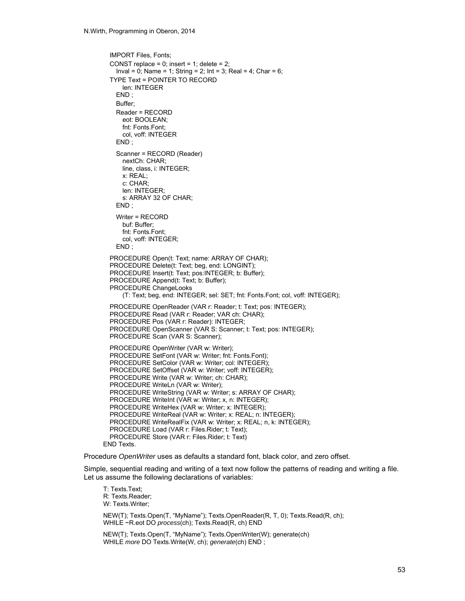```
 IMPORT Files, Fonts; 
  CONST replace = 0; insert = 1; delete = 2;
     Inval = 0; Name = 1; String = 2; Int = 3; Real = 4; Char = 6; 
   TYPE Text = POINTER TO RECORD 
       len: INTEGER 
     END ; 
     Buffer; 
     Reader = RECORD 
       eot: BOOLEAN; 
       fnt: Fonts.Font; 
       col, voff: INTEGER 
     END ; 
     Scanner = RECORD (Reader) 
       nextCh: CHAR; 
       line, class, i: INTEGER; 
       x: REAL; 
       c: CHAR; 
       len: INTEGER; 
       s: ARRAY 32 OF CHAR; 
     END ; 
     Writer = RECORD 
       buf: Buffer; 
       fnt: Fonts.Font; 
       col, voff: INTEGER; 
     END ; 
   PROCEDURE Open(t: Text; name: ARRAY OF CHAR); 
   PROCEDURE Delete(t: Text; beg, end: LONGINT); 
   PROCEDURE Insert(t: Text; pos:INTEGER; b: Buffer); 
   PROCEDURE Append(t: Text; b: Buffer); 
   PROCEDURE ChangeLooks 
      (T: Text; beg, end: INTEGER; sel: SET; fnt: Fonts.Font; col, voff: INTEGER); 
   PROCEDURE OpenReader (VAR r: Reader; t: Text; pos: INTEGER); 
   PROCEDURE Read (VAR r: Reader; VAR ch: CHAR); 
   PROCEDURE Pos (VAR r: Reader): INTEGER; 
   PROCEDURE OpenScanner (VAR S: Scanner; t: Text; pos: INTEGER); 
   PROCEDURE Scan (VAR S: Scanner); 
   PROCEDURE OpenWriter (VAR w: Writer); 
   PROCEDURE SetFont (VAR w: Writer; fnt: Fonts.Font); 
  PROCEDURE SetColor (VAR w: Writer; col: INTEGER);
   PROCEDURE SetOffset (VAR w: Writer; voff: INTEGER); 
   PROCEDURE Write (VAR w: Writer; ch: CHAR); 
   PROCEDURE WriteLn (VAR w: Writer); 
   PROCEDURE WriteString (VAR w: Writer; s: ARRAY OF CHAR); 
  PROCEDURE WriteInt (VAR w: Writer; x, n: INTEGER);
   PROCEDURE WriteHex (VAR w: Writer; x: INTEGER); 
   PROCEDURE WriteReal (VAR w: Writer; x: REAL; n: INTEGER); 
   PROCEDURE WriteRealFix (VAR w: Writer; x: REAL; n, k: INTEGER); 
   PROCEDURE Load (VAR r: Files.Rider; t: Text); 
   PROCEDURE Store (VAR r: Files.Rider; t: Text) 
END Texts.
```
Procedure *OpenWriter* uses as defaults a standard font, black color, and zero offset.

Simple, sequential reading and writing of a text now follow the patterns of reading and writing a file. Let us assume the following declarations of variables:

T: Texts.Text; R: Texts.Reader; W: Texts. Writer:

NEW(T); Texts.Open(T, "MyName"); Texts.OpenReader(R, T, 0); Texts.Read(R, ch); WHILE ~R.eot DO *process*(ch); Texts.Read(R, ch) END

NEW(T); Texts.Open(T, "MyName"); Texts.OpenWriter(W); generate(ch) WHILE *more* DO Texts.Write(W, ch); *generate*(ch) END ;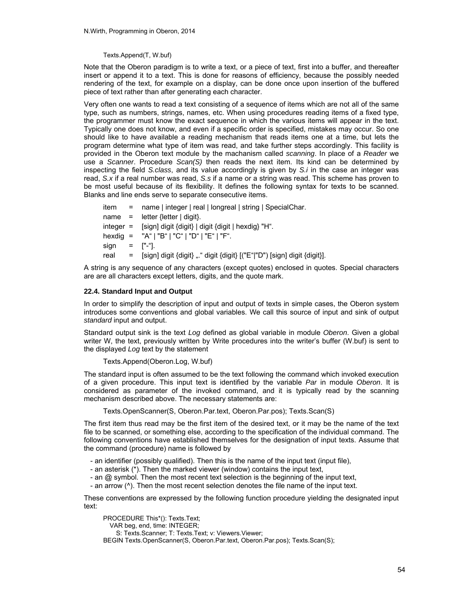#### Texts.Append(T, W.buf)

Note that the Oberon paradigm is to write a text, or a piece of text, first into a buffer, and thereafter insert or append it to a text. This is done for reasons of efficiency, because the possibly needed rendering of the text, for example on a display, can be done once upon insertion of the buffered piece of text rather than after generating each character.

Very often one wants to read a text consisting of a sequence of items which are not all of the same type, such as numbers, strings, names, etc. When using procedures reading items of a fixed type, the programmer must know the exact sequence in which the various items will appear in the text. Typically one does not know, and even if a specific order is specified, mistakes may occur. So one should like to have available a reading mechanism that reads items one at a time, but lets the program determine what type of item was read, and take further steps accordingly. This facility is provided in the Oberon text module by the machanism called *scanning*. In place of a *Reader* we use a *Scanner*. Procedure *Scan(S)* then reads the next item. Its kind can be determined by inspecting the field *S.class*, and its value accordingly is given by *S.i* in the case an integer was read, *S.x* if a real number was read, *S.s* if a name or a string was read. This scheme has proven to be most useful because of its flexibility. It defines the following syntax for texts to be scanned. Blanks and line ends serve to separate consecutive items.

item = name | integer | real | longreal | string | SpecialChar.  $name = letter {letter | digit}.$ integer = [sign] digit {digit} | digit {digit | hexdig} "H". hexdig = "A" | "B" | "C" | "D" | "E" | "F".  $sign = [$ "-"]. real  $=$  [sign] digit {digit} ... " digit {digit} [("E"|"D") [sign] digit {digit}].

A string is any sequence of any characters (except quotes) enclosed in quotes. Special characters are are all characters except letters, digits, and the quote mark.

#### **22.4. Standard Input and Output**

In order to simplify the description of input and output of texts in simple cases, the Oberon system introduces some conventions and global variables. We call this source of input and sink of output *standard* input and output.

Standard output sink is the text *Log* defined as global variable in module *Oberon*. Given a global writer W, the text, previously written by Write procedures into the writer's buffer (W.buf) is sent to the displayed *Log* text by the statement

```
Texts.Append(Oberon.Log, W.buf)
```
The standard input is often assumed to be the text following the command which invoked execution of a given procedure. This input text is identified by the variable *Par* in module *Oberon*. It is considered as parameter of the invoked command, and it is typically read by the scanning mechanism described above. The necessary statements are:

Texts.OpenScanner(S, Oberon.Par.text, Oberon.Par.pos); Texts.Scan(S)

The first item thus read may be the first item of the desired text, or it may be the name of the text file to be scanned, or something else, according to the specification of the individual command. The following conventions have established themselves for the designation of input texts. Assume that the command (procedure) name is followed by

- an identifier (possibly qualified). Then this is the name of the input text (input file),
- an asterisk (\*). Then the marked viewer (window) contains the input text,
- an @ symbol. Then the most recent text selection is the beginning of the input text,
- an arrow (^). Then the most recent selection denotes the file name of the input text.

These conventions are expressed by the following function procedure yielding the designated input text:

PROCEDURE This\*(): Texts.Text; VAR beg, end, time: INTEGER; S: Texts.Scanner; T: Texts.Text; v: Viewers.Viewer; BEGIN Texts.OpenScanner(S, Oberon.Par.text, Oberon.Par.pos); Texts.Scan(S);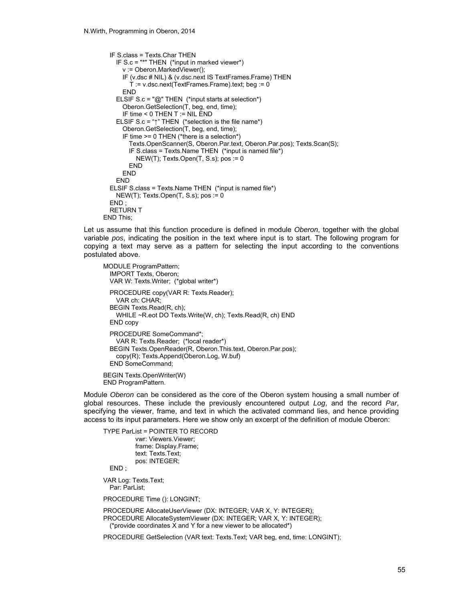```
 IF S.class = Texts.Char THEN 
     IF S.c = "*" THEN (*input in marked viewer*) 
       v := Oberon.MarkedViewer(); 
        IF (v.dsc # NIL) & (v.dsc.next IS TextFrames.Frame) THEN 
         T = v.dsc.next(TextFrames.Frame).text; beg := 0
        END 
     ELSIF S.c = "@" THEN (*input starts at selection*) 
        Oberon.GetSelection(T, beg, end, time); 
        IF time < 0 THEN T := NIL END 
    ELSIF S.c = "\uparrow" THEN (*selection is the file name*)
        Oberon.GetSelection(T, beg, end, time); 
        IF time >= 0 THEN (*there is a selection*) 
          Texts.OpenScanner(S, Oberon.Par.text, Oberon.Par.pos); Texts.Scan(S); 
          IF S.class = Texts.Name THEN (*input is named file*) 
            NEW(T); Texts.Open(T, S.s); pos := 0 
          END 
       END 
     END 
   ELSIF S.class = Texts.Name THEN (*input is named file*) 
    NEW(T); Texts.Open(T, S.s); pos = 0FND RETURN T 
END This;
```
Let us assume that this function procedure is defined in module *Oberon*, together with the global variable *pos*, indicating the position in the text where input is to start. The following program for copying a text may serve as a pattern for selecting the input according to the conventions postulated above.

```
MODULE ProgramPattern; 
   IMPORT Texts, Oberon; 
   VAR W: Texts.Writer; (*global writer*) 
   PROCEDURE copy(VAR R: Texts.Reader); 
     VAR ch: CHAR; 
   BEGIN Texts.Read(R, ch); 
     WHILE ~R.eot DO Texts.Write(W, ch); Texts.Read(R, ch) END 
   END copy 
   PROCEDURE SomeCommand*; 
     VAR R: Texts.Reader; (*local reader*) 
   BEGIN Texts.OpenReader(R, Oberon.This.text, Oberon.Par.pos); 
     copy(R); Texts.Append(Oberon.Log, W.buf) 
   END SomeCommand; 
BEGIN Texts.OpenWriter(W)
```
END ProgramPattern.

Module *Oberon* can be considered as the core of the Oberon system housing a small number of global resources. These include the previously encountered output *Log*, and the record *Par*, specifying the viewer, frame, and text in which the activated command lies, and hence providing access to its input parameters. Here we show only an excerpt of the definition of module Oberon:

```
TYPE ParList = POINTER TO RECORD 
            vwr: Viewers.Viewer; 
            frame: Display.Frame; 
           text: Texts.Text;
            pos: INTEGER; 
   END ; 
VAR Log: Texts.Text; 
   Par: ParList;
```
PROCEDURE Time (): LONGINT;

PROCEDURE AllocateUserViewer (DX: INTEGER; VAR X, Y: INTEGER); PROCEDURE AllocateSystemViewer (DX: INTEGER; VAR X, Y: INTEGER); (\*provide coordinates X and Y for a new viewer to be allocated\*)

PROCEDURE GetSelection (VAR text: Texts.Text; VAR beg, end, time: LONGINT);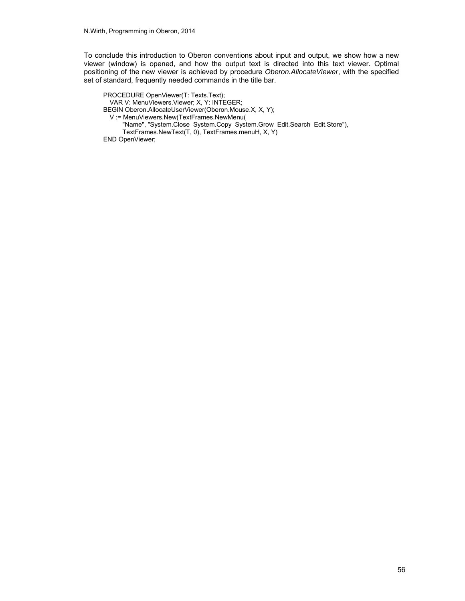To conclude this introduction to Oberon conventions about input and output, we show how a new viewer (window) is opened, and how the output text is directed into this text viewer. Optimal positioning of the new viewer is achieved by procedure *Oberon.AllocateViewer*, with the specified set of standard, frequently needed commands in the title bar.

PROCEDURE OpenViewer(T: Texts.Text); VAR V: MenuViewers.Viewer; X, Y: INTEGER; BEGIN Oberon.AllocateUserViewer(Oberon.Mouse.X, X, Y); V := MenuViewers.New(TextFrames.NewMenu( "Name", "System.Close System.Copy System.Grow Edit.Search Edit.Store"), TextFrames.NewText(T, 0), TextFrames.menuH, X, Y) END OpenViewer;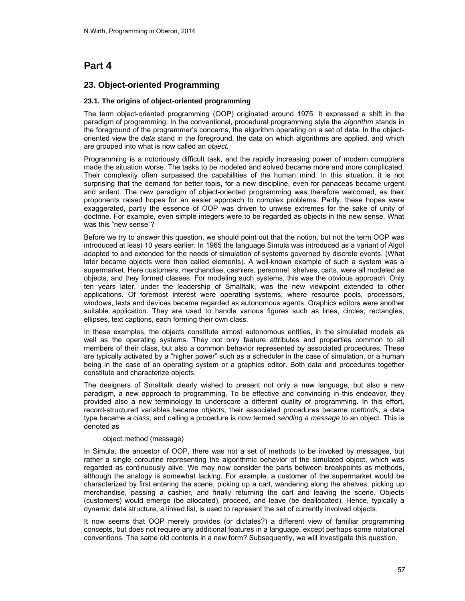## **Part 4**

### **23. Object-oriented Programming**

### **23.1. The origins of object-oriented programming**

The term object-oriented programming (OOP) originated around 1975. It expressed a shift in the paradigm of programming. In the conventional, procedural programming style the *algorithm* stands in the foreground of the programmer's concerns, the algorithm operating on a set of data. In the objectoriented view the *data* stand in the foreground, the data on which algorithms are applied, and which are grouped into what is now called an *object.*

Programming is a notoriously difficult task, and the rapidly increasing power of modern computers made the situation worse. The tasks to be modeled and solved became more and more complicated. Their complexity often surpassed the capabilities of the human mind. In this situation, it is not surprising that the demand for better tools, for a new discipline, even for panaceas became urgent and ardent. The new paradigm of object-oriented programming was therefore welcomed, as their proponents raised hopes for an easier approach to complex problems. Partly, these hopes were exaggerated, partly the essence of OOP was driven to unwise extremes for the sake of unity of doctrine. For example, even simple integers were to be regarded as objects in the new sense. What was this "new sense"?

Before we try to answer this question, we should point out that the notion, but not the term OOP was introduced at least 10 years earlier. In 1965 the language Simula was introduced as a variant of Algol adapted to and extended for the needs of simulation of systems governed by discrete events. (What later became objects were then called elements). A well-known example of such a system was a supermarket. Here customers, merchandise, cashiers, personnel, shelves, carts, were all modeled as objects, and they formed classes. For modeling such systems, this was the obvious approach. Only ten years later, under the leadership of Smalltalk, was the new viewpoint extended to other applications. Of foremost interest were operating systems, where resource pools, processors, windows, texts and devices became regarded as autonomous agents. Graphics editors were another suitable application. They are used to handle various figures such as lines, circles, rectangles, ellipses, text captions, each forming their own class.

In these examples, the objects constitute almost autonomous entities, in the simulated models as well as the operating systems. They not only feature attributes and properties common to all members of their class, but also a common behavior represented by associated procedures. These are typically activated by a "higher power" such as a scheduler in the case of simulation, or a human being in the case of an operating system or a graphics editor. Both data and procedures together constitute and characterize objects.

The designers of Smalltalk clearly wished to present not only a new language, but also a new paradigm, a new approach to programming. To be effective and convincing in this endeavor, they provided also a new terminology to underscore a different quality of programming. In this effort, record-structured variables became *objects*, their associated procedures became *methods*, a data type became a *class*, and calling a procedure is now termed *sending a message* to an object. This is denoted as

### object.method (message)

In Simula, the ancestor of OOP, there was not a set of methods to be invoked by messages, but rather a single coroutine representing the algorithmic behavior of the simulated object, which was regarded as continuously alive. We may now consider the parts between breakpoints as methods, although the analogy is somewhat lacking. For example, a customer of the supermarket would be characterized by first entering the scene, picking up a cart, wandering along the shelves, picking up merchandise, passing a cashier, and finally returning the cart and leaving the scene. Objects (customers) would emerge (be allocated), proceed, and leave (be deallocated). Hence, typically a dynamic data structure, a linked list, is used to represent the set of currently involved objects.

It now seems that OOP merely provides (or dictates?) a different view of familiar programming concepts, but does not require any additional features in a language, except perhaps some notational conventions. The same old contents in a new form? Subsequently, we will investigate this question.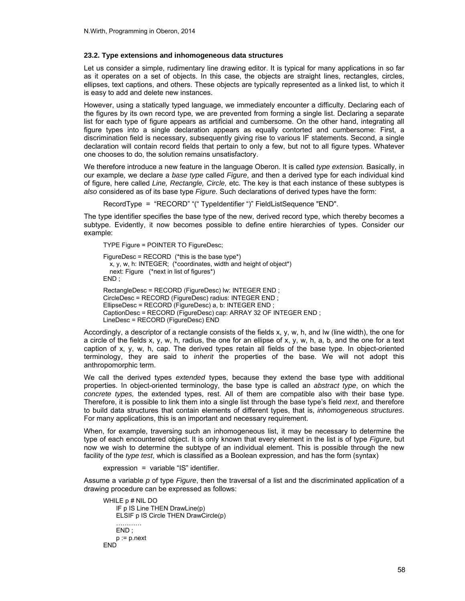#### **23.2. Type extensions and inhomogeneous data structures**

Let us consider a simple, rudimentary line drawing editor. It is typical for many applications in so far as it operates on a set of objects. In this case, the objects are straight lines, rectangles, circles, ellipses, text captions, and others. These objects are typically represented as a linked list, to which it is easy to add and delete new instances.

However, using a statically typed language, we immediately encounter a difficulty. Declaring each of the figures by its own record type, we are prevented from forming a single list. Declaring a separate list for each type of figure appears as artificial and cumbersome. On the other hand, integrating all figure types into a single declaration appears as equally contorted and cumbersome: First, a discrimination field is necessary, subsequently giving rise to various IF statements. Second, a single declaration will contain record fields that pertain to only a few, but not to all figure types. Whatever one chooses to do, the solution remains unsatisfactory.

We therefore introduce a new feature in the language Oberon. It is called *type extension.* Basically, in our example, we declare a *base type* called *Figure*, and then a derived type for each individual kind of figure, here called *Line, Rectangle, Circle,* etc. The key is that each instance of these subtypes is *also* considered as of its base type *Figure.* Such declarations of derived types have the form:

RecordType = "RECORD" "(" TypeIdentifier ")" FieldListSequence "END".

The type identifier specifies the base type of the new, derived record type, which thereby becomes a subtype. Evidently, it now becomes possible to define entire hierarchies of types. Consider our example:

TYPE Figure = POINTER TO FigureDesc;

```
FigureDesc = RECORD (*this is the base type*) 
   x, y, w, h: INTEGER; (*coordinates, width and height of object*) 
   next: Figure (*next in list of figures*) 
END ; 
RectangleDesc = RECORD (FigureDesc) lw: INTEGER END ; 
CircleDesc = RECORD (FigureDesc) radius: INTEGER END ; 
EllipseDesc = RECORD (FigureDesc) a, b: INTEGER END ; 
CaptionDesc = RECORD (FigureDesc) cap: ARRAY 32 OF INTEGER END ; 
LineDesc = RECORD (FigureDesc) END
```
Accordingly, a descriptor of a rectangle consists of the fields x, y, w, h, and lw (line width), the one for a circle of the fields x, y, w, h, radius, the one for an ellipse of x, y, w, h, a, b, and the one for a text caption of x, y, w, h, cap. The derived types retain all fields of the base type. In object-oriented terminology, they are said to *inherit* the properties of the base. We will not adopt this anthropomorphic term.

We call the derived types *extended* types, because they extend the base type with additional properties. In object-oriented terminology, the base type is called an *abstract type*, on which the *concrete types,* the extended types, rest. All of them are compatible also with their base type. Therefore, it is possible to link them into a single list through the base type's field *next*, and therefore to build data structures that contain elements of different types, that is, *inhomogeneous structures*. For many applications, this is an important and necessary requirement.

When, for example, traversing such an inhomogeneous list, it may be necessary to determine the type of each encountered object. It is only known that every element in the list is of type *Figure*, but now we wish to determine the subtype of an individual element. This is possible through the new facility of the *type test*, which is classified as a Boolean expression, and has the form (syntax)

expression = variable "IS" identifier.

Assume a variable *p* of type *Figure*, then the traversal of a list and the discriminated application of a drawing procedure can be expressed as follows:

```
WHILE p # NIL DO 
     IF p IS Line THEN DrawLine(p) 
     ELSIF p IS Circle THEN DrawCircle(p) 
     END ; 
     p := p.next 
END
```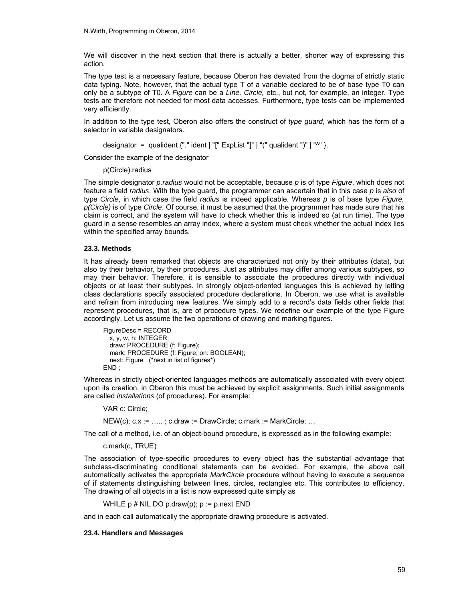We will discover in the next section that there is actually a better, shorter way of expressing this action.

The type test is a necessary feature, because Oberon has deviated from the dogma of strictly static data typing. Note, however, that the actual type T of a variable declared to be of base type T0 can only be a subtype of T0. A *Figure* can be a *Line, Circle,* etc., but not, for example, an integer. Type tests are therefore not needed for most data accesses. Furthermore, type tests can be implemented very efficiently.

In addition to the type test, Oberon also offers the construct of *type guard*, which has the form of a selector in variable designators.

designator = qualident  $\{$  "." ident | "[" Explist "]" | " $($ " qualident ")" | "^" }.

Consider the example of the designator

p(Circle).radius

The simple designator *p.radius* would not be acceptable, because *p* is of type *Figure*, which does not feature a field *radius*. With the type guard, the programmer can ascertain that in this case *p* is *also* of type *Circle*, in which case the field *radius* is indeed applicable. Whereas *p* is of base type *Figure, p(Circle)* is of type *Circle*. Of course, it must be assumed that the programmer has made sure that his claim is correct, and the system will have to check whether this is indeed so (at run time). The type guard in a sense resembles an array index, where a system must check whether the actual index lies within the specified array bounds.

#### **23.3. Methods**

It has already been remarked that objects are characterized not only by their attributes (data), but also by their behavior, by their procedures. Just as attributes may differ among various subtypes, so may their behavior. Therefore, it is sensible to associate the procedures directly with individual objects or at least their subtypes. In strongly object-oriented languages this is achieved by letting class declarations specify associated procedure declarations. In Oberon, we use what is available and refrain from introducing new features. We simply add to a record's data fields other fields that represent procedures, that is, are of procedure types. We redefine our example of the type Figure accordingly. Let us assume the two operations of drawing and marking figures.

FigureDesc = RECORD x, y, w, h: INTEGER; draw: PROCEDURE (f: Figure); mark: PROCEDURE (f: Figure: on: BOOLEAN); next: Figure (\*next in list of figures\*) END ;

Whereas in strictly object-oriented languages methods are automatically associated with every object upon its creation, in Oberon this must be achieved by explicit assignments. Such initial assignments are called *installations* (of procedures). For example:

VAR c: Circle;

NEW(c); c.x := ….. ; c.draw := DrawCircle; c.mark := MarkCircle; …

The call of a method, i.e. of an object-bound procedure, is expressed as in the following example:

c.mark(c, TRUE)

The association of type-specific procedures to every object has the substantial advantage that subclass-discriminating conditional statements can be avoided. For example, the above call automatically activates the appropriate *MarkCircle* procedure without having to execute a sequence of if statements distinguishing between lines, circles, rectangles etc. This contributes to efficiency. The drawing of all objects in a list is now expressed quite simply as

WHILE  $p \#$  NIL DO p.draw(p);  $p := p$ .next END

and in each call automatically the appropriate drawing procedure is activated.

#### **23.4. Handlers and Messages**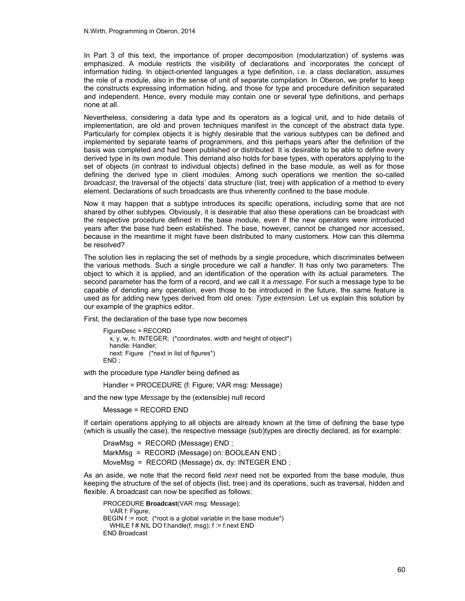In Part 3 of this text, the importance of proper decomposition (modularization) of systems was emphasized. A module restricts the visibility of declarations and incorporates the concept of information hiding. In object-oriented languages a type definition, i.e. a class declaration, assumes the role of a module, also in the sense of unit of separate compilation. In Oberon, we prefer to keep the constructs expressing information hiding, and those for type and procedure definition separated and independent. Hence, every module may contain one or several type definitions, and perhaps none at all.

Nevertheless, considering a data type and its operators as a logical unit, and to hide details of implementation, are old and proven techniques manifest in the concept of the abstract data type. Particularly for complex objects it is highly desirable that the various subtypes can be defined and implemented by separate teams of programmers, and this perhaps years after the definition of the basis was completed and had been published or distributed. It is desirable to be able to define every derived type in its own module. This demand also holds for base types, with operators applying to the set of objects (in contrast to individual objects) defined in the base module, as well as for those defining the derived type in client modules. Among such operations we mention the so-called *broadcast*, the traversal of the objects' data structure (list, tree) with application of a method to every element. Declarations of such broadcasts are thus inherently confined to the base module.

Now it may happen that a subtype introduces its specific operations, including some that are not shared by other subtypes. Obviously, it is desirable that also these operations can be broadcast with the respective procedure defined in the base module, even if the new operators were introduced years after the base had been established. The base, however, cannot be changed nor accessed, because in the meantime it might have been distributed to many customers. How can this dilemma be resolved?

The solution lies in replacing the set of methods by a single procedure, which discriminates between the various methods. Such a single procedure we call a *handler*. It has only two parameters: The object to which it is applied, and an identification of the operation with its actual parameters. The second parameter has the form of a record, and we call it a *message*. For such a message type to be capable of denoting any operation, even those to be introduced in the future, the same feature is used as for adding new types derived from old ones: *Type extension*. Let us explain this solution by our example of the graphics editor.

First, the declaration of the base type now becomes

```
FigureDesc = RECORD 
   x, y, w, h: INTEGER; (*coordinates, width and height of object*) 
   handle: Handler; 
   next: Figure (*next in list of figures*) 
END ;
```
with the procedure type *Handler* being defined as

Handler = PROCEDURE (f: Figure; VAR msg: Message)

and the new type *Message* by the (extensible) null record

Message = RECORD END

If certain operations applying to all objects are already known at the time of defining the base type (which is usually the case), the respective message (sub)types are directly declared, as for example:

DrawMsg = RECORD (Message) END ; MarkMsg = RECORD (Message) on: BOOLEAN END ; MoveMsq = RECORD (Message) dx, dy: INTEGER END;

As an aside, we note that the record field *next* need not be exported from the base module, thus keeping the structure of the set of objects (list, tree) and its operations, such as traversal, hidden and flexible. A broadcast can now be specified as follows:

```
PROCEDURE Broadcast(VAR msg: Message); 
   VAR f: Figure; 
BEGIN f := root; (*root is a global variable in the base module*)
  WHILE f # NIL DO f.handle(f, msg); f := f.next END
END Broadcast
```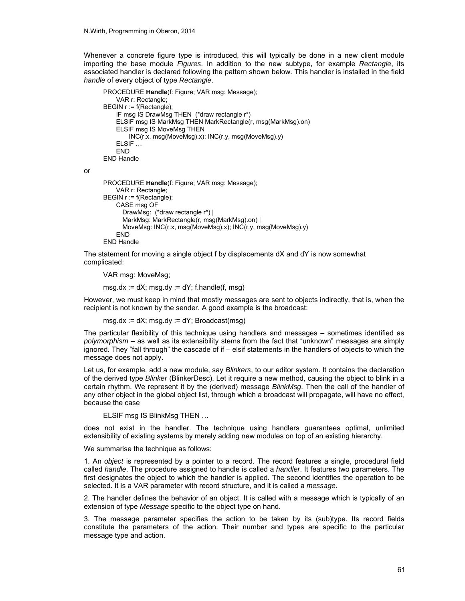Whenever a concrete figure type is introduced, this will typically be done in a new client module importing the base module *Figures*. In addition to the new subtype, for example *Rectangle*, its associated handler is declared following the pattern shown below. This handler is installed in the field *handle* of every object of type *Rectangle*.

```
PROCEDURE Handle(f: Figure; VAR msg: Message); 
     VAR r: Rectangle; 
BEGIN r := f(Rectangle); 
     IF msg IS DrawMsg THEN (*draw rectangle r*) 
     ELSIF msg IS MarkMsg THEN MarkRectangle(r, msg(MarkMsg).on) 
     ELSIF msg IS MoveMsg THEN 
         INC(r.x, msg(MoveMsg).x); INC(r.y, msg(MoveMsg).y) 
     ELSIF … 
     END 
END Handle 
PROCEDURE Handle(f: Figure; VAR msg: Message); 
     VAR r: Rectangle; 
BEGIN r := f(Rectangle);
```

```
 CASE msg OF 
       DrawMsg: (*draw rectangle r*) | 
       MarkMsg: MarkRectangle(r, msg(MarkMsg).on) | 
       MoveMsg: INC(r.x, msg(MoveMsg).x); INC(r.y, msg(MoveMsg).y) 
     END 
END Handle
```
The statement for moving a single object f by displacements dX and dY is now somewhat complicated:

VAR msg: MoveMsg;

or

 $msg.dx := dX; msg.dy := dY; f.handle(f, msg)$ 

However, we must keep in mind that mostly messages are sent to objects indirectly, that is, when the recipient is not known by the sender. A good example is the broadcast:

 $msg.dx := dX; msg.dy := dY; Broadcast(msg)$ 

The particular flexibility of this technique using handlers and messages – sometimes identified as *polymorphism* – as well as its extensibility stems from the fact that "unknown" messages are simply ignored. They "fall through" the cascade of if – elsif statements in the handlers of objects to which the message does not apply.

Let us, for example, add a new module, say *Blinkers*, to our editor system. It contains the declaration of the derived type *Blinker* (BlinkerDesc). Let it require a new method, causing the object to blink in a certain rhythm. We represent it by the (derived) message *BlinkMsg*. Then the call of the handler of any other object in the global object list, through which a broadcast will propagate, will have no effect, because the case

ELSIF msg IS BlinkMsg THEN …

does not exist in the handler. The technique using handlers guarantees optimal, unlimited extensibility of existing systems by merely adding new modules on top of an existing hierarchy.

We summarise the technique as follows:

1. An *object* is represented by a pointer to a record. The record features a single, procedural field called *handle*. The procedure assigned to handle is called a *handler*. It features two parameters. The first designates the object to which the handler is applied. The second identifies the operation to be selected. It is a VAR parameter with record structure, and it is called a *message*.

2. The handler defines the behavior of an object. It is called with a message which is typically of an extension of type *Message* specific to the object type on hand.

3. The message parameter specifies the action to be taken by its (sub)type. Its record fields constitute the parameters of the action. Their number and types are specific to the particular message type and action.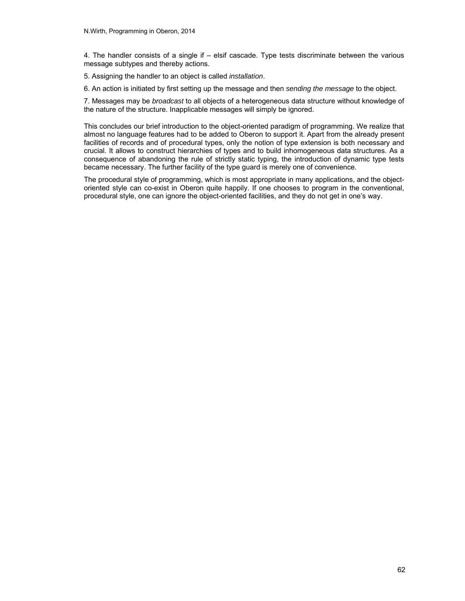4. The handler consists of a single if – elsif cascade. Type tests discriminate between the various message subtypes and thereby actions.

5. Assigning the handler to an object is called *installation*.

6. An action is initiated by first setting up the message and then *sending the message* to the object.

7. Messages may be *broadcast* to all objects of a heterogeneous data structure without knowledge of the nature of the structure. Inapplicable messages will simply be ignored.

This concludes our brief introduction to the object-oriented paradigm of programming. We realize that almost no language features had to be added to Oberon to support it. Apart from the already present facilities of records and of procedural types, only the notion of type extension is both necessary and crucial. It allows to construct hierarchies of types and to build inhomogeneous data structures. As a consequence of abandoning the rule of strictly static typing, the introduction of dynamic type tests became necessary. The further facility of the type guard is merely one of convenience.

The procedural style of programming, which is most appropriate in many applications, and the objectoriented style can co-exist in Oberon quite happily. If one chooses to program in the conventional, procedural style, one can ignore the object-oriented facilities, and they do not get in one's way.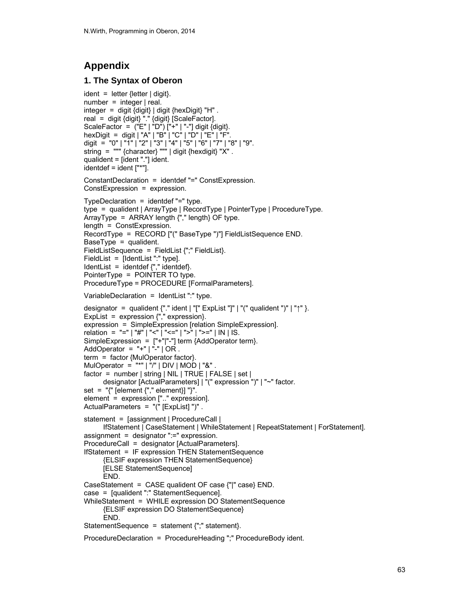## **Appendix**

### **1. The Syntax of Oberon**

```
ident = letter {letter | digit}.
number = integer | real.integer = digit \{digit\} | digit \{hexDigit\} "H".
real = digit {digit} "." {digit} [ScaleFactor]. 
ScaleFactor = ("E" | "D") ["+" | "-"] digit {digit}. 
hexDigit = digit | "A" | "B" | "C" | "D" | "E" | "F". 
digit = "0" | "1" | "2" | "3" | "4" | "5" | "6" | "7" | "8" | "9".
string = \frac{m}{r} {character} \frac{m}{r} | digit {hexdigit} "X".
qualident = [ident "."] ident. 
identdef = ident ["*"]. 
ConstantDeclaration = identdef "=" ConstExpression. 
ConstExpression = expression. 
TypeDeclaration = identdef "=" type.
type = qualident | ArrayType | RecordType | PointerType | ProcedureType. 
ArrayType = ARRAY length {"," length} OF type. 
length = ConstExpression. 
RecordType = RECORD ["(" BaseType ")"] FieldListSequence END. 
BaseType = qualident. 
FieldListSequence = FieldList {";" FieldList}. 
FieldList = [IdentList ":" type]. 
IdentList = \frac{1}{1} identdef {"," identdef}.
PointerType = POINTER TO type. 
ProcedureType = PROCEDURE [FormalParameters]. 
VariableDeclaration = IdentList ":" type. 
designator = qualident {"." ident | "[" ExpList "]" | "(" qualident ")" | "↑" }.
ExpList = expression {"," expression}. 
expression = SimpleExpression [relation SimpleExpression]. 
relation = "=" | "#" | "<" | "<=" | ">" | ">=" | IN | IS.
SimpleExpression = ["+"|"-"] term {AddOperator term}. 
AddOperator = "+" | "-" | OR.
term = factor {MulOperator factor}. 
MulOperator = "*" | "/" | DIV | MOD | "&".
factor = number | string | NIL | TRUE | FALSE | set | 
     designator [ActualParameters] | "(" expression ")" | "~" factor. 
set = \sqrt[n]{\ } [element \{\sqrt[n]{\ } element}] \sqrt[n]{\ }.
element = expression [".." expression]. 
ActualParameters = "(" [ExpList] ")" . 
statement = [assignment | ProcedureCall | 
      IfStatement | CaseStatement | WhileStatement | RepeatStatement | ForStatement]. 
assignment = designator ":=" expression.
ProcedureCall = designator [ActualParameters]. 
IfStatement = IF expression THEN StatementSequence 
      {ELSIF expression THEN StatementSequence} 
      [ELSE StatementSequence] 
      END. 
CaseStatement = CASE qualident OF case {"|" case} END. 
case = [qualident ":" StatementSequence]. 
WhileStatement = WHILE expression DO StatementSequence 
       {ELSIF expression DO StatementSequence} 
       END. 
StatementSequence = statement {";" statement}. 
ProcedureDeclaration = ProcedureHeading ";" ProcedureBody ident.
```